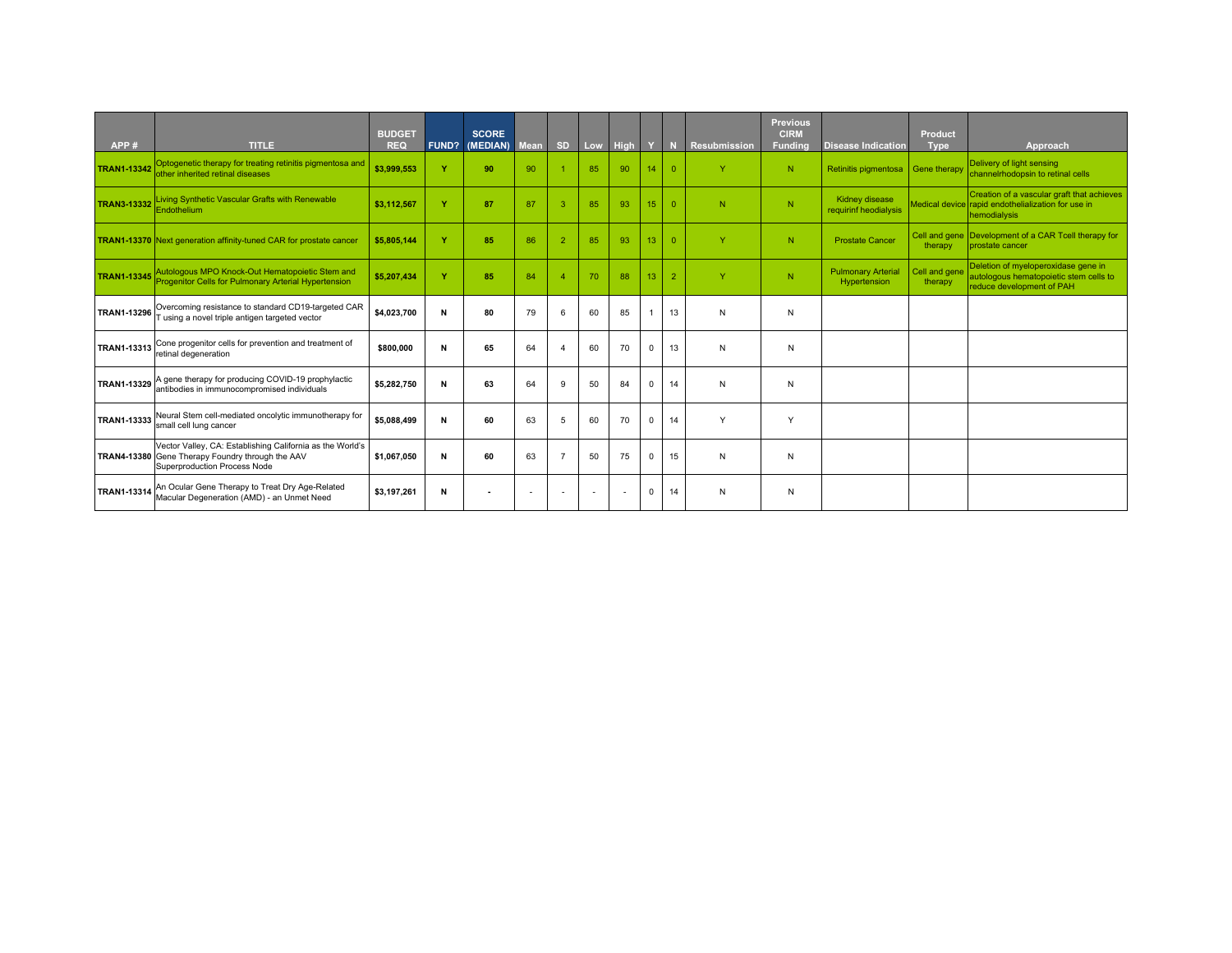| APP#               | <b>TITLE</b>                                                                                                                                  | <b>BUDGET</b><br><b>REQ</b> | <b>FUND?</b> | <b>SCORE</b><br>(MEDIAN) | <b>Mean</b>              | <b>SD</b>      | Low                      | High                     |                 |                | <b>Resubmission</b> | <b>Previous</b><br><b>CIRM</b><br><b>Funding</b> | <b>Disease Indication</b>                 | <b>Product</b><br><b>Type</b> | Approach                                                                                                         |
|--------------------|-----------------------------------------------------------------------------------------------------------------------------------------------|-----------------------------|--------------|--------------------------|--------------------------|----------------|--------------------------|--------------------------|-----------------|----------------|---------------------|--------------------------------------------------|-------------------------------------------|-------------------------------|------------------------------------------------------------------------------------------------------------------|
| <b>TRAN1-13342</b> | Optogenetic therapy for treating retinitis pigmentosa and<br>other inherited retinal diseases                                                 | \$3,999,553                 | v            | 90                       | 90                       |                | 85                       | 90                       | 14              | $\Omega$       | Y                   | N                                                | Retinitis pigmentosa                      | <b>Gene therapy</b>           | Delivery of light sensing<br>channelrhodopsin to retinal cells                                                   |
| <b>TRAN3-13332</b> | Living Synthetic Vascular Grafts with Renewable<br>Endothelium                                                                                | \$3.112.567                 | $\mathbf v$  | 87                       | 87                       | 3              | 85                       | 93                       | 15 <sub>1</sub> | $\Omega$       | N                   | N                                                | Kidney disease<br>requirinf heodialysis   |                               | Creation of a vascular graft that achieves<br>Medical device rapid endothelialization for use in<br>hemodialysis |
|                    | <b>TRAN1-13370</b> Next generation affinity-tuned CAR for prostate cancer                                                                     | \$5,805,144                 | Y            | 85                       | 86                       | $\overline{2}$ | 85                       | 93                       | 13 <sub>1</sub> | $\Omega$       | $\mathbf{Y}$        | ${\sf N}$                                        | <b>Prostate Cancer</b>                    | therapy                       | Cell and gene Development of a CAR Tcell therapy for<br>prostate cancer                                          |
| <b>TRAN1-13345</b> | Autologous MPO Knock-Out Hematopoietic Stem and<br>Progenitor Cells for Pulmonary Arterial Hypertension                                       | \$5,207,434                 | v            | 85                       | 84                       |                | 70                       | 88                       | 13 <sup>°</sup> | $\overline{2}$ | $\vee$              | N.                                               | <b>Pulmonary Arterial</b><br>Hypertension | Cell and gene<br>therapy      | Deletion of myeloperoxidase gene in<br>autologous hematopoietic stem cells to<br>reduce development of PAH       |
| <b>TRAN1-13296</b> | Overcoming resistance to standard CD19-targeted CAR<br>using a novel triple antigen targeted vector                                           | \$4,023,700                 | N            | 80                       | 79                       | 6              | 60                       | 85                       |                 | 13             | N                   | N                                                |                                           |                               |                                                                                                                  |
|                    | TRAN1-13313 Cone progenitor cells for prevention and treatment of<br>retinal degeneration                                                     | \$800.000                   | N            | 65                       | 64                       |                | 60                       | 70                       | $\mathbf 0$     | 13             | N                   | N                                                |                                           |                               |                                                                                                                  |
| TRAN1-13329        | A gene therapy for producing COVID-19 prophylactic<br>antibodies in immunocompromised individuals                                             | \$5,282,750                 | N            | 63                       | 64                       | 9              | 50                       | 84                       | $\mathbf 0$     | 14             | N                   | N                                                |                                           |                               |                                                                                                                  |
| TRAN1-13333        | Neural Stem cell-mediated oncolytic immunotherapy for<br>small cell lung cancer                                                               | \$5,088,499                 | N            | 60                       | 63                       | 5              | 60                       | 70                       | $\mathbf 0$     | 14             | Y                   | Y                                                |                                           |                               |                                                                                                                  |
|                    | Vector Valley, CA: Establishing California as the World's<br>TRAN4-13380 Gene Therapy Foundry through the AAV<br>Superproduction Process Node | \$1.067.050                 | N            | 60                       | 63                       | -7             | 50                       | 75                       | $\mathbf 0$     | 15             | N                   | N                                                |                                           |                               |                                                                                                                  |
| <b>TRAN1-13314</b> | An Ocular Gene Therapy to Treat Dry Age-Related<br>Macular Degeneration (AMD) - an Unmet Need                                                 | \$3,197,261                 | N            |                          | $\overline{\phantom{a}}$ |                | $\overline{\phantom{a}}$ | $\overline{\phantom{a}}$ | $\mathbf 0$     | 14             | N                   | N                                                |                                           |                               |                                                                                                                  |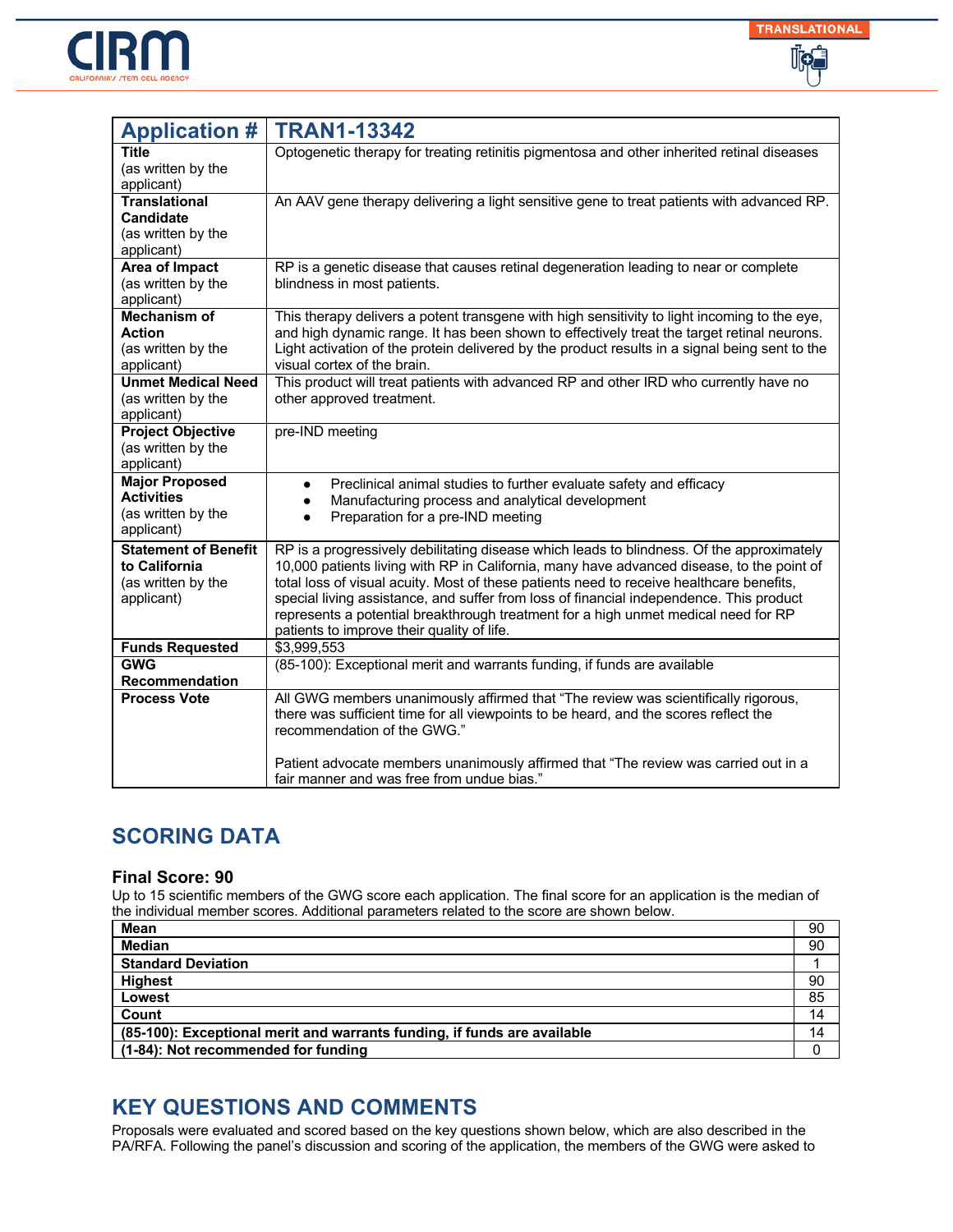



| <b>Application #</b>                                                             | <b>TRAN1-13342</b>                                                                                                                                                                                                                                                                                                                                                                                                                                                                                                |
|----------------------------------------------------------------------------------|-------------------------------------------------------------------------------------------------------------------------------------------------------------------------------------------------------------------------------------------------------------------------------------------------------------------------------------------------------------------------------------------------------------------------------------------------------------------------------------------------------------------|
| Title<br>(as written by the<br>applicant)                                        | Optogenetic therapy for treating retinitis pigmentosa and other inherited retinal diseases                                                                                                                                                                                                                                                                                                                                                                                                                        |
| <b>Translational</b><br><b>Candidate</b><br>(as written by the<br>applicant)     | An AAV gene therapy delivering a light sensitive gene to treat patients with advanced RP.                                                                                                                                                                                                                                                                                                                                                                                                                         |
| Area of Impact<br>(as written by the<br>applicant)                               | RP is a genetic disease that causes retinal degeneration leading to near or complete<br>blindness in most patients.                                                                                                                                                                                                                                                                                                                                                                                               |
| <b>Mechanism of</b><br>Action<br>(as written by the<br>applicant)                | This therapy delivers a potent transgene with high sensitivity to light incoming to the eye,<br>and high dynamic range. It has been shown to effectively treat the target retinal neurons.<br>Light activation of the protein delivered by the product results in a signal being sent to the<br>visual cortex of the brain.                                                                                                                                                                                       |
| <b>Unmet Medical Need</b><br>(as written by the<br>applicant)                    | This product will treat patients with advanced RP and other IRD who currently have no<br>other approved treatment.                                                                                                                                                                                                                                                                                                                                                                                                |
| <b>Project Objective</b><br>(as written by the<br>applicant)                     | pre-IND meeting                                                                                                                                                                                                                                                                                                                                                                                                                                                                                                   |
| <b>Major Proposed</b><br><b>Activities</b><br>(as written by the<br>applicant)   | Preclinical animal studies to further evaluate safety and efficacy<br>$\bullet$<br>Manufacturing process and analytical development<br>$\bullet$<br>Preparation for a pre-IND meeting                                                                                                                                                                                                                                                                                                                             |
| <b>Statement of Benefit</b><br>to California<br>(as written by the<br>applicant) | RP is a progressively debilitating disease which leads to blindness. Of the approximately<br>10,000 patients living with RP in California, many have advanced disease, to the point of<br>total loss of visual acuity. Most of these patients need to receive healthcare benefits,<br>special living assistance, and suffer from loss of financial independence. This product<br>represents a potential breakthrough treatment for a high unmet medical need for RP<br>patients to improve their quality of life. |
| <b>Funds Requested</b>                                                           | \$3,999,553                                                                                                                                                                                                                                                                                                                                                                                                                                                                                                       |
| <b>GWG</b><br>Recommendation                                                     | (85-100): Exceptional merit and warrants funding, if funds are available                                                                                                                                                                                                                                                                                                                                                                                                                                          |
| <b>Process Vote</b>                                                              | All GWG members unanimously affirmed that "The review was scientifically rigorous,<br>there was sufficient time for all viewpoints to be heard, and the scores reflect the<br>recommendation of the GWG."                                                                                                                                                                                                                                                                                                         |
|                                                                                  | Patient advocate members unanimously affirmed that "The review was carried out in a<br>fair manner and was free from undue bias."                                                                                                                                                                                                                                                                                                                                                                                 |

#### **Final Score: 90**

Up to 15 scientific members of the GWG score each application. The final score for an application is the median of the individual member scores. Additional parameters related to the score are shown below.

| <b>Mean</b>                                                              | 90 |
|--------------------------------------------------------------------------|----|
| <b>Median</b>                                                            | 90 |
| <b>Standard Deviation</b>                                                |    |
| <b>Highest</b>                                                           | 90 |
| Lowest                                                                   | 85 |
| Count                                                                    | 14 |
| (85-100): Exceptional merit and warrants funding, if funds are available | 14 |
| (1-84): Not recommended for funding                                      |    |

### **KEY QUESTIONS AND COMMENTS**

Proposals were evaluated and scored based on the key questions shown below, which are also described in the PA/RFA. Following the panel's discussion and scoring of the application, the members of the GWG were asked to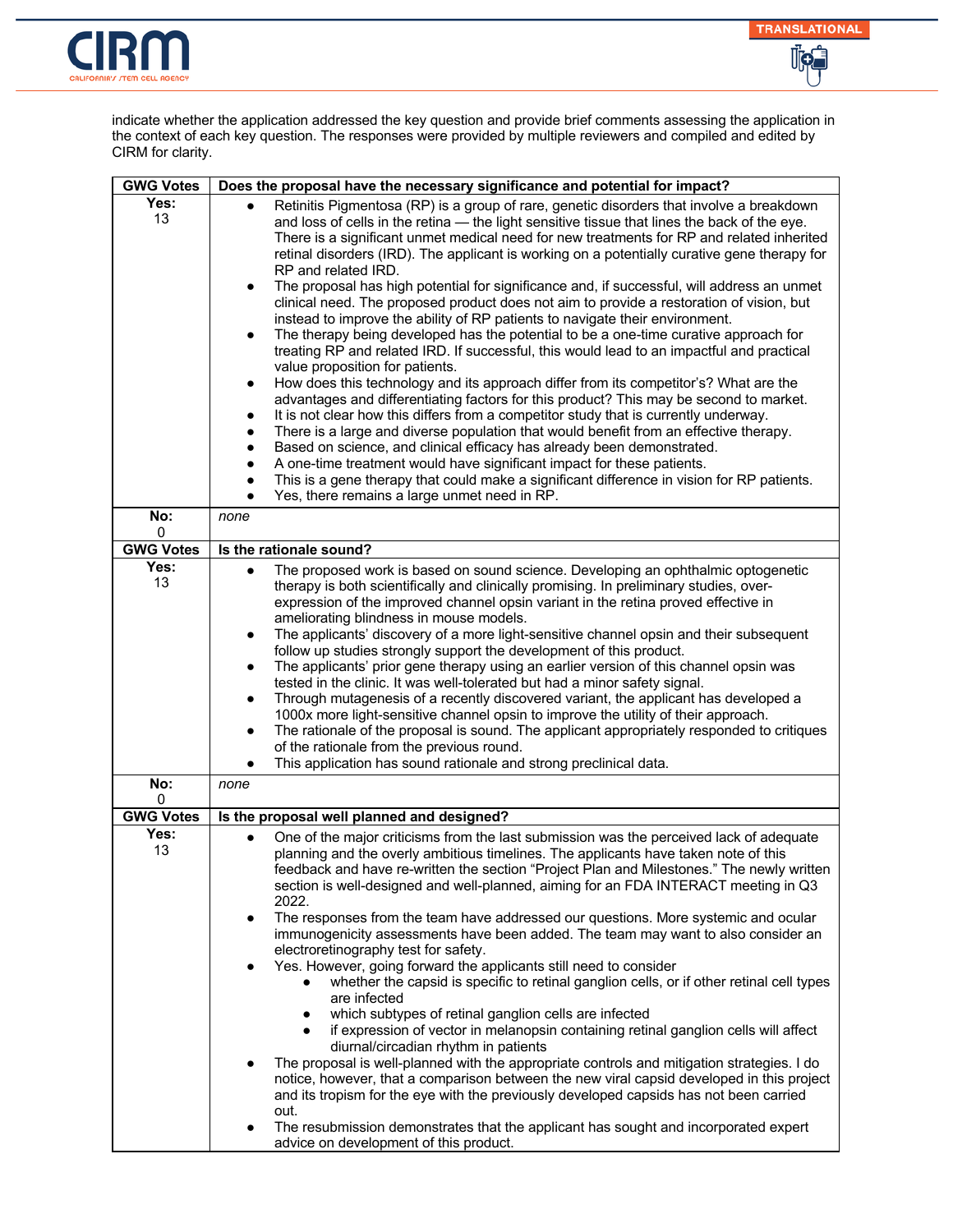



indicate whether the application addressed the key question and provide brief comments assessing the application in the context of each key question. The responses were provided by multiple reviewers and compiled and edited by CIRM for clarity.

| <b>GWG Votes</b>         | Does the proposal have the necessary significance and potential for impact?                                                                                                                                                                                                                                                                                                                                                                                                                                                                                                                                                                                                                                                                                                                                                                                                                                                                                                                                                                                                                                                                                                                                                                                                                                                                                                                                                                                                                                                                                                                                                                  |
|--------------------------|----------------------------------------------------------------------------------------------------------------------------------------------------------------------------------------------------------------------------------------------------------------------------------------------------------------------------------------------------------------------------------------------------------------------------------------------------------------------------------------------------------------------------------------------------------------------------------------------------------------------------------------------------------------------------------------------------------------------------------------------------------------------------------------------------------------------------------------------------------------------------------------------------------------------------------------------------------------------------------------------------------------------------------------------------------------------------------------------------------------------------------------------------------------------------------------------------------------------------------------------------------------------------------------------------------------------------------------------------------------------------------------------------------------------------------------------------------------------------------------------------------------------------------------------------------------------------------------------------------------------------------------------|
| Yes:<br>13               | Retinitis Pigmentosa (RP) is a group of rare, genetic disorders that involve a breakdown<br>$\bullet$<br>and loss of cells in the retina - the light sensitive tissue that lines the back of the eye.<br>There is a significant unmet medical need for new treatments for RP and related inherited<br>retinal disorders (IRD). The applicant is working on a potentially curative gene therapy for<br>RP and related IRD.<br>The proposal has high potential for significance and, if successful, will address an unmet<br>$\bullet$<br>clinical need. The proposed product does not aim to provide a restoration of vision, but<br>instead to improve the ability of RP patients to navigate their environment.<br>The therapy being developed has the potential to be a one-time curative approach for<br>$\bullet$<br>treating RP and related IRD. If successful, this would lead to an impactful and practical<br>value proposition for patients.<br>How does this technology and its approach differ from its competitor's? What are the<br>$\bullet$<br>advantages and differentiating factors for this product? This may be second to market.<br>It is not clear how this differs from a competitor study that is currently underway.<br>There is a large and diverse population that would benefit from an effective therapy.<br>٠<br>Based on science, and clinical efficacy has already been demonstrated.<br>A one-time treatment would have significant impact for these patients.<br>This is a gene therapy that could make a significant difference in vision for RP patients.<br>Yes, there remains a large unmet need in RP. |
| No:<br>0                 | none                                                                                                                                                                                                                                                                                                                                                                                                                                                                                                                                                                                                                                                                                                                                                                                                                                                                                                                                                                                                                                                                                                                                                                                                                                                                                                                                                                                                                                                                                                                                                                                                                                         |
| <b>GWG Votes</b><br>Yes: | Is the rationale sound?                                                                                                                                                                                                                                                                                                                                                                                                                                                                                                                                                                                                                                                                                                                                                                                                                                                                                                                                                                                                                                                                                                                                                                                                                                                                                                                                                                                                                                                                                                                                                                                                                      |
| 13<br>No:                | The proposed work is based on sound science. Developing an ophthalmic optogenetic<br>$\bullet$<br>therapy is both scientifically and clinically promising. In preliminary studies, over-<br>expression of the improved channel opsin variant in the retina proved effective in<br>ameliorating blindness in mouse models.<br>The applicants' discovery of a more light-sensitive channel opsin and their subsequent<br>$\bullet$<br>follow up studies strongly support the development of this product.<br>The applicants' prior gene therapy using an earlier version of this channel opsin was<br>$\bullet$<br>tested in the clinic. It was well-tolerated but had a minor safety signal.<br>Through mutagenesis of a recently discovered variant, the applicant has developed a<br>1000x more light-sensitive channel opsin to improve the utility of their approach.<br>The rationale of the proposal is sound. The applicant appropriately responded to critiques<br>$\bullet$<br>of the rationale from the previous round.<br>This application has sound rationale and strong preclinical data.<br>$\bullet$<br>none                                                                                                                                                                                                                                                                                                                                                                                                                                                                                                                   |
| 0                        |                                                                                                                                                                                                                                                                                                                                                                                                                                                                                                                                                                                                                                                                                                                                                                                                                                                                                                                                                                                                                                                                                                                                                                                                                                                                                                                                                                                                                                                                                                                                                                                                                                              |
| <b>GWG Votes</b>         | Is the proposal well planned and designed?                                                                                                                                                                                                                                                                                                                                                                                                                                                                                                                                                                                                                                                                                                                                                                                                                                                                                                                                                                                                                                                                                                                                                                                                                                                                                                                                                                                                                                                                                                                                                                                                   |
| Yes:<br>13               | One of the major criticisms from the last submission was the perceived lack of adequate<br>$\bullet$<br>planning and the overly ambitious timelines. The applicants have taken note of this<br>feedback and have re-written the section "Project Plan and Milestones." The newly written<br>section is well-designed and well-planned, aiming for an FDA INTERACT meeting in Q3<br>2022.<br>The responses from the team have addressed our questions. More systemic and ocular<br>$\bullet$<br>immunogenicity assessments have been added. The team may want to also consider an<br>electroretinography test for safety.<br>Yes. However, going forward the applicants still need to consider<br>whether the capsid is specific to retinal ganglion cells, or if other retinal cell types<br>are infected<br>which subtypes of retinal ganglion cells are infected<br>if expression of vector in melanopsin containing retinal ganglion cells will affect<br>diurnal/circadian rhythm in patients<br>The proposal is well-planned with the appropriate controls and mitigation strategies. I do<br>notice, however, that a comparison between the new viral capsid developed in this project<br>and its tropism for the eye with the previously developed capsids has not been carried<br>out.<br>The resubmission demonstrates that the applicant has sought and incorporated expert<br>advice on development of this product.                                                                                                                                                                                                              |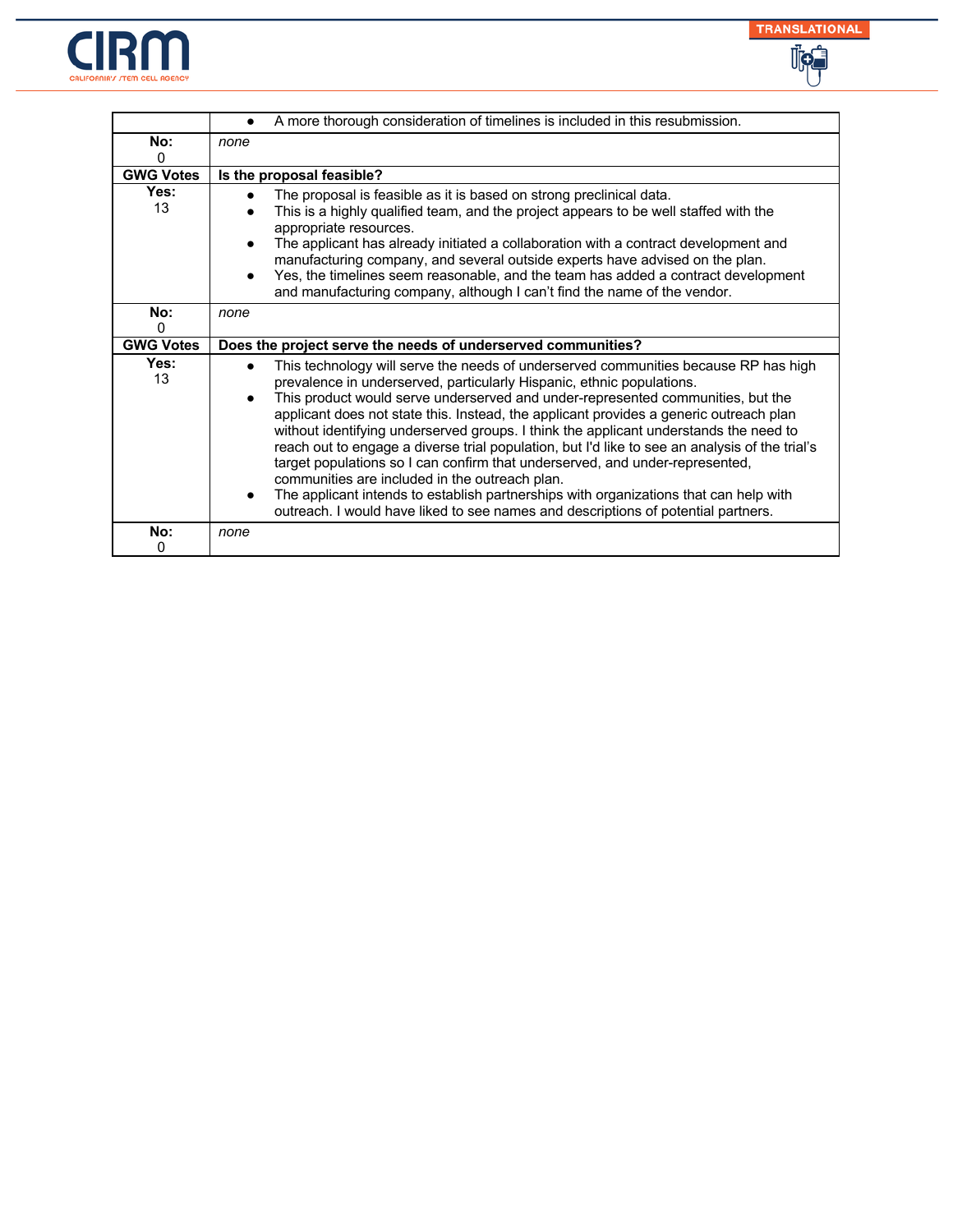



|                       | A more thorough consideration of timelines is included in this resubmission.                                                                                                                                                                                                                                                                                                                                                                                                                                                                            |
|-----------------------|---------------------------------------------------------------------------------------------------------------------------------------------------------------------------------------------------------------------------------------------------------------------------------------------------------------------------------------------------------------------------------------------------------------------------------------------------------------------------------------------------------------------------------------------------------|
| No:                   | none                                                                                                                                                                                                                                                                                                                                                                                                                                                                                                                                                    |
| 0                     |                                                                                                                                                                                                                                                                                                                                                                                                                                                                                                                                                         |
| <b>GWG Votes</b>      | Is the proposal feasible?                                                                                                                                                                                                                                                                                                                                                                                                                                                                                                                               |
| Yes:<br>13            | The proposal is feasible as it is based on strong preclinical data.<br>$\bullet$<br>This is a highly qualified team, and the project appears to be well staffed with the<br>appropriate resources.<br>The applicant has already initiated a collaboration with a contract development and<br>manufacturing company, and several outside experts have advised on the plan.<br>Yes, the timelines seem reasonable, and the team has added a contract development<br>$\bullet$<br>and manufacturing company, although I can't find the name of the vendor. |
| No:                   | none                                                                                                                                                                                                                                                                                                                                                                                                                                                                                                                                                    |
| 0<br><b>GWG Votes</b> |                                                                                                                                                                                                                                                                                                                                                                                                                                                                                                                                                         |
|                       | Does the project serve the needs of underserved communities?                                                                                                                                                                                                                                                                                                                                                                                                                                                                                            |
| Yes:<br>13            | This technology will serve the needs of underserved communities because RP has high<br>prevalence in underserved, particularly Hispanic, ethnic populations.<br>This product would serve underserved and under-represented communities, but the<br>applicant does not state this. Instead, the applicant provides a generic outreach plan<br>without identifying underserved groups. I think the applicant understands the need to<br>reach out to engage a diverse trial population, but I'd like to see an analysis of the trial's                    |
|                       | target populations so I can confirm that underserved, and under-represented,<br>communities are included in the outreach plan.<br>The applicant intends to establish partnerships with organizations that can help with<br>outreach. I would have liked to see names and descriptions of potential partners.                                                                                                                                                                                                                                            |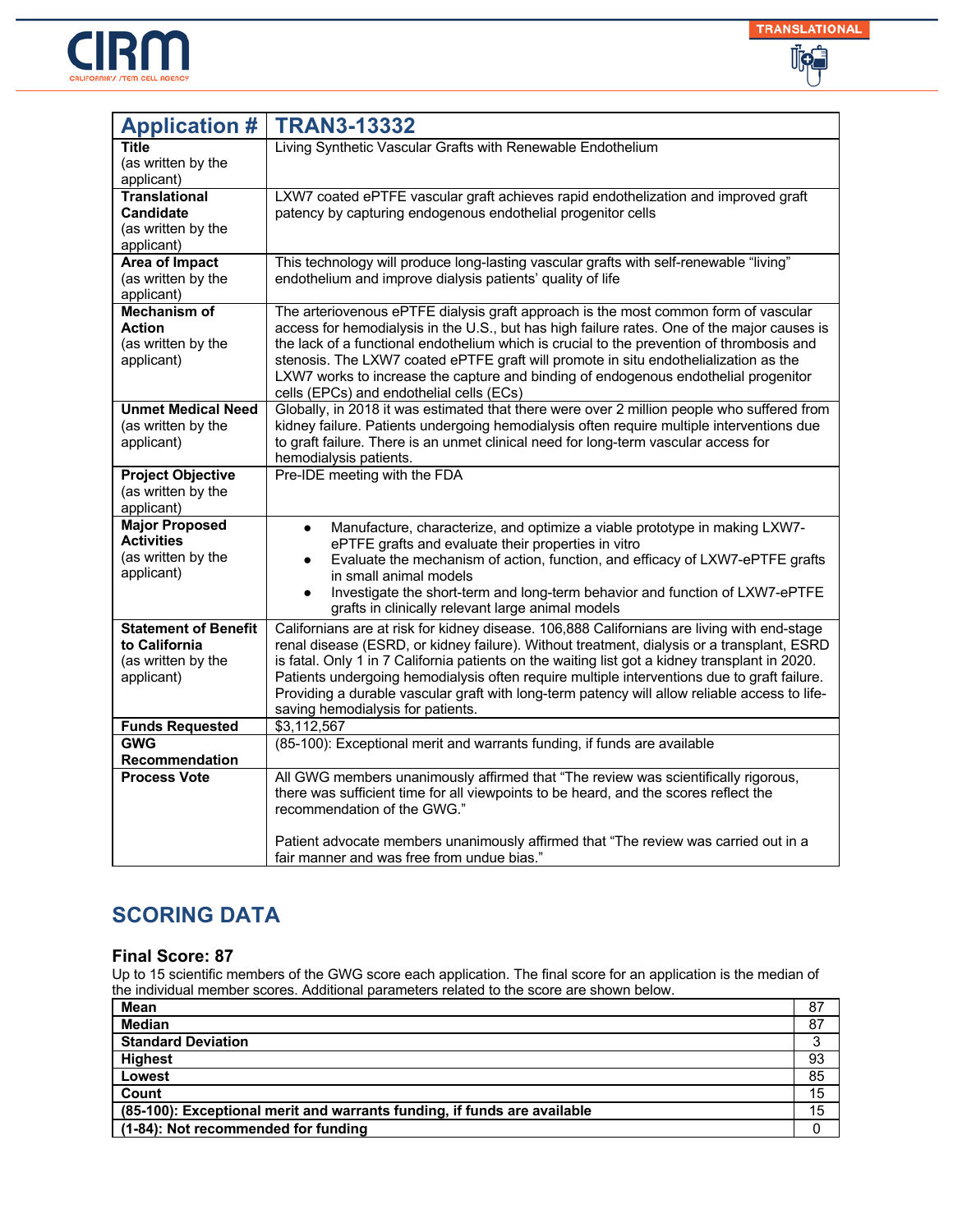



| <b>Application #</b>                       | <b>TRAN3-13332</b>                                                                                                                                                                           |
|--------------------------------------------|----------------------------------------------------------------------------------------------------------------------------------------------------------------------------------------------|
| Title                                      | Living Synthetic Vascular Grafts with Renewable Endothelium                                                                                                                                  |
| (as written by the<br>applicant)           |                                                                                                                                                                                              |
| <b>Translational</b>                       | LXW7 coated ePTFE vascular graft achieves rapid endothelization and improved graft                                                                                                           |
| <b>Candidate</b>                           | patency by capturing endogenous endothelial progenitor cells                                                                                                                                 |
| (as written by the                         |                                                                                                                                                                                              |
| applicant)<br><b>Area of Impact</b>        | This technology will produce long-lasting vascular grafts with self-renewable "living"                                                                                                       |
| (as written by the                         | endothelium and improve dialysis patients' quality of life                                                                                                                                   |
| applicant)                                 |                                                                                                                                                                                              |
| <b>Mechanism of</b>                        | The arteriovenous ePTFE dialysis graft approach is the most common form of vascular                                                                                                          |
| <b>Action</b><br>(as written by the        | access for hemodialysis in the U.S., but has high failure rates. One of the major causes is<br>the lack of a functional endothelium which is crucial to the prevention of thrombosis and     |
| applicant)                                 | stenosis. The LXW7 coated ePTFE graft will promote in situ endothelialization as the                                                                                                         |
|                                            | LXW7 works to increase the capture and binding of endogenous endothelial progenitor                                                                                                          |
|                                            | cells (EPCs) and endothelial cells (ECs)                                                                                                                                                     |
| <b>Unmet Medical Need</b>                  | Globally, in 2018 it was estimated that there were over 2 million people who suffered from                                                                                                   |
| (as written by the<br>applicant)           | kidney failure. Patients undergoing hemodialysis often require multiple interventions due<br>to graft failure. There is an unmet clinical need for long-term vascular access for             |
|                                            | hemodialysis patients.                                                                                                                                                                       |
| <b>Project Objective</b>                   | Pre-IDE meeting with the FDA                                                                                                                                                                 |
| (as written by the                         |                                                                                                                                                                                              |
| applicant)                                 |                                                                                                                                                                                              |
| <b>Major Proposed</b><br><b>Activities</b> | Manufacture, characterize, and optimize a viable prototype in making LXW7-<br>$\bullet$                                                                                                      |
| (as written by the                         | ePTFE grafts and evaluate their properties in vitro<br>Evaluate the mechanism of action, function, and efficacy of LXW7-ePTFE grafts                                                         |
| applicant)                                 | in small animal models                                                                                                                                                                       |
|                                            | Investigate the short-term and long-term behavior and function of LXW7-ePTFE<br>$\bullet$                                                                                                    |
|                                            | grafts in clinically relevant large animal models                                                                                                                                            |
| <b>Statement of Benefit</b>                | Californians are at risk for kidney disease. 106,888 Californians are living with end-stage                                                                                                  |
| to California<br>(as written by the        | renal disease (ESRD, or kidney failure). Without treatment, dialysis or a transplant, ESRD<br>is fatal. Only 1 in 7 California patients on the waiting list got a kidney transplant in 2020. |
| applicant)                                 | Patients undergoing hemodialysis often require multiple interventions due to graft failure.                                                                                                  |
|                                            | Providing a durable vascular graft with long-term patency will allow reliable access to life-                                                                                                |
|                                            | saving hemodialysis for patients.                                                                                                                                                            |
| <b>Funds Requested</b><br><b>GWG</b>       | \$3,112,567                                                                                                                                                                                  |
| Recommendation                             | (85-100): Exceptional merit and warrants funding, if funds are available                                                                                                                     |
| <b>Process Vote</b>                        | All GWG members unanimously affirmed that "The review was scientifically rigorous,                                                                                                           |
|                                            | there was sufficient time for all viewpoints to be heard, and the scores reflect the<br>recommendation of the GWG."                                                                          |
|                                            |                                                                                                                                                                                              |
|                                            | Patient advocate members unanimously affirmed that "The review was carried out in a<br>fair manner and was free from undue bias."                                                            |

### **Final Score: 87**

| Mean                                                                     | 87 |
|--------------------------------------------------------------------------|----|
| <b>Median</b>                                                            | 87 |
| <b>Standard Deviation</b>                                                |    |
| <b>Highest</b>                                                           | 93 |
| Lowest                                                                   | 85 |
| Count                                                                    | 15 |
| (85-100): Exceptional merit and warrants funding, if funds are available | 15 |
| (1-84): Not recommended for funding                                      |    |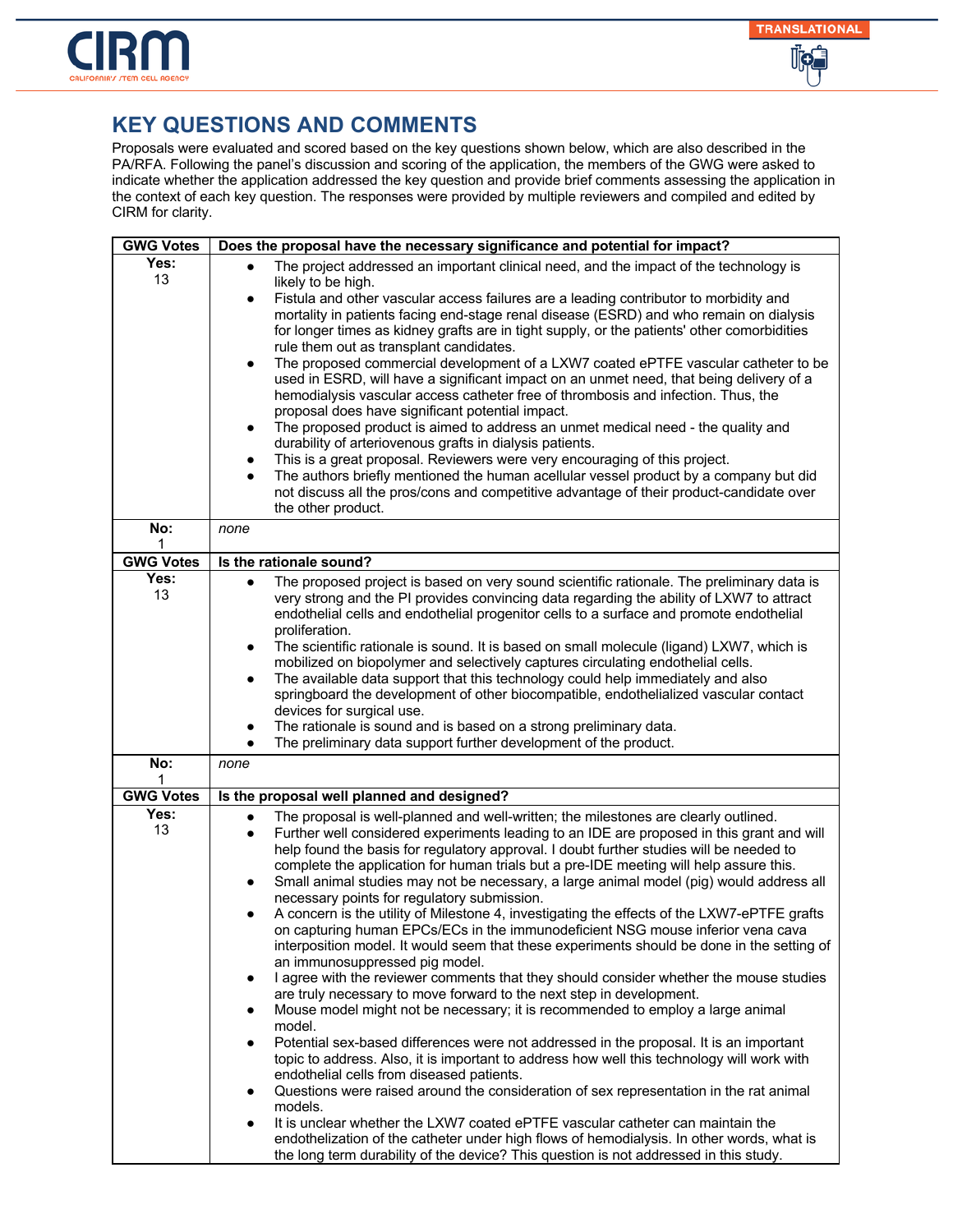

| <b>GWG Votes</b> | Does the proposal have the necessary significance and potential for impact?                                                                                                                                                                                                                                                                                                                                                                                                                                                                                                                                                                                                                                                                                                                                                                                                                                                                                                                                                                                                                                                                                                                                                                                                                                                                                                                                                                                                                                                                                                                                                                                                                                                                                                                                                    |
|------------------|--------------------------------------------------------------------------------------------------------------------------------------------------------------------------------------------------------------------------------------------------------------------------------------------------------------------------------------------------------------------------------------------------------------------------------------------------------------------------------------------------------------------------------------------------------------------------------------------------------------------------------------------------------------------------------------------------------------------------------------------------------------------------------------------------------------------------------------------------------------------------------------------------------------------------------------------------------------------------------------------------------------------------------------------------------------------------------------------------------------------------------------------------------------------------------------------------------------------------------------------------------------------------------------------------------------------------------------------------------------------------------------------------------------------------------------------------------------------------------------------------------------------------------------------------------------------------------------------------------------------------------------------------------------------------------------------------------------------------------------------------------------------------------------------------------------------------------|
| Yes:<br>13       | The project addressed an important clinical need, and the impact of the technology is<br>$\bullet$<br>likely to be high.<br>Fistula and other vascular access failures are a leading contributor to morbidity and<br>$\bullet$<br>mortality in patients facing end-stage renal disease (ESRD) and who remain on dialysis<br>for longer times as kidney grafts are in tight supply, or the patients' other comorbidities<br>rule them out as transplant candidates.<br>The proposed commercial development of a LXW7 coated ePTFE vascular catheter to be<br>$\bullet$<br>used in ESRD, will have a significant impact on an unmet need, that being delivery of a<br>hemodialysis vascular access catheter free of thrombosis and infection. Thus, the<br>proposal does have significant potential impact.<br>The proposed product is aimed to address an unmet medical need - the quality and<br>$\bullet$<br>durability of arteriovenous grafts in dialysis patients.<br>This is a great proposal. Reviewers were very encouraging of this project.<br>٠<br>The authors briefly mentioned the human acellular vessel product by a company but did<br>$\bullet$<br>not discuss all the pros/cons and competitive advantage of their product-candidate over<br>the other product.                                                                                                                                                                                                                                                                                                                                                                                                                                                                                                                                               |
| No:<br>1         | none                                                                                                                                                                                                                                                                                                                                                                                                                                                                                                                                                                                                                                                                                                                                                                                                                                                                                                                                                                                                                                                                                                                                                                                                                                                                                                                                                                                                                                                                                                                                                                                                                                                                                                                                                                                                                           |
| <b>GWG Votes</b> | Is the rationale sound?                                                                                                                                                                                                                                                                                                                                                                                                                                                                                                                                                                                                                                                                                                                                                                                                                                                                                                                                                                                                                                                                                                                                                                                                                                                                                                                                                                                                                                                                                                                                                                                                                                                                                                                                                                                                        |
| Yes:<br>13       | The proposed project is based on very sound scientific rationale. The preliminary data is<br>$\bullet$<br>very strong and the PI provides convincing data regarding the ability of LXW7 to attract<br>endothelial cells and endothelial progenitor cells to a surface and promote endothelial<br>proliferation.<br>The scientific rationale is sound. It is based on small molecule (ligand) LXW7, which is<br>$\bullet$<br>mobilized on biopolymer and selectively captures circulating endothelial cells.<br>The available data support that this technology could help immediately and also<br>$\bullet$<br>springboard the development of other biocompatible, endothelialized vascular contact<br>devices for surgical use.<br>The rationale is sound and is based on a strong preliminary data.<br>The preliminary data support further development of the product.                                                                                                                                                                                                                                                                                                                                                                                                                                                                                                                                                                                                                                                                                                                                                                                                                                                                                                                                                      |
| No:<br>1         | none                                                                                                                                                                                                                                                                                                                                                                                                                                                                                                                                                                                                                                                                                                                                                                                                                                                                                                                                                                                                                                                                                                                                                                                                                                                                                                                                                                                                                                                                                                                                                                                                                                                                                                                                                                                                                           |
| <b>GWG Votes</b> | Is the proposal well planned and designed?                                                                                                                                                                                                                                                                                                                                                                                                                                                                                                                                                                                                                                                                                                                                                                                                                                                                                                                                                                                                                                                                                                                                                                                                                                                                                                                                                                                                                                                                                                                                                                                                                                                                                                                                                                                     |
| Yes:<br>13       | The proposal is well-planned and well-written; the milestones are clearly outlined.<br>$\bullet$<br>Further well considered experiments leading to an IDE are proposed in this grant and will<br>$\bullet$<br>help found the basis for regulatory approval. I doubt further studies will be needed to<br>complete the application for human trials but a pre-IDE meeting will help assure this.<br>Small animal studies may not be necessary, a large animal model (pig) would address all<br>$\bullet$<br>necessary points for regulatory submission.<br>A concern is the utility of Milestone 4, investigating the effects of the LXW7-ePTFE grafts<br>$\bullet$<br>on capturing human EPCs/ECs in the immunodeficient NSG mouse inferior vena cava<br>interposition model. It would seem that these experiments should be done in the setting of<br>an immunosuppressed pig model.<br>I agree with the reviewer comments that they should consider whether the mouse studies<br>$\bullet$<br>are truly necessary to move forward to the next step in development.<br>Mouse model might not be necessary; it is recommended to employ a large animal<br>٠<br>model.<br>Potential sex-based differences were not addressed in the proposal. It is an important<br>$\bullet$<br>topic to address. Also, it is important to address how well this technology will work with<br>endothelial cells from diseased patients.<br>Questions were raised around the consideration of sex representation in the rat animal<br>$\bullet$<br>models.<br>It is unclear whether the LXW7 coated ePTFE vascular catheter can maintain the<br>$\bullet$<br>endothelization of the catheter under high flows of hemodialysis. In other words, what is<br>the long term durability of the device? This question is not addressed in this study. |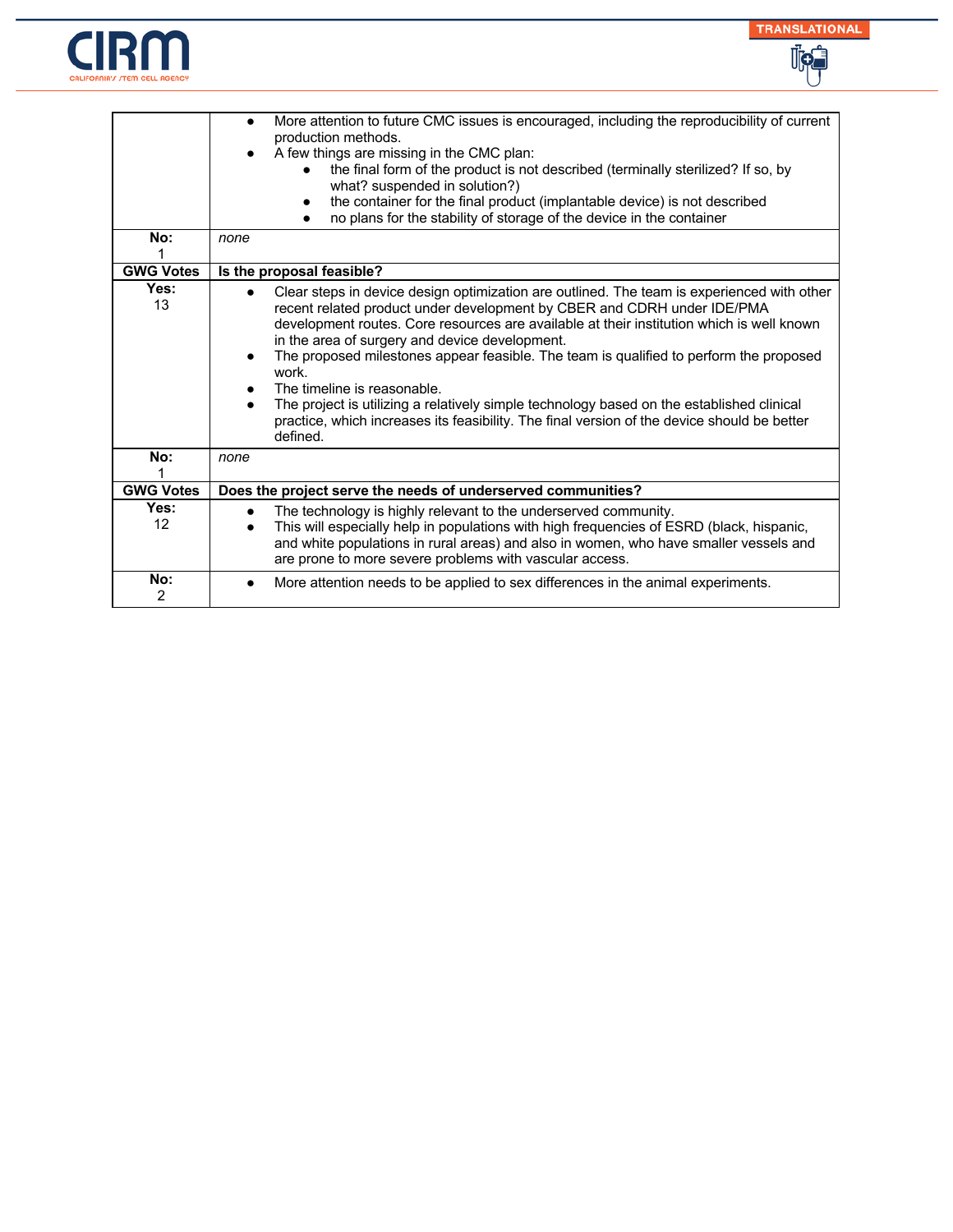



| No:                   | More attention to future CMC issues is encouraged, including the reproducibility of current<br>$\bullet$<br>production methods.<br>A few things are missing in the CMC plan:<br>the final form of the product is not described (terminally sterilized? If so, by<br>what? suspended in solution?)<br>the container for the final product (implantable device) is not described<br>no plans for the stability of storage of the device in the container<br>none                                                                                                                                                                                                                           |
|-----------------------|------------------------------------------------------------------------------------------------------------------------------------------------------------------------------------------------------------------------------------------------------------------------------------------------------------------------------------------------------------------------------------------------------------------------------------------------------------------------------------------------------------------------------------------------------------------------------------------------------------------------------------------------------------------------------------------|
| <b>GWG Votes</b>      | Is the proposal feasible?                                                                                                                                                                                                                                                                                                                                                                                                                                                                                                                                                                                                                                                                |
| Yes:<br>13            | Clear steps in device design optimization are outlined. The team is experienced with other<br>$\bullet$<br>recent related product under development by CBER and CDRH under IDE/PMA<br>development routes. Core resources are available at their institution which is well known<br>in the area of surgery and device development.<br>The proposed milestones appear feasible. The team is qualified to perform the proposed<br>$\bullet$<br>work.<br>The timeline is reasonable.<br>The project is utilizing a relatively simple technology based on the established clinical<br>practice, which increases its feasibility. The final version of the device should be better<br>defined. |
| No:                   | none                                                                                                                                                                                                                                                                                                                                                                                                                                                                                                                                                                                                                                                                                     |
| <b>GWG Votes</b>      | Does the project serve the needs of underserved communities?                                                                                                                                                                                                                                                                                                                                                                                                                                                                                                                                                                                                                             |
| Yes:<br>12            | The technology is highly relevant to the underserved community.<br>$\bullet$<br>This will especially help in populations with high frequencies of ESRD (black, hispanic,<br>and white populations in rural areas) and also in women, who have smaller vessels and<br>are prone to more severe problems with vascular access.                                                                                                                                                                                                                                                                                                                                                             |
| No:<br>$\overline{2}$ | More attention needs to be applied to sex differences in the animal experiments.                                                                                                                                                                                                                                                                                                                                                                                                                                                                                                                                                                                                         |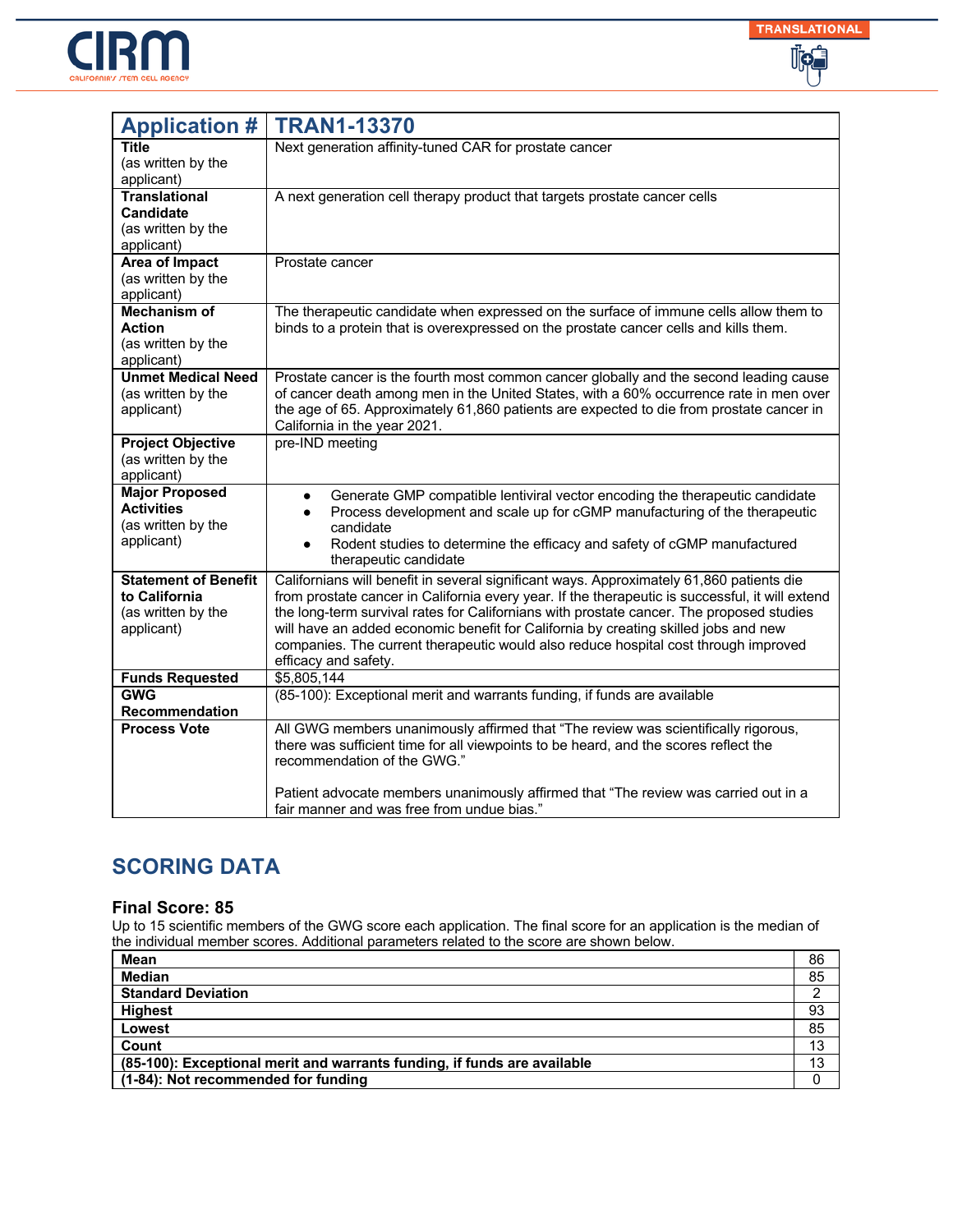



| <b>Application #</b>                       | <b>TRAN1-13370</b>                                                                                                                                                                 |
|--------------------------------------------|------------------------------------------------------------------------------------------------------------------------------------------------------------------------------------|
| <b>Title</b>                               | Next generation affinity-tuned CAR for prostate cancer                                                                                                                             |
| (as written by the                         |                                                                                                                                                                                    |
| applicant)<br><b>Translational</b>         | A next generation cell therapy product that targets prostate cancer cells                                                                                                          |
| <b>Candidate</b>                           |                                                                                                                                                                                    |
| (as written by the                         |                                                                                                                                                                                    |
| applicant)                                 |                                                                                                                                                                                    |
| <b>Area of Impact</b>                      | Prostate cancer                                                                                                                                                                    |
| (as written by the<br>applicant)           |                                                                                                                                                                                    |
| <b>Mechanism of</b>                        | The therapeutic candidate when expressed on the surface of immune cells allow them to                                                                                              |
| <b>Action</b>                              | binds to a protein that is overexpressed on the prostate cancer cells and kills them.                                                                                              |
| (as written by the                         |                                                                                                                                                                                    |
| applicant)                                 |                                                                                                                                                                                    |
| <b>Unmet Medical Need</b>                  | Prostate cancer is the fourth most common cancer globally and the second leading cause                                                                                             |
| (as written by the<br>applicant)           | of cancer death among men in the United States, with a 60% occurrence rate in men over<br>the age of 65. Approximately 61,860 patients are expected to die from prostate cancer in |
|                                            | California in the year 2021.                                                                                                                                                       |
| <b>Project Objective</b>                   | pre-IND meeting                                                                                                                                                                    |
| (as written by the                         |                                                                                                                                                                                    |
| applicant)                                 |                                                                                                                                                                                    |
| <b>Major Proposed</b><br><b>Activities</b> | Generate GMP compatible lentiviral vector encoding the therapeutic candidate<br>$\bullet$                                                                                          |
| (as written by the                         | Process development and scale up for cGMP manufacturing of the therapeutic<br>$\bullet$<br>candidate                                                                               |
| applicant)                                 | Rodent studies to determine the efficacy and safety of cGMP manufactured<br>$\bullet$                                                                                              |
|                                            | therapeutic candidate                                                                                                                                                              |
| <b>Statement of Benefit</b>                | Californians will benefit in several significant ways. Approximately 61,860 patients die                                                                                           |
| to California                              | from prostate cancer in California every year. If the therapeutic is successful, it will extend                                                                                    |
| (as written by the                         | the long-term survival rates for Californians with prostate cancer. The proposed studies                                                                                           |
| applicant)                                 | will have an added economic benefit for California by creating skilled jobs and new<br>companies. The current therapeutic would also reduce hospital cost through improved         |
|                                            | efficacy and safety.                                                                                                                                                               |
| <b>Funds Requested</b>                     | \$5,805,144                                                                                                                                                                        |
| <b>GWG</b>                                 | (85-100): Exceptional merit and warrants funding, if funds are available                                                                                                           |
| <b>Recommendation</b>                      |                                                                                                                                                                                    |
| <b>Process Vote</b>                        | All GWG members unanimously affirmed that "The review was scientifically rigorous,                                                                                                 |
|                                            | there was sufficient time for all viewpoints to be heard, and the scores reflect the<br>recommendation of the GWG."                                                                |
|                                            |                                                                                                                                                                                    |
|                                            | Patient advocate members unanimously affirmed that "The review was carried out in a                                                                                                |
|                                            | fair manner and was free from undue bias."                                                                                                                                         |

### **Final Score: 85**

| Mean                                                                     | 86 |
|--------------------------------------------------------------------------|----|
| <b>Median</b>                                                            | 85 |
| <b>Standard Deviation</b>                                                |    |
| <b>Highest</b>                                                           | 93 |
| Lowest                                                                   | 85 |
| Count                                                                    | 13 |
| (85-100): Exceptional merit and warrants funding, if funds are available | 13 |
| (1-84): Not recommended for funding                                      |    |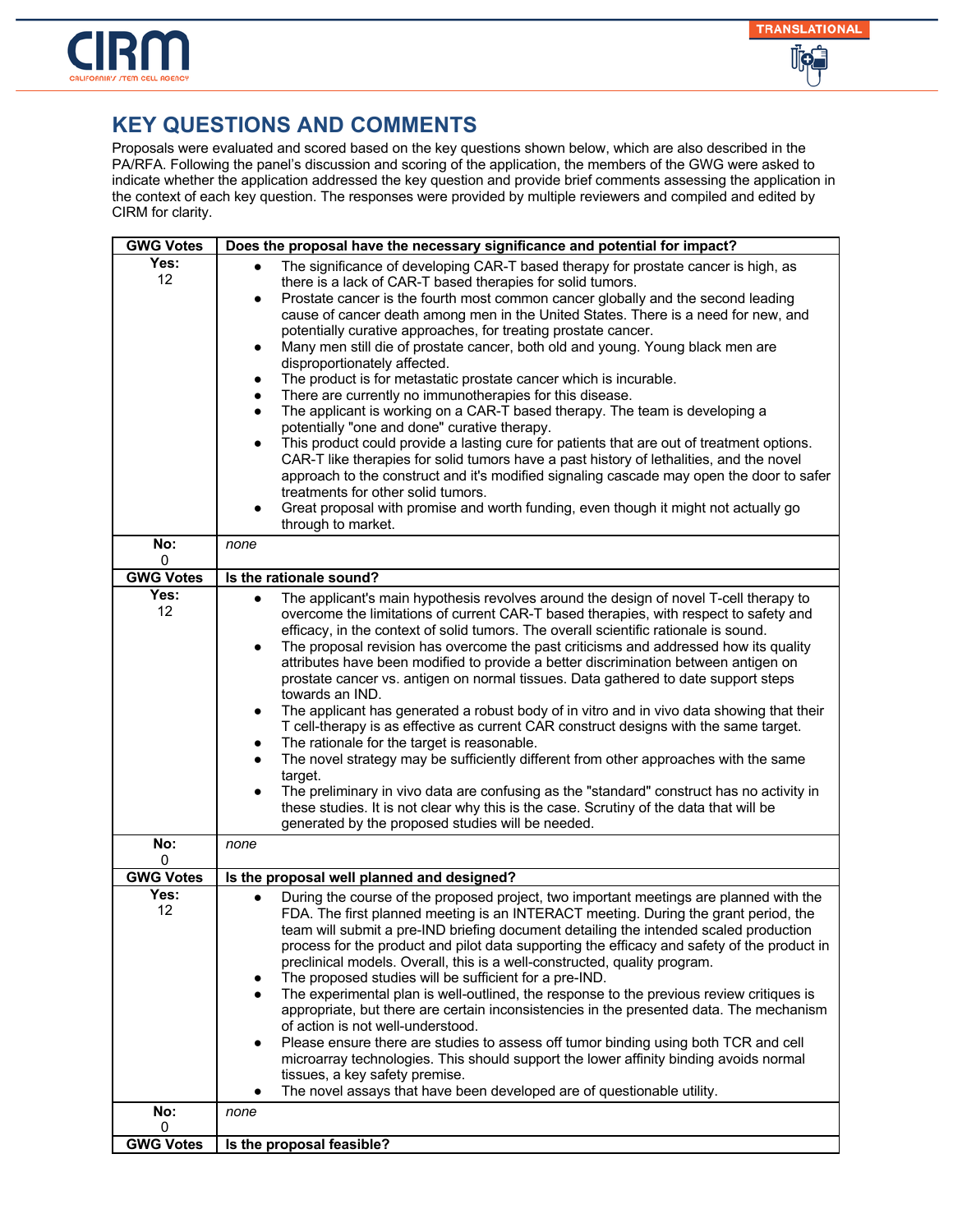

| <b>GWG Votes</b>  | Does the proposal have the necessary significance and potential for impact?                                                                                                                                                                                                                                                                                                                                                                                                                                                                                                                                                                                                                                                                                                                                                                                                                                                                                                                                                                                                                                                                                                                                                                                                                    |
|-------------------|------------------------------------------------------------------------------------------------------------------------------------------------------------------------------------------------------------------------------------------------------------------------------------------------------------------------------------------------------------------------------------------------------------------------------------------------------------------------------------------------------------------------------------------------------------------------------------------------------------------------------------------------------------------------------------------------------------------------------------------------------------------------------------------------------------------------------------------------------------------------------------------------------------------------------------------------------------------------------------------------------------------------------------------------------------------------------------------------------------------------------------------------------------------------------------------------------------------------------------------------------------------------------------------------|
| Yes:<br>12<br>No: | The significance of developing CAR-T based therapy for prostate cancer is high, as<br>there is a lack of CAR-T based therapies for solid tumors.<br>Prostate cancer is the fourth most common cancer globally and the second leading<br>$\bullet$<br>cause of cancer death among men in the United States. There is a need for new, and<br>potentially curative approaches, for treating prostate cancer.<br>Many men still die of prostate cancer, both old and young. Young black men are<br>$\bullet$<br>disproportionately affected.<br>The product is for metastatic prostate cancer which is incurable.<br>$\bullet$<br>There are currently no immunotherapies for this disease.<br>$\bullet$<br>The applicant is working on a CAR-T based therapy. The team is developing a<br>$\bullet$<br>potentially "one and done" curative therapy.<br>This product could provide a lasting cure for patients that are out of treatment options.<br>CAR-T like therapies for solid tumors have a past history of lethalities, and the novel<br>approach to the construct and it's modified signaling cascade may open the door to safer<br>treatments for other solid tumors.<br>Great proposal with promise and worth funding, even though it might not actually go<br>through to market.<br>none |
| 0                 |                                                                                                                                                                                                                                                                                                                                                                                                                                                                                                                                                                                                                                                                                                                                                                                                                                                                                                                                                                                                                                                                                                                                                                                                                                                                                                |
| <b>GWG Votes</b>  | Is the rationale sound?                                                                                                                                                                                                                                                                                                                                                                                                                                                                                                                                                                                                                                                                                                                                                                                                                                                                                                                                                                                                                                                                                                                                                                                                                                                                        |
| Yes:<br>12        | The applicant's main hypothesis revolves around the design of novel T-cell therapy to<br>$\bullet$<br>overcome the limitations of current CAR-T based therapies, with respect to safety and<br>efficacy, in the context of solid tumors. The overall scientific rationale is sound.<br>The proposal revision has overcome the past criticisms and addressed how its quality<br>attributes have been modified to provide a better discrimination between antigen on<br>prostate cancer vs. antigen on normal tissues. Data gathered to date support steps<br>towards an IND.<br>The applicant has generated a robust body of in vitro and in vivo data showing that their<br>T cell-therapy is as effective as current CAR construct designs with the same target.<br>The rationale for the target is reasonable.<br>٠<br>The novel strategy may be sufficiently different from other approaches with the same<br>target.<br>The preliminary in vivo data are confusing as the "standard" construct has no activity in<br>$\bullet$<br>these studies. It is not clear why this is the case. Scrutiny of the data that will be<br>generated by the proposed studies will be needed.                                                                                                              |
| No:<br>0          | none                                                                                                                                                                                                                                                                                                                                                                                                                                                                                                                                                                                                                                                                                                                                                                                                                                                                                                                                                                                                                                                                                                                                                                                                                                                                                           |
| <b>GWG Votes</b>  | Is the proposal well planned and designed?                                                                                                                                                                                                                                                                                                                                                                                                                                                                                                                                                                                                                                                                                                                                                                                                                                                                                                                                                                                                                                                                                                                                                                                                                                                     |
| Yes:<br>12        | During the course of the proposed project, two important meetings are planned with the<br>FDA. The first planned meeting is an INTERACT meeting. During the grant period, the<br>team will submit a pre-IND briefing document detailing the intended scaled production<br>process for the product and pilot data supporting the efficacy and safety of the product in<br>preclinical models. Overall, this is a well-constructed, quality program.<br>The proposed studies will be sufficient for a pre-IND.<br>The experimental plan is well-outlined, the response to the previous review critiques is<br>appropriate, but there are certain inconsistencies in the presented data. The mechanism<br>of action is not well-understood.<br>Please ensure there are studies to assess off tumor binding using both TCR and cell<br>microarray technologies. This should support the lower affinity binding avoids normal<br>tissues, a key safety premise.<br>The novel assays that have been developed are of questionable utility.<br>٠                                                                                                                                                                                                                                                      |
| No:<br>0          | none                                                                                                                                                                                                                                                                                                                                                                                                                                                                                                                                                                                                                                                                                                                                                                                                                                                                                                                                                                                                                                                                                                                                                                                                                                                                                           |
| <b>GWG Votes</b>  | Is the proposal feasible?                                                                                                                                                                                                                                                                                                                                                                                                                                                                                                                                                                                                                                                                                                                                                                                                                                                                                                                                                                                                                                                                                                                                                                                                                                                                      |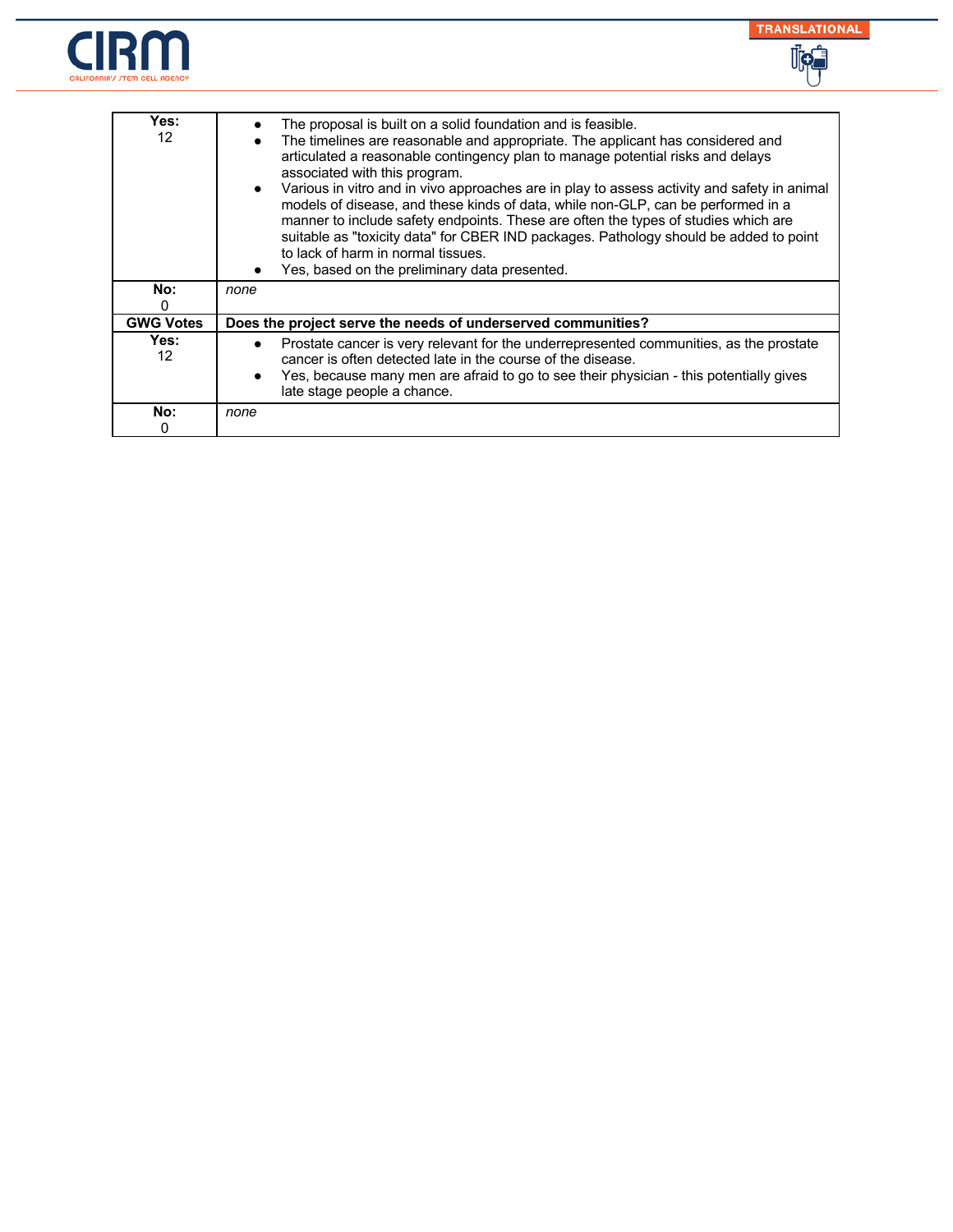



| Yes:<br>12       | The proposal is built on a solid foundation and is feasible.<br>The timelines are reasonable and appropriate. The applicant has considered and<br>articulated a reasonable contingency plan to manage potential risks and delays<br>associated with this program.<br>Various in vitro and in vivo approaches are in play to assess activity and safety in animal<br>models of disease, and these kinds of data, while non-GLP, can be performed in a<br>manner to include safety endpoints. These are often the types of studies which are<br>suitable as "toxicity data" for CBER IND packages. Pathology should be added to point<br>to lack of harm in normal tissues.<br>Yes, based on the preliminary data presented. |
|------------------|----------------------------------------------------------------------------------------------------------------------------------------------------------------------------------------------------------------------------------------------------------------------------------------------------------------------------------------------------------------------------------------------------------------------------------------------------------------------------------------------------------------------------------------------------------------------------------------------------------------------------------------------------------------------------------------------------------------------------|
| No:<br>0         | none                                                                                                                                                                                                                                                                                                                                                                                                                                                                                                                                                                                                                                                                                                                       |
| <b>GWG Votes</b> | Does the project serve the needs of underserved communities?                                                                                                                                                                                                                                                                                                                                                                                                                                                                                                                                                                                                                                                               |
| Yes:<br>12       | Prostate cancer is very relevant for the underrepresented communities, as the prostate<br>cancer is often detected late in the course of the disease.<br>Yes, because many men are afraid to go to see their physician - this potentially gives<br>late stage people a chance.                                                                                                                                                                                                                                                                                                                                                                                                                                             |
| No:<br>0         | none                                                                                                                                                                                                                                                                                                                                                                                                                                                                                                                                                                                                                                                                                                                       |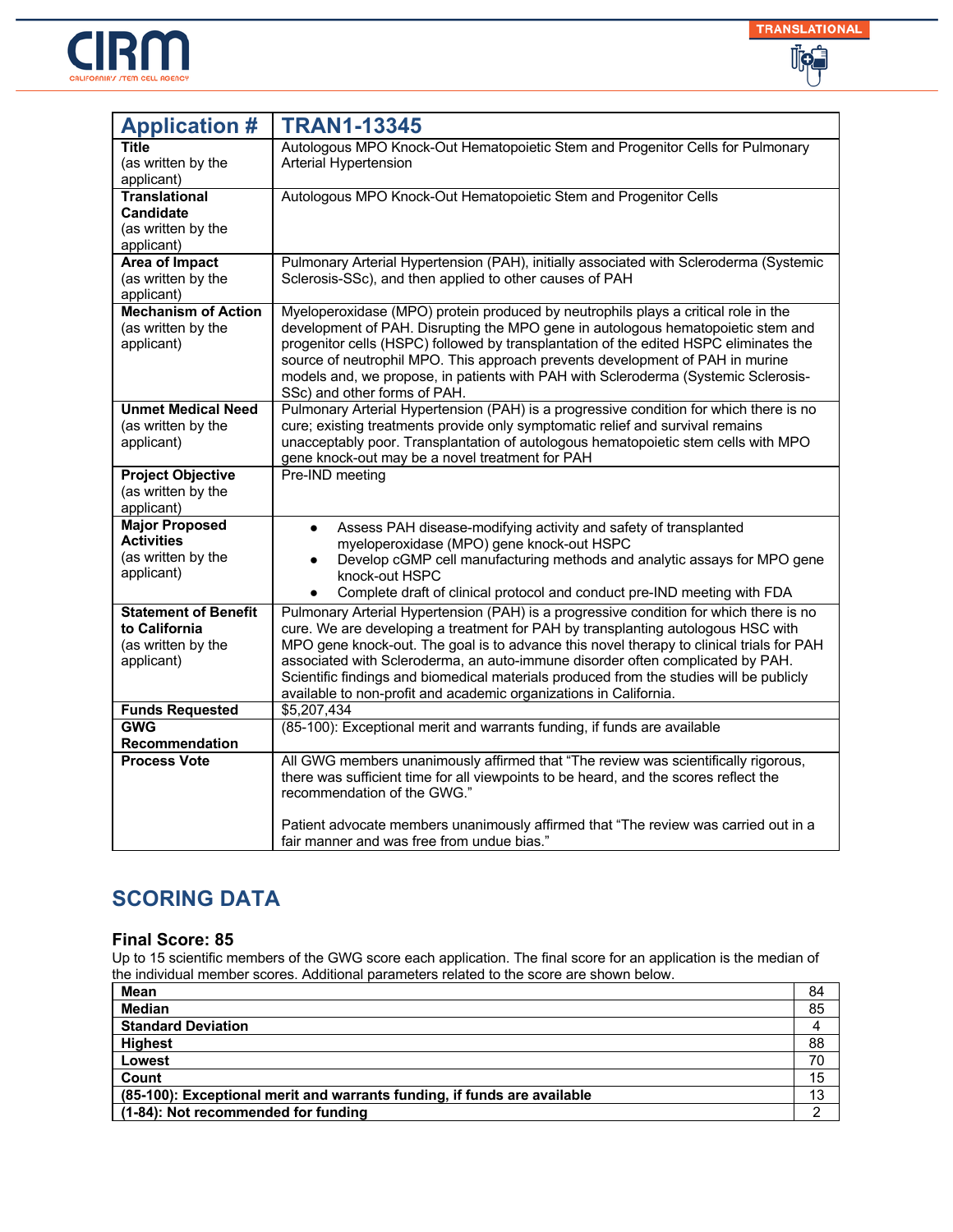



| <b>Application #</b>                                                             | <b>TRAN1-13345</b>                                                                                                                                                                                                                                                                                                                                                                                                                                                                                                       |
|----------------------------------------------------------------------------------|--------------------------------------------------------------------------------------------------------------------------------------------------------------------------------------------------------------------------------------------------------------------------------------------------------------------------------------------------------------------------------------------------------------------------------------------------------------------------------------------------------------------------|
| <b>Title</b><br>(as written by the<br>applicant)                                 | Autologous MPO Knock-Out Hematopoietic Stem and Progenitor Cells for Pulmonary<br>Arterial Hypertension                                                                                                                                                                                                                                                                                                                                                                                                                  |
| <b>Translational</b><br><b>Candidate</b><br>(as written by the<br>applicant)     | Autologous MPO Knock-Out Hematopoietic Stem and Progenitor Cells                                                                                                                                                                                                                                                                                                                                                                                                                                                         |
| <b>Area of Impact</b><br>(as written by the<br>applicant)                        | Pulmonary Arterial Hypertension (PAH), initially associated with Scleroderma (Systemic<br>Sclerosis-SSc), and then applied to other causes of PAH                                                                                                                                                                                                                                                                                                                                                                        |
| <b>Mechanism of Action</b><br>(as written by the<br>applicant)                   | Myeloperoxidase (MPO) protein produced by neutrophils plays a critical role in the<br>development of PAH. Disrupting the MPO gene in autologous hematopoietic stem and<br>progenitor cells (HSPC) followed by transplantation of the edited HSPC eliminates the<br>source of neutrophil MPO. This approach prevents development of PAH in murine<br>models and, we propose, in patients with PAH with Scleroderma (Systemic Sclerosis-<br>SSc) and other forms of PAH.                                                   |
| <b>Unmet Medical Need</b><br>(as written by the<br>applicant)                    | Pulmonary Arterial Hypertension (PAH) is a progressive condition for which there is no<br>cure; existing treatments provide only symptomatic relief and survival remains<br>unacceptably poor. Transplantation of autologous hematopoietic stem cells with MPO<br>gene knock-out may be a novel treatment for PAH                                                                                                                                                                                                        |
| <b>Project Objective</b><br>(as written by the<br>applicant)                     | Pre-IND meeting                                                                                                                                                                                                                                                                                                                                                                                                                                                                                                          |
| <b>Major Proposed</b><br><b>Activities</b><br>(as written by the<br>applicant)   | Assess PAH disease-modifying activity and safety of transplanted<br>$\bullet$<br>myeloperoxidase (MPO) gene knock-out HSPC<br>Develop cGMP cell manufacturing methods and analytic assays for MPO gene<br>knock-out HSPC<br>Complete draft of clinical protocol and conduct pre-IND meeting with FDA<br>$\bullet$                                                                                                                                                                                                        |
| <b>Statement of Benefit</b><br>to California<br>(as written by the<br>applicant) | Pulmonary Arterial Hypertension (PAH) is a progressive condition for which there is no<br>cure. We are developing a treatment for PAH by transplanting autologous HSC with<br>MPO gene knock-out. The goal is to advance this novel therapy to clinical trials for PAH<br>associated with Scleroderma, an auto-immune disorder often complicated by PAH.<br>Scientific findings and biomedical materials produced from the studies will be publicly<br>available to non-profit and academic organizations in California. |
| <b>Funds Requested</b><br><b>GWG</b>                                             | \$5,207,434<br>(85-100): Exceptional merit and warrants funding, if funds are available                                                                                                                                                                                                                                                                                                                                                                                                                                  |
| <b>Recommendation</b>                                                            |                                                                                                                                                                                                                                                                                                                                                                                                                                                                                                                          |
| <b>Process Vote</b>                                                              | All GWG members unanimously affirmed that "The review was scientifically rigorous,<br>there was sufficient time for all viewpoints to be heard, and the scores reflect the<br>recommendation of the GWG."                                                                                                                                                                                                                                                                                                                |
|                                                                                  | Patient advocate members unanimously affirmed that "The review was carried out in a<br>fair manner and was free from undue bias."                                                                                                                                                                                                                                                                                                                                                                                        |

### **Final Score: 85**

| Mean                                                                     | 84 |
|--------------------------------------------------------------------------|----|
| <b>Median</b>                                                            | 85 |
| <b>Standard Deviation</b>                                                |    |
| <b>Highest</b>                                                           | 88 |
| Lowest                                                                   | 70 |
| Count                                                                    | 15 |
| (85-100): Exceptional merit and warrants funding, if funds are available |    |
| (1-84): Not recommended for funding                                      |    |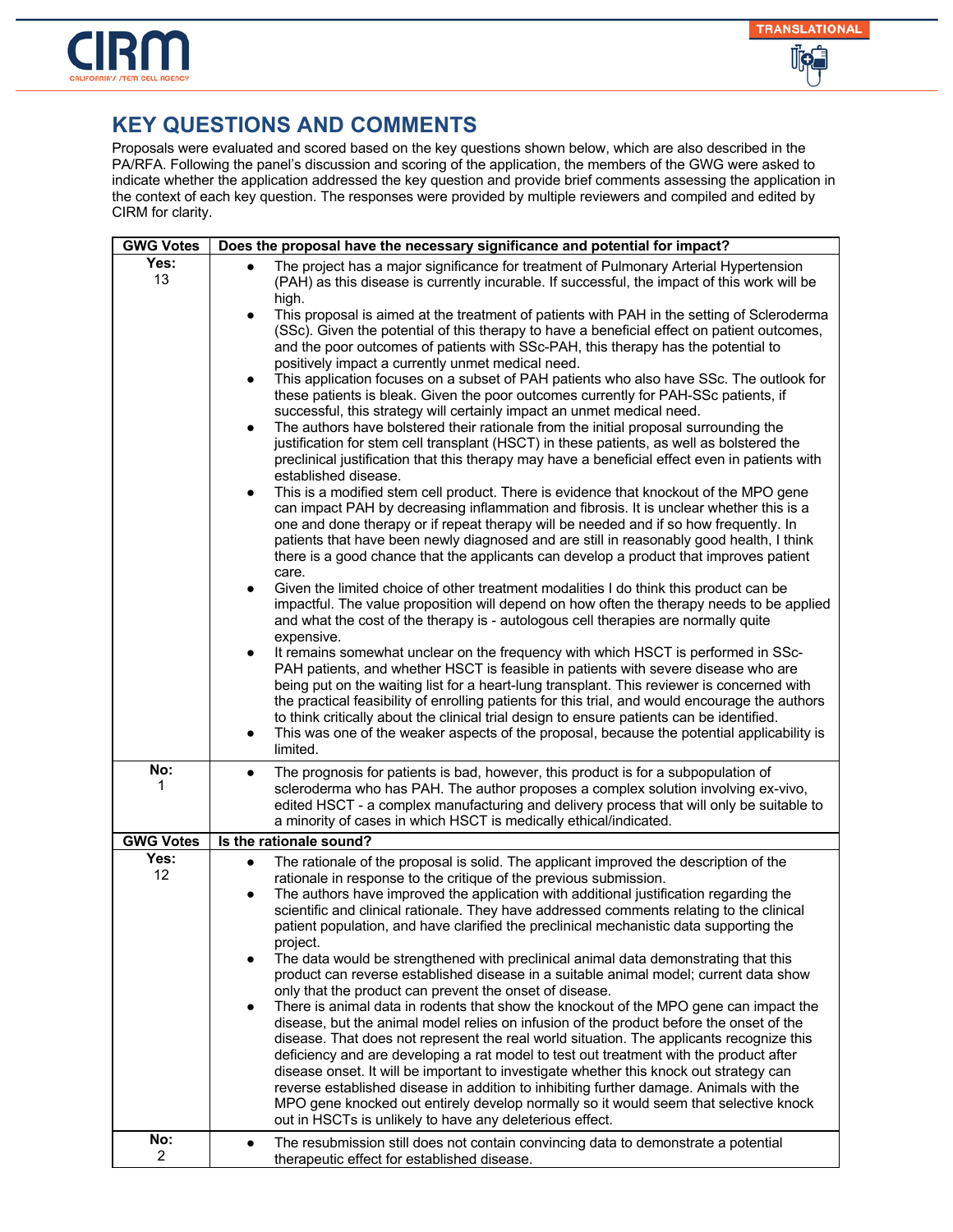

| <b>GWG Votes</b> | Does the proposal have the necessary significance and potential for impact?                                                                                                                                                                                                                                                                                                                                                                                                                                                                                                                                                                                                                                                                                                                                                                                                                                                                                                                                                                                                                                                                                                                                                                                                                                                                                                                                                     |
|------------------|---------------------------------------------------------------------------------------------------------------------------------------------------------------------------------------------------------------------------------------------------------------------------------------------------------------------------------------------------------------------------------------------------------------------------------------------------------------------------------------------------------------------------------------------------------------------------------------------------------------------------------------------------------------------------------------------------------------------------------------------------------------------------------------------------------------------------------------------------------------------------------------------------------------------------------------------------------------------------------------------------------------------------------------------------------------------------------------------------------------------------------------------------------------------------------------------------------------------------------------------------------------------------------------------------------------------------------------------------------------------------------------------------------------------------------|
| Yes:<br>13       | The project has a major significance for treatment of Pulmonary Arterial Hypertension<br>(PAH) as this disease is currently incurable. If successful, the impact of this work will be<br>high.                                                                                                                                                                                                                                                                                                                                                                                                                                                                                                                                                                                                                                                                                                                                                                                                                                                                                                                                                                                                                                                                                                                                                                                                                                  |
|                  | This proposal is aimed at the treatment of patients with PAH in the setting of Scleroderma<br>$\bullet$<br>(SSc). Given the potential of this therapy to have a beneficial effect on patient outcomes,<br>and the poor outcomes of patients with SSc-PAH, this therapy has the potential to<br>positively impact a currently unmet medical need.<br>This application focuses on a subset of PAH patients who also have SSc. The outlook for<br>$\bullet$<br>these patients is bleak. Given the poor outcomes currently for PAH-SSc patients, if<br>successful, this strategy will certainly impact an unmet medical need.<br>The authors have bolstered their rationale from the initial proposal surrounding the<br>$\bullet$<br>justification for stem cell transplant (HSCT) in these patients, as well as bolstered the<br>preclinical justification that this therapy may have a beneficial effect even in patients with<br>established disease.<br>This is a modified stem cell product. There is evidence that knockout of the MPO gene<br>$\bullet$                                                                                                                                                                                                                                                                                                                                                                     |
|                  | can impact PAH by decreasing inflammation and fibrosis. It is unclear whether this is a<br>one and done therapy or if repeat therapy will be needed and if so how frequently. In<br>patients that have been newly diagnosed and are still in reasonably good health, I think<br>there is a good chance that the applicants can develop a product that improves patient<br>care.                                                                                                                                                                                                                                                                                                                                                                                                                                                                                                                                                                                                                                                                                                                                                                                                                                                                                                                                                                                                                                                 |
|                  | Given the limited choice of other treatment modalities I do think this product can be<br>impactful. The value proposition will depend on how often the therapy needs to be applied<br>and what the cost of the therapy is - autologous cell therapies are normally quite<br>expensive.                                                                                                                                                                                                                                                                                                                                                                                                                                                                                                                                                                                                                                                                                                                                                                                                                                                                                                                                                                                                                                                                                                                                          |
|                  | It remains somewhat unclear on the frequency with which HSCT is performed in SSc-<br>$\bullet$<br>PAH patients, and whether HSCT is feasible in patients with severe disease who are<br>being put on the waiting list for a heart-lung transplant. This reviewer is concerned with<br>the practical feasibility of enrolling patients for this trial, and would encourage the authors<br>to think critically about the clinical trial design to ensure patients can be identified.<br>This was one of the weaker aspects of the proposal, because the potential applicability is<br>$\bullet$<br>limited.                                                                                                                                                                                                                                                                                                                                                                                                                                                                                                                                                                                                                                                                                                                                                                                                                       |
| No:<br>1         | The prognosis for patients is bad, however, this product is for a subpopulation of<br>$\bullet$<br>scleroderma who has PAH. The author proposes a complex solution involving ex-vivo,<br>edited HSCT - a complex manufacturing and delivery process that will only be suitable to<br>a minority of cases in which HSCT is medically ethical/indicated.                                                                                                                                                                                                                                                                                                                                                                                                                                                                                                                                                                                                                                                                                                                                                                                                                                                                                                                                                                                                                                                                          |
| <b>GWG Votes</b> | Is the rationale sound?                                                                                                                                                                                                                                                                                                                                                                                                                                                                                                                                                                                                                                                                                                                                                                                                                                                                                                                                                                                                                                                                                                                                                                                                                                                                                                                                                                                                         |
| Yes:<br>12       | The rationale of the proposal is solid. The applicant improved the description of the<br>rationale in response to the critique of the previous submission.<br>The authors have improved the application with additional justification regarding the<br>$\bullet$<br>scientific and clinical rationale. They have addressed comments relating to the clinical<br>patient population, and have clarified the preclinical mechanistic data supporting the<br>project.<br>The data would be strengthened with preclinical animal data demonstrating that this<br>product can reverse established disease in a suitable animal model; current data show<br>only that the product can prevent the onset of disease.<br>There is animal data in rodents that show the knockout of the MPO gene can impact the<br>disease, but the animal model relies on infusion of the product before the onset of the<br>disease. That does not represent the real world situation. The applicants recognize this<br>deficiency and are developing a rat model to test out treatment with the product after<br>disease onset. It will be important to investigate whether this knock out strategy can<br>reverse established disease in addition to inhibiting further damage. Animals with the<br>MPO gene knocked out entirely develop normally so it would seem that selective knock<br>out in HSCTs is unlikely to have any deleterious effect. |
| No:<br>2         | The resubmission still does not contain convincing data to demonstrate a potential<br>therapeutic effect for established disease.                                                                                                                                                                                                                                                                                                                                                                                                                                                                                                                                                                                                                                                                                                                                                                                                                                                                                                                                                                                                                                                                                                                                                                                                                                                                                               |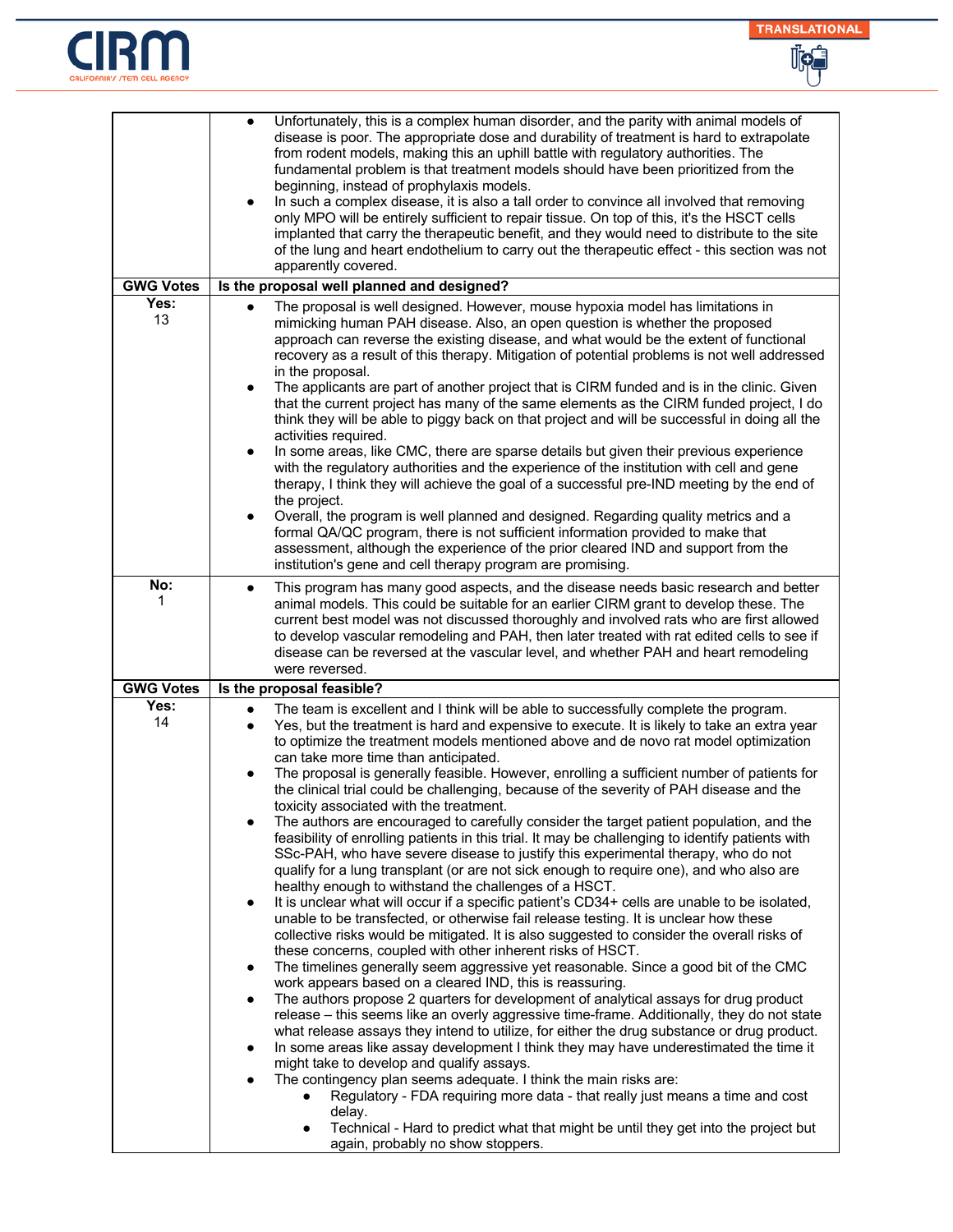



| <b>GWG Votes</b> | Unfortunately, this is a complex human disorder, and the parity with animal models of<br>disease is poor. The appropriate dose and durability of treatment is hard to extrapolate<br>from rodent models, making this an uphill battle with regulatory authorities. The<br>fundamental problem is that treatment models should have been prioritized from the<br>beginning, instead of prophylaxis models.<br>In such a complex disease, it is also a tall order to convince all involved that removing<br>only MPO will be entirely sufficient to repair tissue. On top of this, it's the HSCT cells<br>implanted that carry the therapeutic benefit, and they would need to distribute to the site<br>of the lung and heart endothelium to carry out the therapeutic effect - this section was not<br>apparently covered.<br>Is the proposal well planned and designed?                                                                                                                                                                                                                                                                                                                                                                                                                                                                                                                                                                                                                                                                                                                                                                                                                                                                                                                                                                                                                                                                                                                                                                                                                                                                                                                                                                                                                                  |
|------------------|-----------------------------------------------------------------------------------------------------------------------------------------------------------------------------------------------------------------------------------------------------------------------------------------------------------------------------------------------------------------------------------------------------------------------------------------------------------------------------------------------------------------------------------------------------------------------------------------------------------------------------------------------------------------------------------------------------------------------------------------------------------------------------------------------------------------------------------------------------------------------------------------------------------------------------------------------------------------------------------------------------------------------------------------------------------------------------------------------------------------------------------------------------------------------------------------------------------------------------------------------------------------------------------------------------------------------------------------------------------------------------------------------------------------------------------------------------------------------------------------------------------------------------------------------------------------------------------------------------------------------------------------------------------------------------------------------------------------------------------------------------------------------------------------------------------------------------------------------------------------------------------------------------------------------------------------------------------------------------------------------------------------------------------------------------------------------------------------------------------------------------------------------------------------------------------------------------------------------------------------------------------------------------------------------------------|
| Yes:             |                                                                                                                                                                                                                                                                                                                                                                                                                                                                                                                                                                                                                                                                                                                                                                                                                                                                                                                                                                                                                                                                                                                                                                                                                                                                                                                                                                                                                                                                                                                                                                                                                                                                                                                                                                                                                                                                                                                                                                                                                                                                                                                                                                                                                                                                                                           |
| 13               | The proposal is well designed. However, mouse hypoxia model has limitations in<br>$\bullet$<br>mimicking human PAH disease. Also, an open question is whether the proposed<br>approach can reverse the existing disease, and what would be the extent of functional<br>recovery as a result of this therapy. Mitigation of potential problems is not well addressed<br>in the proposal.<br>The applicants are part of another project that is CIRM funded and is in the clinic. Given<br>$\bullet$<br>that the current project has many of the same elements as the CIRM funded project, I do<br>think they will be able to piggy back on that project and will be successful in doing all the<br>activities required.<br>In some areas, like CMC, there are sparse details but given their previous experience<br>$\bullet$<br>with the regulatory authorities and the experience of the institution with cell and gene<br>therapy, I think they will achieve the goal of a successful pre-IND meeting by the end of<br>the project.<br>Overall, the program is well planned and designed. Regarding quality metrics and a<br>$\bullet$<br>formal QA/QC program, there is not sufficient information provided to make that<br>assessment, although the experience of the prior cleared IND and support from the<br>institution's gene and cell therapy program are promising.                                                                                                                                                                                                                                                                                                                                                                                                                                                                                                                                                                                                                                                                                                                                                                                                                                                                                                                            |
| No:              | This program has many good aspects, and the disease needs basic research and better                                                                                                                                                                                                                                                                                                                                                                                                                                                                                                                                                                                                                                                                                                                                                                                                                                                                                                                                                                                                                                                                                                                                                                                                                                                                                                                                                                                                                                                                                                                                                                                                                                                                                                                                                                                                                                                                                                                                                                                                                                                                                                                                                                                                                       |
| 1                | $\bullet$<br>animal models. This could be suitable for an earlier CIRM grant to develop these. The<br>current best model was not discussed thoroughly and involved rats who are first allowed<br>to develop vascular remodeling and PAH, then later treated with rat edited cells to see if<br>disease can be reversed at the vascular level, and whether PAH and heart remodeling<br>were reversed.                                                                                                                                                                                                                                                                                                                                                                                                                                                                                                                                                                                                                                                                                                                                                                                                                                                                                                                                                                                                                                                                                                                                                                                                                                                                                                                                                                                                                                                                                                                                                                                                                                                                                                                                                                                                                                                                                                      |
| <b>GWG Votes</b> | Is the proposal feasible?                                                                                                                                                                                                                                                                                                                                                                                                                                                                                                                                                                                                                                                                                                                                                                                                                                                                                                                                                                                                                                                                                                                                                                                                                                                                                                                                                                                                                                                                                                                                                                                                                                                                                                                                                                                                                                                                                                                                                                                                                                                                                                                                                                                                                                                                                 |
| Yes:<br>14       | The team is excellent and I think will be able to successfully complete the program.<br>$\bullet$<br>Yes, but the treatment is hard and expensive to execute. It is likely to take an extra year<br>$\bullet$<br>to optimize the treatment models mentioned above and de novo rat model optimization<br>can take more time than anticipated.<br>The proposal is generally feasible. However, enrolling a sufficient number of patients for<br>$\bullet$<br>the clinical trial could be challenging, because of the severity of PAH disease and the<br>toxicity associated with the treatment.<br>The authors are encouraged to carefully consider the target patient population, and the<br>$\bullet$<br>feasibility of enrolling patients in this trial. It may be challenging to identify patients with<br>SSc-PAH, who have severe disease to justify this experimental therapy, who do not<br>qualify for a lung transplant (or are not sick enough to require one), and who also are<br>healthy enough to withstand the challenges of a HSCT.<br>It is unclear what will occur if a specific patient's CD34+ cells are unable to be isolated,<br>$\bullet$<br>unable to be transfected, or otherwise fail release testing. It is unclear how these<br>collective risks would be mitigated. It is also suggested to consider the overall risks of<br>these concerns, coupled with other inherent risks of HSCT.<br>The timelines generally seem aggressive yet reasonable. Since a good bit of the CMC<br>$\bullet$<br>work appears based on a cleared IND, this is reassuring.<br>The authors propose 2 quarters for development of analytical assays for drug product<br>$\bullet$<br>release – this seems like an overly aggressive time-frame. Additionally, they do not state<br>what release assays they intend to utilize, for either the drug substance or drug product.<br>In some areas like assay development I think they may have underestimated the time it<br>$\bullet$<br>might take to develop and qualify assays.<br>The contingency plan seems adequate. I think the main risks are:<br>$\bullet$<br>Regulatory - FDA requiring more data - that really just means a time and cost<br>delay.<br>Technical - Hard to predict what that might be until they get into the project but |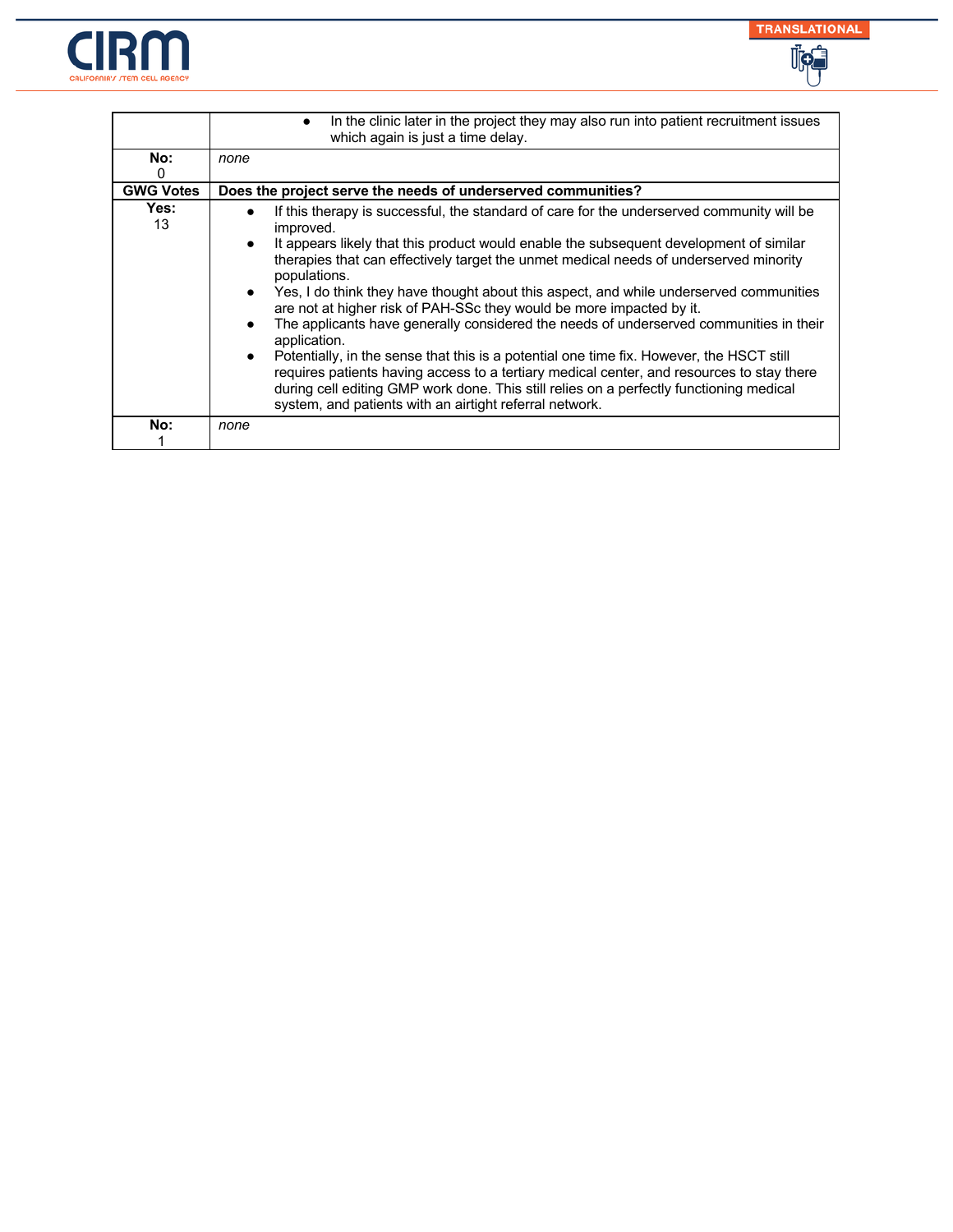



|                  | In the clinic later in the project they may also run into patient recruitment issues<br>which again is just a time delay.                                                                                                                                                                                                                                                                                                                                                                                                                                                                                                                                                                                                                                                                                                                                                                                                            |
|------------------|--------------------------------------------------------------------------------------------------------------------------------------------------------------------------------------------------------------------------------------------------------------------------------------------------------------------------------------------------------------------------------------------------------------------------------------------------------------------------------------------------------------------------------------------------------------------------------------------------------------------------------------------------------------------------------------------------------------------------------------------------------------------------------------------------------------------------------------------------------------------------------------------------------------------------------------|
| No:              | none                                                                                                                                                                                                                                                                                                                                                                                                                                                                                                                                                                                                                                                                                                                                                                                                                                                                                                                                 |
| 0                |                                                                                                                                                                                                                                                                                                                                                                                                                                                                                                                                                                                                                                                                                                                                                                                                                                                                                                                                      |
| <b>GWG Votes</b> | Does the project serve the needs of underserved communities?                                                                                                                                                                                                                                                                                                                                                                                                                                                                                                                                                                                                                                                                                                                                                                                                                                                                         |
| Yes:<br>13       | If this therapy is successful, the standard of care for the underserved community will be<br>improved.<br>It appears likely that this product would enable the subsequent development of similar<br>therapies that can effectively target the unmet medical needs of underserved minority<br>populations.<br>Yes, I do think they have thought about this aspect, and while underserved communities<br>are not at higher risk of PAH-SSc they would be more impacted by it.<br>The applicants have generally considered the needs of underserved communities in their<br>application.<br>Potentially, in the sense that this is a potential one time fix. However, the HSCT still<br>requires patients having access to a tertiary medical center, and resources to stay there<br>during cell editing GMP work done. This still relies on a perfectly functioning medical<br>system, and patients with an airtight referral network. |
| No:              | none                                                                                                                                                                                                                                                                                                                                                                                                                                                                                                                                                                                                                                                                                                                                                                                                                                                                                                                                 |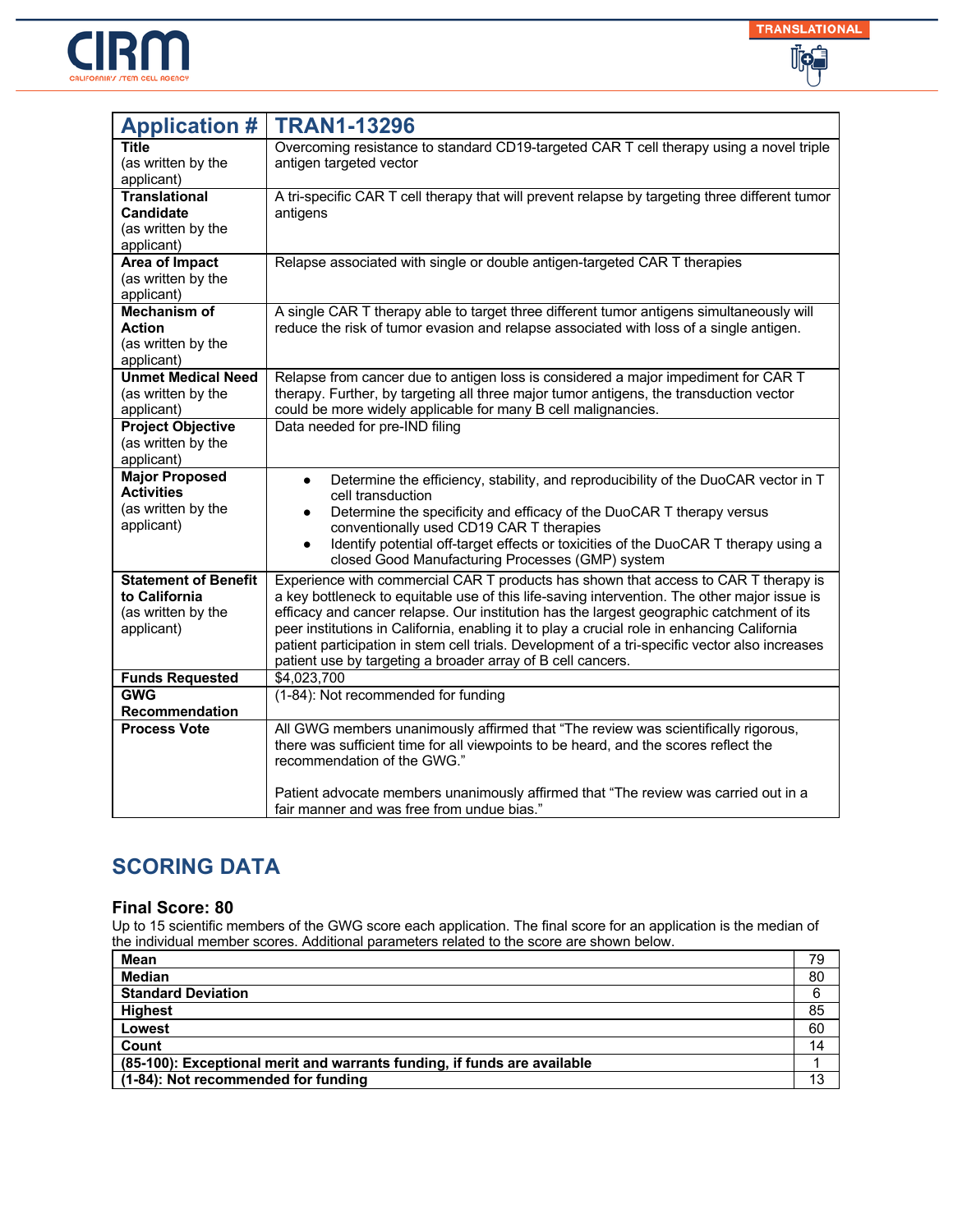



| <b>Application #</b>                                                             | <b>TRAN1-13296</b>                                                                                                                                                                                                                                                                                                                                                                                                                                                                                                                              |
|----------------------------------------------------------------------------------|-------------------------------------------------------------------------------------------------------------------------------------------------------------------------------------------------------------------------------------------------------------------------------------------------------------------------------------------------------------------------------------------------------------------------------------------------------------------------------------------------------------------------------------------------|
| Title<br>(as written by the<br>applicant)                                        | Overcoming resistance to standard CD19-targeted CAR T cell therapy using a novel triple<br>antigen targeted vector                                                                                                                                                                                                                                                                                                                                                                                                                              |
| <b>Translational</b><br><b>Candidate</b><br>(as written by the<br>applicant)     | A tri-specific CAR T cell therapy that will prevent relapse by targeting three different tumor<br>antigens                                                                                                                                                                                                                                                                                                                                                                                                                                      |
| Area of Impact<br>(as written by the<br>applicant)                               | Relapse associated with single or double antigen-targeted CAR T therapies                                                                                                                                                                                                                                                                                                                                                                                                                                                                       |
| <b>Mechanism of</b><br><b>Action</b><br>(as written by the<br>applicant)         | A single CAR T therapy able to target three different tumor antigens simultaneously will<br>reduce the risk of tumor evasion and relapse associated with loss of a single antigen.                                                                                                                                                                                                                                                                                                                                                              |
| <b>Unmet Medical Need</b><br>(as written by the<br>applicant)                    | Relapse from cancer due to antigen loss is considered a major impediment for CAR T<br>therapy. Further, by targeting all three major tumor antigens, the transduction vector<br>could be more widely applicable for many B cell malignancies.                                                                                                                                                                                                                                                                                                   |
| <b>Project Objective</b><br>(as written by the<br>applicant)                     | Data needed for pre-IND filing                                                                                                                                                                                                                                                                                                                                                                                                                                                                                                                  |
| <b>Major Proposed</b><br><b>Activities</b><br>(as written by the<br>applicant)   | Determine the efficiency, stability, and reproducibility of the DuoCAR vector in T<br>$\bullet$<br>cell transduction<br>Determine the specificity and efficacy of the DuoCAR T therapy versus<br>conventionally used CD19 CAR T therapies<br>Identify potential off-target effects or toxicities of the DuoCAR T therapy using a<br>$\bullet$<br>closed Good Manufacturing Processes (GMP) system                                                                                                                                               |
| <b>Statement of Benefit</b><br>to California<br>(as written by the<br>applicant) | Experience with commercial CAR T products has shown that access to CAR T therapy is<br>a key bottleneck to equitable use of this life-saving intervention. The other major issue is<br>efficacy and cancer relapse. Our institution has the largest geographic catchment of its<br>peer institutions in California, enabling it to play a crucial role in enhancing California<br>patient participation in stem cell trials. Development of a tri-specific vector also increases<br>patient use by targeting a broader array of B cell cancers. |
| <b>Funds Requested</b>                                                           | \$4,023,700                                                                                                                                                                                                                                                                                                                                                                                                                                                                                                                                     |
| <b>GWG</b><br>Recommendation                                                     | (1-84): Not recommended for funding                                                                                                                                                                                                                                                                                                                                                                                                                                                                                                             |
| <b>Process Vote</b>                                                              | All GWG members unanimously affirmed that "The review was scientifically rigorous,<br>there was sufficient time for all viewpoints to be heard, and the scores reflect the<br>recommendation of the GWG."<br>Patient advocate members unanimously affirmed that "The review was carried out in a                                                                                                                                                                                                                                                |
|                                                                                  | fair manner and was free from undue bias."                                                                                                                                                                                                                                                                                                                                                                                                                                                                                                      |

### **Final Score: 80**

| Mean                                                                     | 79 |
|--------------------------------------------------------------------------|----|
| <b>Median</b>                                                            | 80 |
| <b>Standard Deviation</b>                                                | 6  |
| <b>Highest</b>                                                           | 85 |
| Lowest                                                                   | 60 |
| Count                                                                    | 14 |
| (85-100): Exceptional merit and warrants funding, if funds are available |    |
| (1-84): Not recommended for funding                                      |    |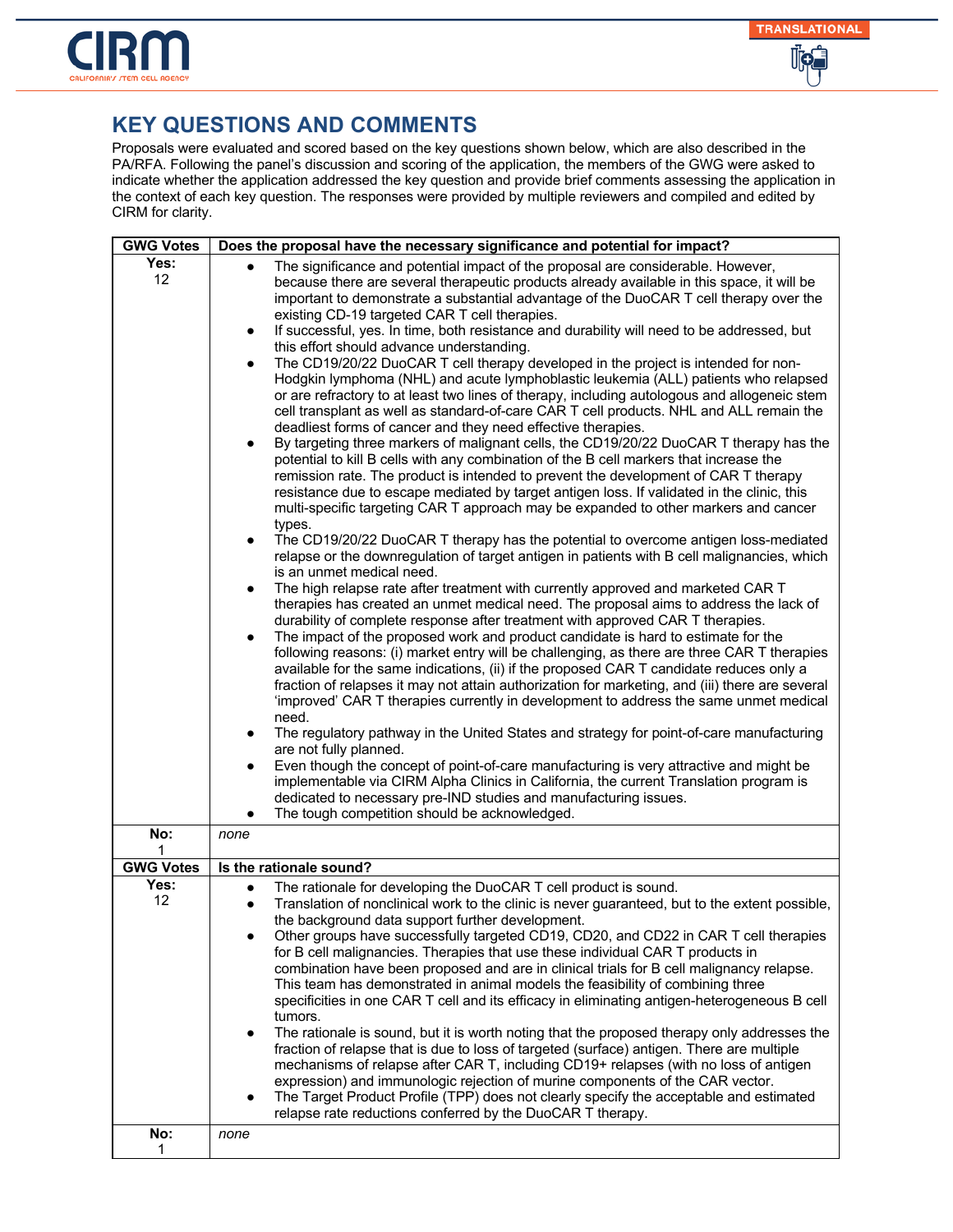

| <b>GWG Votes</b>        | Does the proposal have the necessary significance and potential for impact?                                                                                                                                                                                                                                                                                                                                                                                                                                                                                                                                                                                                                                                                                                                                                                                                                                                                                                                                                                                                                                                                                                                                                                                                                                                                                                                                                                                                                                                                                                                                                                                                                                                                                                                                                                                                                                                                                                                                                                                                                                                                                                                                                                                                                                                                                                                                                                                                                                                                                                                                                                                                                                                                                                                                                                                  |
|-------------------------|--------------------------------------------------------------------------------------------------------------------------------------------------------------------------------------------------------------------------------------------------------------------------------------------------------------------------------------------------------------------------------------------------------------------------------------------------------------------------------------------------------------------------------------------------------------------------------------------------------------------------------------------------------------------------------------------------------------------------------------------------------------------------------------------------------------------------------------------------------------------------------------------------------------------------------------------------------------------------------------------------------------------------------------------------------------------------------------------------------------------------------------------------------------------------------------------------------------------------------------------------------------------------------------------------------------------------------------------------------------------------------------------------------------------------------------------------------------------------------------------------------------------------------------------------------------------------------------------------------------------------------------------------------------------------------------------------------------------------------------------------------------------------------------------------------------------------------------------------------------------------------------------------------------------------------------------------------------------------------------------------------------------------------------------------------------------------------------------------------------------------------------------------------------------------------------------------------------------------------------------------------------------------------------------------------------------------------------------------------------------------------------------------------------------------------------------------------------------------------------------------------------------------------------------------------------------------------------------------------------------------------------------------------------------------------------------------------------------------------------------------------------------------------------------------------------------------------------------------------------|
| Yes:<br>12 <sup>2</sup> | The significance and potential impact of the proposal are considerable. However,<br>because there are several therapeutic products already available in this space, it will be<br>important to demonstrate a substantial advantage of the DuoCAR T cell therapy over the<br>existing CD-19 targeted CAR T cell therapies.<br>If successful, yes. In time, both resistance and durability will need to be addressed, but<br>this effort should advance understanding.<br>The CD19/20/22 DuoCAR T cell therapy developed in the project is intended for non-<br>Hodgkin lymphoma (NHL) and acute lymphoblastic leukemia (ALL) patients who relapsed<br>or are refractory to at least two lines of therapy, including autologous and allogeneic stem<br>cell transplant as well as standard-of-care CAR T cell products. NHL and ALL remain the<br>deadliest forms of cancer and they need effective therapies.<br>By targeting three markers of malignant cells, the CD19/20/22 DuoCAR T therapy has the<br>potential to kill B cells with any combination of the B cell markers that increase the<br>remission rate. The product is intended to prevent the development of CAR T therapy<br>resistance due to escape mediated by target antigen loss. If validated in the clinic, this<br>multi-specific targeting CAR T approach may be expanded to other markers and cancer<br>types.<br>The CD19/20/22 DuoCAR T therapy has the potential to overcome antigen loss-mediated<br>$\bullet$<br>relapse or the downregulation of target antigen in patients with B cell malignancies, which<br>is an unmet medical need.<br>The high relapse rate after treatment with currently approved and marketed CAR T<br>$\bullet$<br>therapies has created an unmet medical need. The proposal aims to address the lack of<br>durability of complete response after treatment with approved CAR T therapies.<br>The impact of the proposed work and product candidate is hard to estimate for the<br>$\bullet$<br>following reasons: (i) market entry will be challenging, as there are three CAR T therapies<br>available for the same indications, (ii) if the proposed CAR T candidate reduces only a<br>fraction of relapses it may not attain authorization for marketing, and (iii) there are several<br>'improved' CAR T therapies currently in development to address the same unmet medical<br>need.<br>The regulatory pathway in the United States and strategy for point-of-care manufacturing<br>$\bullet$<br>are not fully planned.<br>Even though the concept of point-of-care manufacturing is very attractive and might be<br>$\bullet$<br>implementable via CIRM Alpha Clinics in California, the current Translation program is<br>dedicated to necessary pre-IND studies and manufacturing issues.<br>The tough competition should be acknowledged. |
| No:<br>1                | none                                                                                                                                                                                                                                                                                                                                                                                                                                                                                                                                                                                                                                                                                                                                                                                                                                                                                                                                                                                                                                                                                                                                                                                                                                                                                                                                                                                                                                                                                                                                                                                                                                                                                                                                                                                                                                                                                                                                                                                                                                                                                                                                                                                                                                                                                                                                                                                                                                                                                                                                                                                                                                                                                                                                                                                                                                                         |
| <b>GWG Votes</b>        | Is the rationale sound?                                                                                                                                                                                                                                                                                                                                                                                                                                                                                                                                                                                                                                                                                                                                                                                                                                                                                                                                                                                                                                                                                                                                                                                                                                                                                                                                                                                                                                                                                                                                                                                                                                                                                                                                                                                                                                                                                                                                                                                                                                                                                                                                                                                                                                                                                                                                                                                                                                                                                                                                                                                                                                                                                                                                                                                                                                      |
| Yes:<br>12              | The rationale for developing the DuoCAR T cell product is sound.<br>$\bullet$<br>Translation of nonclinical work to the clinic is never guaranteed, but to the extent possible,<br>$\bullet$<br>the background data support further development.<br>Other groups have successfully targeted CD19, CD20, and CD22 in CAR T cell therapies<br>for B cell malignancies. Therapies that use these individual CAR T products in<br>combination have been proposed and are in clinical trials for B cell malignancy relapse.<br>This team has demonstrated in animal models the feasibility of combining three<br>specificities in one CAR T cell and its efficacy in eliminating antigen-heterogeneous B cell<br>tumors.<br>The rationale is sound, but it is worth noting that the proposed therapy only addresses the<br>fraction of relapse that is due to loss of targeted (surface) antigen. There are multiple<br>mechanisms of relapse after CAR T, including CD19+ relapses (with no loss of antigen<br>expression) and immunologic rejection of murine components of the CAR vector.<br>The Target Product Profile (TPP) does not clearly specify the acceptable and estimated<br>relapse rate reductions conferred by the DuoCAR T therapy.                                                                                                                                                                                                                                                                                                                                                                                                                                                                                                                                                                                                                                                                                                                                                                                                                                                                                                                                                                                                                                                                                                                                                                                                                                                                                                                                                                                                                                                                                                                                                                                                             |
| No:<br>1                | none                                                                                                                                                                                                                                                                                                                                                                                                                                                                                                                                                                                                                                                                                                                                                                                                                                                                                                                                                                                                                                                                                                                                                                                                                                                                                                                                                                                                                                                                                                                                                                                                                                                                                                                                                                                                                                                                                                                                                                                                                                                                                                                                                                                                                                                                                                                                                                                                                                                                                                                                                                                                                                                                                                                                                                                                                                                         |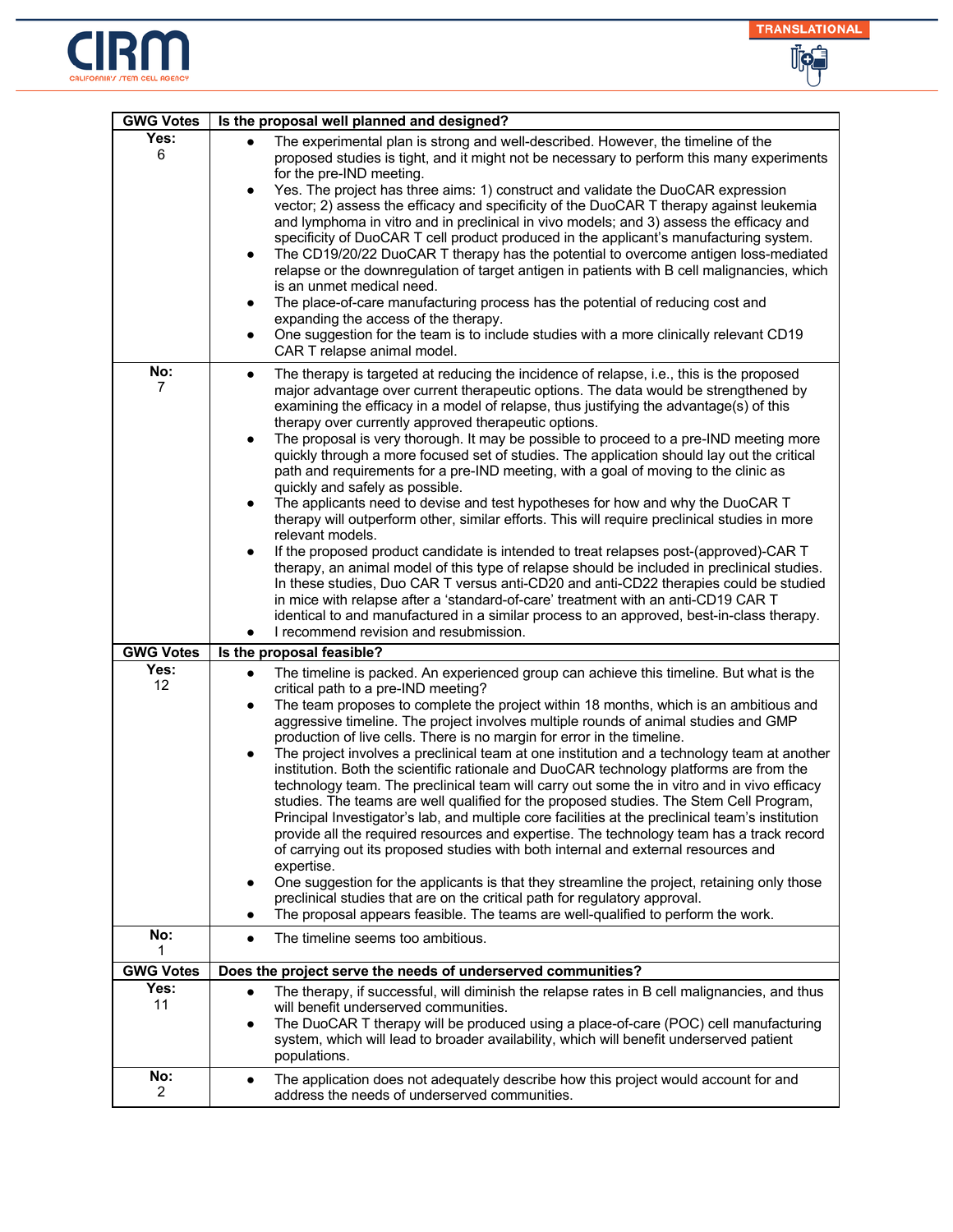



| <b>GWG Votes</b>      | Is the proposal well planned and designed?                                                                                                                                                                                                                                                                                                                                                                                                                                                                                                                                                                                                                                                                                                                                                                                                                                                                                                                                                                                                                                                                                                                                                                                                                                                                                                                                                                                  |
|-----------------------|-----------------------------------------------------------------------------------------------------------------------------------------------------------------------------------------------------------------------------------------------------------------------------------------------------------------------------------------------------------------------------------------------------------------------------------------------------------------------------------------------------------------------------------------------------------------------------------------------------------------------------------------------------------------------------------------------------------------------------------------------------------------------------------------------------------------------------------------------------------------------------------------------------------------------------------------------------------------------------------------------------------------------------------------------------------------------------------------------------------------------------------------------------------------------------------------------------------------------------------------------------------------------------------------------------------------------------------------------------------------------------------------------------------------------------|
| Yes:<br>6             | The experimental plan is strong and well-described. However, the timeline of the<br>$\bullet$<br>proposed studies is tight, and it might not be necessary to perform this many experiments<br>for the pre-IND meeting.<br>Yes. The project has three aims: 1) construct and validate the DuoCAR expression<br>$\bullet$<br>vector; 2) assess the efficacy and specificity of the DuoCAR T therapy against leukemia<br>and lymphoma in vitro and in preclinical in vivo models; and 3) assess the efficacy and<br>specificity of DuoCAR T cell product produced in the applicant's manufacturing system.<br>The CD19/20/22 DuoCAR T therapy has the potential to overcome antigen loss-mediated<br>$\bullet$<br>relapse or the downregulation of target antigen in patients with B cell malignancies, which<br>is an unmet medical need.<br>The place-of-care manufacturing process has the potential of reducing cost and<br>$\bullet$<br>expanding the access of the therapy.<br>One suggestion for the team is to include studies with a more clinically relevant CD19<br>$\bullet$<br>CAR T relapse animal model.                                                                                                                                                                                                                                                                                                        |
| No:<br>7              | The therapy is targeted at reducing the incidence of relapse, i.e., this is the proposed<br>$\bullet$<br>major advantage over current therapeutic options. The data would be strengthened by<br>examining the efficacy in a model of relapse, thus justifying the advantage(s) of this<br>therapy over currently approved therapeutic options.<br>The proposal is very thorough. It may be possible to proceed to a pre-IND meeting more<br>$\bullet$<br>quickly through a more focused set of studies. The application should lay out the critical<br>path and requirements for a pre-IND meeting, with a goal of moving to the clinic as<br>quickly and safely as possible.<br>The applicants need to devise and test hypotheses for how and why the DuoCAR T<br>$\bullet$<br>therapy will outperform other, similar efforts. This will require preclinical studies in more<br>relevant models.<br>If the proposed product candidate is intended to treat relapses post-(approved)-CAR T<br>therapy, an animal model of this type of relapse should be included in preclinical studies.<br>In these studies, Duo CAR T versus anti-CD20 and anti-CD22 therapies could be studied<br>in mice with relapse after a 'standard-of-care' treatment with an anti-CD19 CAR T<br>identical to and manufactured in a similar process to an approved, best-in-class therapy.<br>I recommend revision and resubmission.<br>$\bullet$ |
| <b>GWG Votes</b>      | Is the proposal feasible?                                                                                                                                                                                                                                                                                                                                                                                                                                                                                                                                                                                                                                                                                                                                                                                                                                                                                                                                                                                                                                                                                                                                                                                                                                                                                                                                                                                                   |
| Yes:<br>12            | The timeline is packed. An experienced group can achieve this timeline. But what is the<br>$\bullet$<br>critical path to a pre-IND meeting?<br>The team proposes to complete the project within 18 months, which is an ambitious and<br>$\bullet$<br>aggressive timeline. The project involves multiple rounds of animal studies and GMP<br>production of live cells. There is no margin for error in the timeline.<br>The project involves a preclinical team at one institution and a technology team at another<br>$\bullet$<br>institution. Both the scientific rationale and DuoCAR technology platforms are from the<br>technology team. The preclinical team will carry out some the in vitro and in vivo efficacy<br>studies. The teams are well qualified for the proposed studies. The Stem Cell Program,<br>Principal Investigator's lab, and multiple core facilities at the preclinical team's institution<br>provide all the required resources and expertise. The technology team has a track record<br>of carrying out its proposed studies with both internal and external resources and<br>expertise.<br>One suggestion for the applicants is that they streamline the project, retaining only those<br>$\bullet$<br>preclinical studies that are on the critical path for regulatory approval.<br>The proposal appears feasible. The teams are well-qualified to perform the work.                       |
| No:<br>1              | The timeline seems too ambitious.<br>$\bullet$                                                                                                                                                                                                                                                                                                                                                                                                                                                                                                                                                                                                                                                                                                                                                                                                                                                                                                                                                                                                                                                                                                                                                                                                                                                                                                                                                                              |
| <b>GWG Votes</b>      | Does the project serve the needs of underserved communities?                                                                                                                                                                                                                                                                                                                                                                                                                                                                                                                                                                                                                                                                                                                                                                                                                                                                                                                                                                                                                                                                                                                                                                                                                                                                                                                                                                |
| Yes:<br>11            | The therapy, if successful, will diminish the relapse rates in B cell malignancies, and thus<br>$\bullet$<br>will benefit underserved communities.<br>The DuoCAR T therapy will be produced using a place-of-care (POC) cell manufacturing<br>$\bullet$<br>system, which will lead to broader availability, which will benefit underserved patient<br>populations.                                                                                                                                                                                                                                                                                                                                                                                                                                                                                                                                                                                                                                                                                                                                                                                                                                                                                                                                                                                                                                                          |
| No:<br>$\overline{2}$ | The application does not adequately describe how this project would account for and<br>$\bullet$<br>address the needs of underserved communities.                                                                                                                                                                                                                                                                                                                                                                                                                                                                                                                                                                                                                                                                                                                                                                                                                                                                                                                                                                                                                                                                                                                                                                                                                                                                           |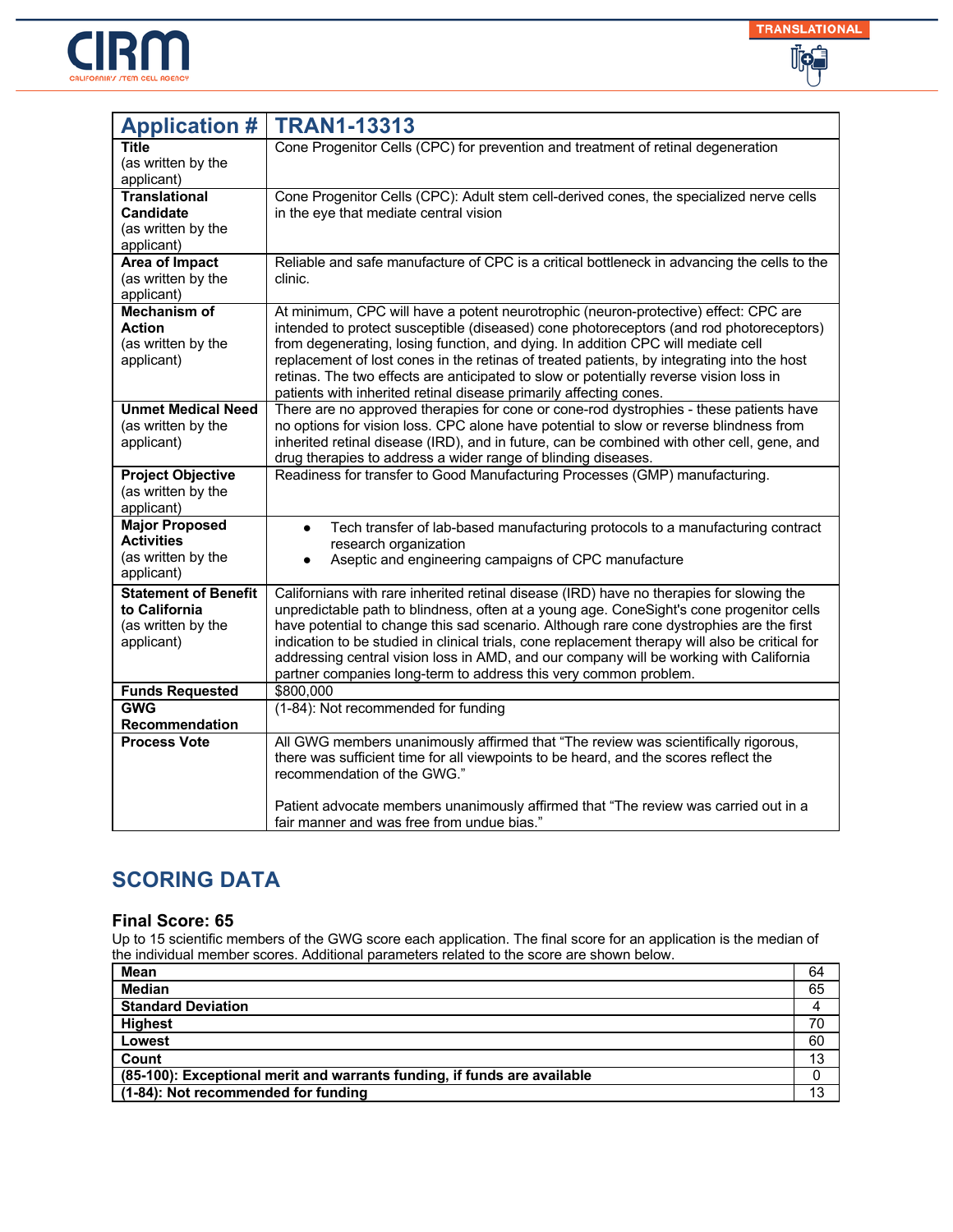



| <b>Application #</b>                                                             | <b>TRAN1-13313</b>                                                                                                                                                                                                                                                                                                                                                                                                                                                                                                                                |
|----------------------------------------------------------------------------------|---------------------------------------------------------------------------------------------------------------------------------------------------------------------------------------------------------------------------------------------------------------------------------------------------------------------------------------------------------------------------------------------------------------------------------------------------------------------------------------------------------------------------------------------------|
| Title<br>(as written by the<br>applicant)                                        | Cone Progenitor Cells (CPC) for prevention and treatment of retinal degeneration                                                                                                                                                                                                                                                                                                                                                                                                                                                                  |
| <b>Translational</b><br><b>Candidate</b><br>(as written by the<br>applicant)     | Cone Progenitor Cells (CPC): Adult stem cell-derived cones, the specialized nerve cells<br>in the eye that mediate central vision                                                                                                                                                                                                                                                                                                                                                                                                                 |
| <b>Area of Impact</b><br>(as written by the<br>applicant)                        | Reliable and safe manufacture of CPC is a critical bottleneck in advancing the cells to the<br>clinic.                                                                                                                                                                                                                                                                                                                                                                                                                                            |
| <b>Mechanism of</b><br><b>Action</b><br>(as written by the<br>applicant)         | At minimum, CPC will have a potent neurotrophic (neuron-protective) effect: CPC are<br>intended to protect susceptible (diseased) cone photoreceptors (and rod photoreceptors)<br>from degenerating, losing function, and dying. In addition CPC will mediate cell<br>replacement of lost cones in the retinas of treated patients, by integrating into the host<br>retinas. The two effects are anticipated to slow or potentially reverse vision loss in<br>patients with inherited retinal disease primarily affecting cones.                  |
| <b>Unmet Medical Need</b><br>(as written by the<br>applicant)                    | There are no approved therapies for cone or cone-rod dystrophies - these patients have<br>no options for vision loss. CPC alone have potential to slow or reverse blindness from<br>inherited retinal disease (IRD), and in future, can be combined with other cell, gene, and<br>drug therapies to address a wider range of blinding diseases.                                                                                                                                                                                                   |
| <b>Project Objective</b><br>(as written by the<br>applicant)                     | Readiness for transfer to Good Manufacturing Processes (GMP) manufacturing.                                                                                                                                                                                                                                                                                                                                                                                                                                                                       |
| <b>Major Proposed</b><br><b>Activities</b><br>(as written by the<br>applicant)   | Tech transfer of lab-based manufacturing protocols to a manufacturing contract<br>$\bullet$<br>research organization<br>Aseptic and engineering campaigns of CPC manufacture<br>$\bullet$                                                                                                                                                                                                                                                                                                                                                         |
| <b>Statement of Benefit</b><br>to California<br>(as written by the<br>applicant) | Californians with rare inherited retinal disease (IRD) have no therapies for slowing the<br>unpredictable path to blindness, often at a young age. ConeSight's cone progenitor cells<br>have potential to change this sad scenario. Although rare cone dystrophies are the first<br>indication to be studied in clinical trials, cone replacement therapy will also be critical for<br>addressing central vision loss in AMD, and our company will be working with California<br>partner companies long-term to address this very common problem. |
| <b>Funds Requested</b>                                                           | \$800,000                                                                                                                                                                                                                                                                                                                                                                                                                                                                                                                                         |
| <b>GWG</b><br><b>Recommendation</b>                                              | (1-84): Not recommended for funding                                                                                                                                                                                                                                                                                                                                                                                                                                                                                                               |
| <b>Process Vote</b>                                                              | All GWG members unanimously affirmed that "The review was scientifically rigorous,<br>there was sufficient time for all viewpoints to be heard, and the scores reflect the<br>recommendation of the GWG."                                                                                                                                                                                                                                                                                                                                         |
|                                                                                  | Patient advocate members unanimously affirmed that "The review was carried out in a<br>fair manner and was free from undue bias."                                                                                                                                                                                                                                                                                                                                                                                                                 |

#### **Final Score: 65**

| Mean                                                                     | 64 |
|--------------------------------------------------------------------------|----|
| <b>Median</b>                                                            | 65 |
| <b>Standard Deviation</b>                                                |    |
| <b>Highest</b>                                                           | 70 |
| Lowest                                                                   | 60 |
| Count                                                                    | 13 |
| (85-100): Exceptional merit and warrants funding, if funds are available |    |
| (1-84): Not recommended for funding                                      | 13 |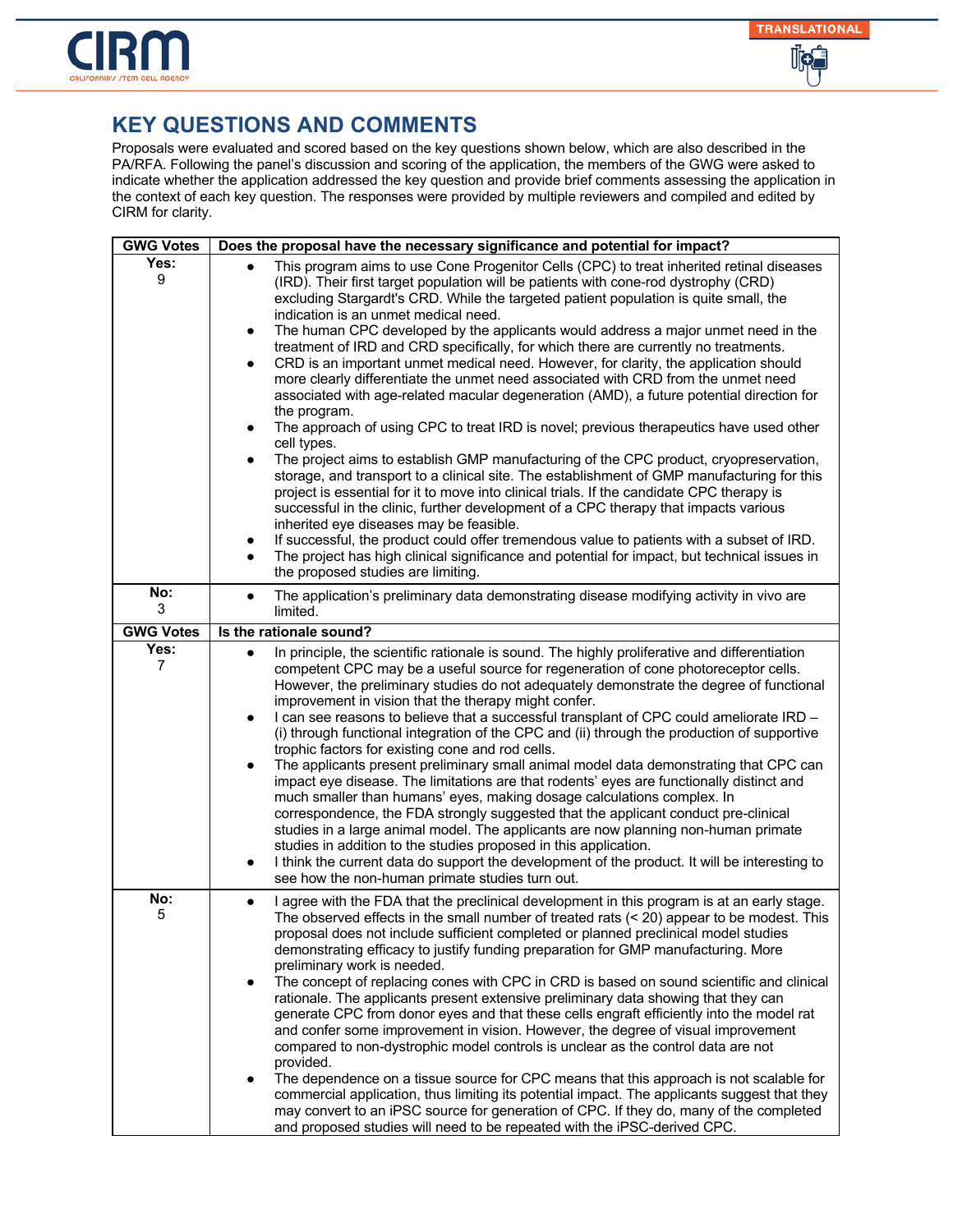

| <b>GWG Votes</b> | Does the proposal have the necessary significance and potential for impact?                                                                                                                                                                                                                                                                                                                                                                                                                                                                                                                                                                                                                                                                                                                                                                                                                                                                                                                                                                                                                                                                                                                                                                                                                                                                                                                                                                                                                                                                                                           |
|------------------|---------------------------------------------------------------------------------------------------------------------------------------------------------------------------------------------------------------------------------------------------------------------------------------------------------------------------------------------------------------------------------------------------------------------------------------------------------------------------------------------------------------------------------------------------------------------------------------------------------------------------------------------------------------------------------------------------------------------------------------------------------------------------------------------------------------------------------------------------------------------------------------------------------------------------------------------------------------------------------------------------------------------------------------------------------------------------------------------------------------------------------------------------------------------------------------------------------------------------------------------------------------------------------------------------------------------------------------------------------------------------------------------------------------------------------------------------------------------------------------------------------------------------------------------------------------------------------------|
| Yes:<br>9        | This program aims to use Cone Progenitor Cells (CPC) to treat inherited retinal diseases<br>(IRD). Their first target population will be patients with cone-rod dystrophy (CRD)<br>excluding Stargardt's CRD. While the targeted patient population is quite small, the<br>indication is an unmet medical need.<br>The human CPC developed by the applicants would address a major unmet need in the<br>treatment of IRD and CRD specifically, for which there are currently no treatments.<br>CRD is an important unmet medical need. However, for clarity, the application should<br>$\bullet$<br>more clearly differentiate the unmet need associated with CRD from the unmet need<br>associated with age-related macular degeneration (AMD), a future potential direction for<br>the program.<br>The approach of using CPC to treat IRD is novel; previous therapeutics have used other<br>$\bullet$<br>cell types.<br>The project aims to establish GMP manufacturing of the CPC product, cryopreservation,<br>storage, and transport to a clinical site. The establishment of GMP manufacturing for this<br>project is essential for it to move into clinical trials. If the candidate CPC therapy is<br>successful in the clinic, further development of a CPC therapy that impacts various<br>inherited eye diseases may be feasible.<br>If successful, the product could offer tremendous value to patients with a subset of IRD.<br>٠<br>The project has high clinical significance and potential for impact, but technical issues in<br>the proposed studies are limiting. |
| No:<br>3         | The application's preliminary data demonstrating disease modifying activity in vivo are<br>$\bullet$<br>limited.                                                                                                                                                                                                                                                                                                                                                                                                                                                                                                                                                                                                                                                                                                                                                                                                                                                                                                                                                                                                                                                                                                                                                                                                                                                                                                                                                                                                                                                                      |
| <b>GWG Votes</b> | Is the rationale sound?                                                                                                                                                                                                                                                                                                                                                                                                                                                                                                                                                                                                                                                                                                                                                                                                                                                                                                                                                                                                                                                                                                                                                                                                                                                                                                                                                                                                                                                                                                                                                               |
| Yes:<br>7        | In principle, the scientific rationale is sound. The highly proliferative and differentiation<br>$\bullet$<br>competent CPC may be a useful source for regeneration of cone photoreceptor cells.<br>However, the preliminary studies do not adequately demonstrate the degree of functional<br>improvement in vision that the therapy might confer.<br>I can see reasons to believe that a successful transplant of CPC could ameliorate IRD -<br>$\bullet$<br>(i) through functional integration of the CPC and (ii) through the production of supportive<br>trophic factors for existing cone and rod cells.<br>The applicants present preliminary small animal model data demonstrating that CPC can<br>impact eye disease. The limitations are that rodents' eyes are functionally distinct and<br>much smaller than humans' eyes, making dosage calculations complex. In<br>correspondence, the FDA strongly suggested that the applicant conduct pre-clinical<br>studies in a large animal model. The applicants are now planning non-human primate<br>studies in addition to the studies proposed in this application.<br>I think the current data do support the development of the product. It will be interesting to<br>see how the non-human primate studies turn out.                                                                                                                                                                                                                                                                                                     |
| No:<br>5         | I agree with the FDA that the preclinical development in this program is at an early stage.<br>The observed effects in the small number of treated rats $($ < 20) appear to be modest. This<br>proposal does not include sufficient completed or planned preclinical model studies<br>demonstrating efficacy to justify funding preparation for GMP manufacturing. More<br>preliminary work is needed.<br>The concept of replacing cones with CPC in CRD is based on sound scientific and clinical<br>rationale. The applicants present extensive preliminary data showing that they can<br>generate CPC from donor eyes and that these cells engraft efficiently into the model rat<br>and confer some improvement in vision. However, the degree of visual improvement<br>compared to non-dystrophic model controls is unclear as the control data are not<br>provided.<br>The dependence on a tissue source for CPC means that this approach is not scalable for<br>commercial application, thus limiting its potential impact. The applicants suggest that they<br>may convert to an iPSC source for generation of CPC. If they do, many of the completed<br>and proposed studies will need to be repeated with the iPSC-derived CPC.                                                                                                                                                                                                                                                                                                                                             |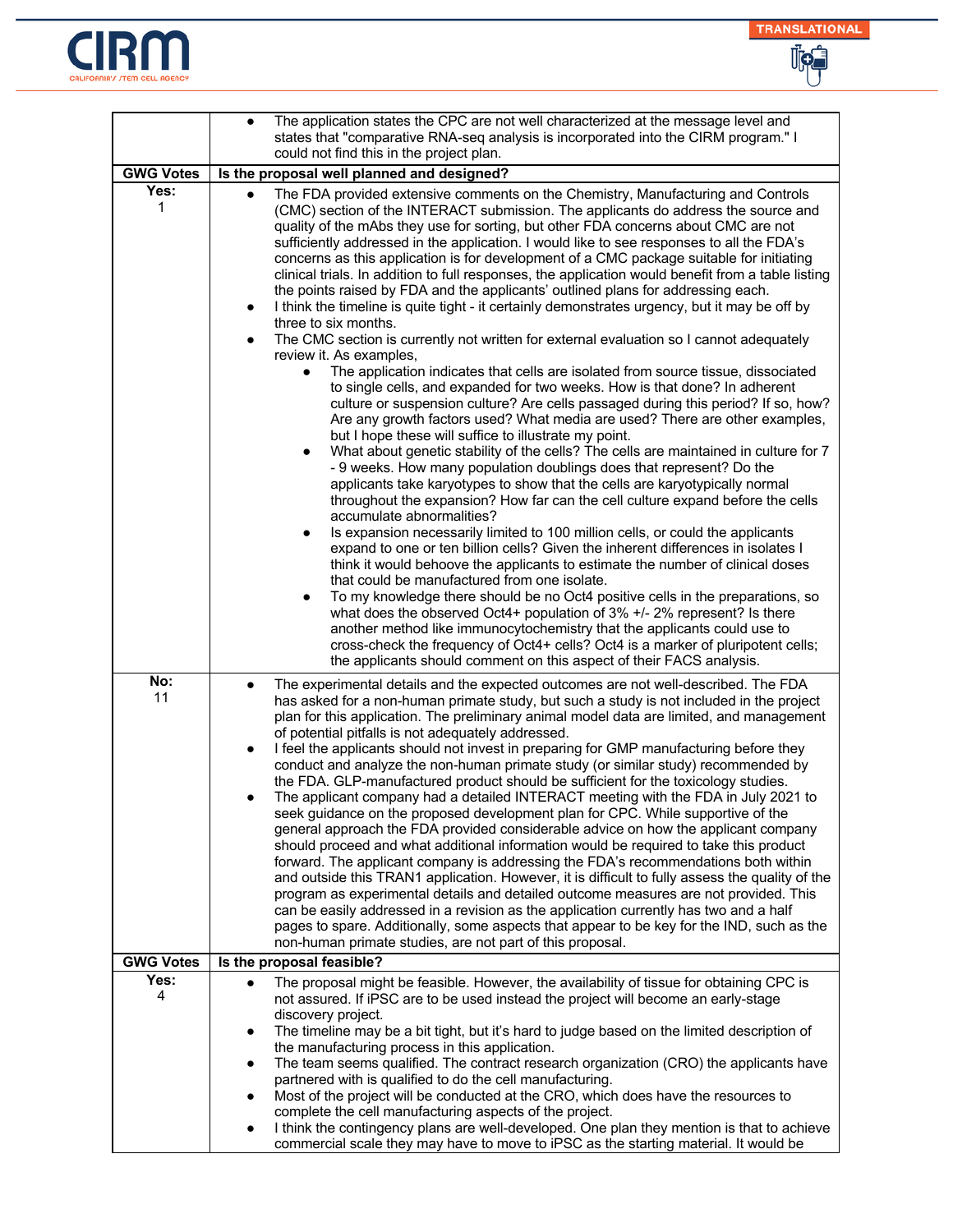



|                  | The application states the CPC are not well characterized at the message level and<br>$\bullet$                                                                                                                                                                                                                                                                                                                                                                                                                                                                                                                                                                                                                                                                                                                                                                                                                                                                                                                                                                                                                                                                                                                                                                                                                                                                                                                                                                                                                                                                                                                                                                                                                                                                                                                                                                                                                                                                                                                                                                                                                                                                                                                                                                                                                                                                                                                         |
|------------------|-------------------------------------------------------------------------------------------------------------------------------------------------------------------------------------------------------------------------------------------------------------------------------------------------------------------------------------------------------------------------------------------------------------------------------------------------------------------------------------------------------------------------------------------------------------------------------------------------------------------------------------------------------------------------------------------------------------------------------------------------------------------------------------------------------------------------------------------------------------------------------------------------------------------------------------------------------------------------------------------------------------------------------------------------------------------------------------------------------------------------------------------------------------------------------------------------------------------------------------------------------------------------------------------------------------------------------------------------------------------------------------------------------------------------------------------------------------------------------------------------------------------------------------------------------------------------------------------------------------------------------------------------------------------------------------------------------------------------------------------------------------------------------------------------------------------------------------------------------------------------------------------------------------------------------------------------------------------------------------------------------------------------------------------------------------------------------------------------------------------------------------------------------------------------------------------------------------------------------------------------------------------------------------------------------------------------------------------------------------------------------------------------------------------------|
|                  | states that "comparative RNA-seq analysis is incorporated into the CIRM program." I<br>could not find this in the project plan.                                                                                                                                                                                                                                                                                                                                                                                                                                                                                                                                                                                                                                                                                                                                                                                                                                                                                                                                                                                                                                                                                                                                                                                                                                                                                                                                                                                                                                                                                                                                                                                                                                                                                                                                                                                                                                                                                                                                                                                                                                                                                                                                                                                                                                                                                         |
| <b>GWG Votes</b> | Is the proposal well planned and designed?                                                                                                                                                                                                                                                                                                                                                                                                                                                                                                                                                                                                                                                                                                                                                                                                                                                                                                                                                                                                                                                                                                                                                                                                                                                                                                                                                                                                                                                                                                                                                                                                                                                                                                                                                                                                                                                                                                                                                                                                                                                                                                                                                                                                                                                                                                                                                                              |
| Yes:<br>1        | The FDA provided extensive comments on the Chemistry, Manufacturing and Controls<br>(CMC) section of the INTERACT submission. The applicants do address the source and<br>quality of the mAbs they use for sorting, but other FDA concerns about CMC are not<br>sufficiently addressed in the application. I would like to see responses to all the FDA's<br>concerns as this application is for development of a CMC package suitable for initiating<br>clinical trials. In addition to full responses, the application would benefit from a table listing<br>the points raised by FDA and the applicants' outlined plans for addressing each.<br>I think the timeline is quite tight - it certainly demonstrates urgency, but it may be off by<br>$\bullet$<br>three to six months.<br>The CMC section is currently not written for external evaluation so I cannot adequately<br>$\bullet$<br>review it. As examples,<br>The application indicates that cells are isolated from source tissue, dissociated<br>to single cells, and expanded for two weeks. How is that done? In adherent<br>culture or suspension culture? Are cells passaged during this period? If so, how?<br>Are any growth factors used? What media are used? There are other examples,<br>but I hope these will suffice to illustrate my point.<br>What about genetic stability of the cells? The cells are maintained in culture for 7<br>$\bullet$<br>- 9 weeks. How many population doublings does that represent? Do the<br>applicants take karyotypes to show that the cells are karyotypically normal<br>throughout the expansion? How far can the cell culture expand before the cells<br>accumulate abnormalities?<br>Is expansion necessarily limited to 100 million cells, or could the applicants<br>expand to one or ten billion cells? Given the inherent differences in isolates I<br>think it would behoove the applicants to estimate the number of clinical doses<br>that could be manufactured from one isolate.<br>To my knowledge there should be no Oct4 positive cells in the preparations, so<br>what does the observed Oct4+ population of $3\%$ +/- $2\%$ represent? Is there<br>another method like immunocytochemistry that the applicants could use to<br>cross-check the frequency of Oct4+ cells? Oct4 is a marker of pluripotent cells;<br>the applicants should comment on this aspect of their FACS analysis. |
| No:<br>11        | The experimental details and the expected outcomes are not well-described. The FDA<br>$\bullet$<br>has asked for a non-human primate study, but such a study is not included in the project<br>plan for this application. The preliminary animal model data are limited, and management<br>of potential pitfalls is not adequately addressed.<br>I feel the applicants should not invest in preparing for GMP manufacturing before they<br>٠<br>conduct and analyze the non-human primate study (or similar study) recommended by<br>the FDA. GLP-manufactured product should be sufficient for the toxicology studies.<br>The applicant company had a detailed INTERACT meeting with the FDA in July 2021 to<br>seek guidance on the proposed development plan for CPC. While supportive of the<br>general approach the FDA provided considerable advice on how the applicant company<br>should proceed and what additional information would be required to take this product<br>forward. The applicant company is addressing the FDA's recommendations both within<br>and outside this TRAN1 application. However, it is difficult to fully assess the quality of the<br>program as experimental details and detailed outcome measures are not provided. This<br>can be easily addressed in a revision as the application currently has two and a half<br>pages to spare. Additionally, some aspects that appear to be key for the IND, such as the<br>non-human primate studies, are not part of this proposal.                                                                                                                                                                                                                                                                                                                                                                                                                                                                                                                                                                                                                                                                                                                                                                                                                                                                                                     |
| <b>GWG Votes</b> | Is the proposal feasible?                                                                                                                                                                                                                                                                                                                                                                                                                                                                                                                                                                                                                                                                                                                                                                                                                                                                                                                                                                                                                                                                                                                                                                                                                                                                                                                                                                                                                                                                                                                                                                                                                                                                                                                                                                                                                                                                                                                                                                                                                                                                                                                                                                                                                                                                                                                                                                                               |
| Yes:             | The proposal might be feasible. However, the availability of tissue for obtaining CPC is<br>$\bullet$                                                                                                                                                                                                                                                                                                                                                                                                                                                                                                                                                                                                                                                                                                                                                                                                                                                                                                                                                                                                                                                                                                                                                                                                                                                                                                                                                                                                                                                                                                                                                                                                                                                                                                                                                                                                                                                                                                                                                                                                                                                                                                                                                                                                                                                                                                                   |
| 4                | not assured. If iPSC are to be used instead the project will become an early-stage<br>discovery project.                                                                                                                                                                                                                                                                                                                                                                                                                                                                                                                                                                                                                                                                                                                                                                                                                                                                                                                                                                                                                                                                                                                                                                                                                                                                                                                                                                                                                                                                                                                                                                                                                                                                                                                                                                                                                                                                                                                                                                                                                                                                                                                                                                                                                                                                                                                |
|                  | The timeline may be a bit tight, but it's hard to judge based on the limited description of<br>$\bullet$                                                                                                                                                                                                                                                                                                                                                                                                                                                                                                                                                                                                                                                                                                                                                                                                                                                                                                                                                                                                                                                                                                                                                                                                                                                                                                                                                                                                                                                                                                                                                                                                                                                                                                                                                                                                                                                                                                                                                                                                                                                                                                                                                                                                                                                                                                                |
|                  | the manufacturing process in this application.<br>The team seems qualified. The contract research organization (CRO) the applicants have<br>٠                                                                                                                                                                                                                                                                                                                                                                                                                                                                                                                                                                                                                                                                                                                                                                                                                                                                                                                                                                                                                                                                                                                                                                                                                                                                                                                                                                                                                                                                                                                                                                                                                                                                                                                                                                                                                                                                                                                                                                                                                                                                                                                                                                                                                                                                           |
|                  | partnered with is qualified to do the cell manufacturing.                                                                                                                                                                                                                                                                                                                                                                                                                                                                                                                                                                                                                                                                                                                                                                                                                                                                                                                                                                                                                                                                                                                                                                                                                                                                                                                                                                                                                                                                                                                                                                                                                                                                                                                                                                                                                                                                                                                                                                                                                                                                                                                                                                                                                                                                                                                                                               |
|                  | Most of the project will be conducted at the CRO, which does have the resources to<br>$\bullet$                                                                                                                                                                                                                                                                                                                                                                                                                                                                                                                                                                                                                                                                                                                                                                                                                                                                                                                                                                                                                                                                                                                                                                                                                                                                                                                                                                                                                                                                                                                                                                                                                                                                                                                                                                                                                                                                                                                                                                                                                                                                                                                                                                                                                                                                                                                         |
|                  | complete the cell manufacturing aspects of the project.<br>I think the contingency plans are well-developed. One plan they mention is that to achieve                                                                                                                                                                                                                                                                                                                                                                                                                                                                                                                                                                                                                                                                                                                                                                                                                                                                                                                                                                                                                                                                                                                                                                                                                                                                                                                                                                                                                                                                                                                                                                                                                                                                                                                                                                                                                                                                                                                                                                                                                                                                                                                                                                                                                                                                   |
|                  | commercial scale they may have to move to iPSC as the starting material. It would be                                                                                                                                                                                                                                                                                                                                                                                                                                                                                                                                                                                                                                                                                                                                                                                                                                                                                                                                                                                                                                                                                                                                                                                                                                                                                                                                                                                                                                                                                                                                                                                                                                                                                                                                                                                                                                                                                                                                                                                                                                                                                                                                                                                                                                                                                                                                    |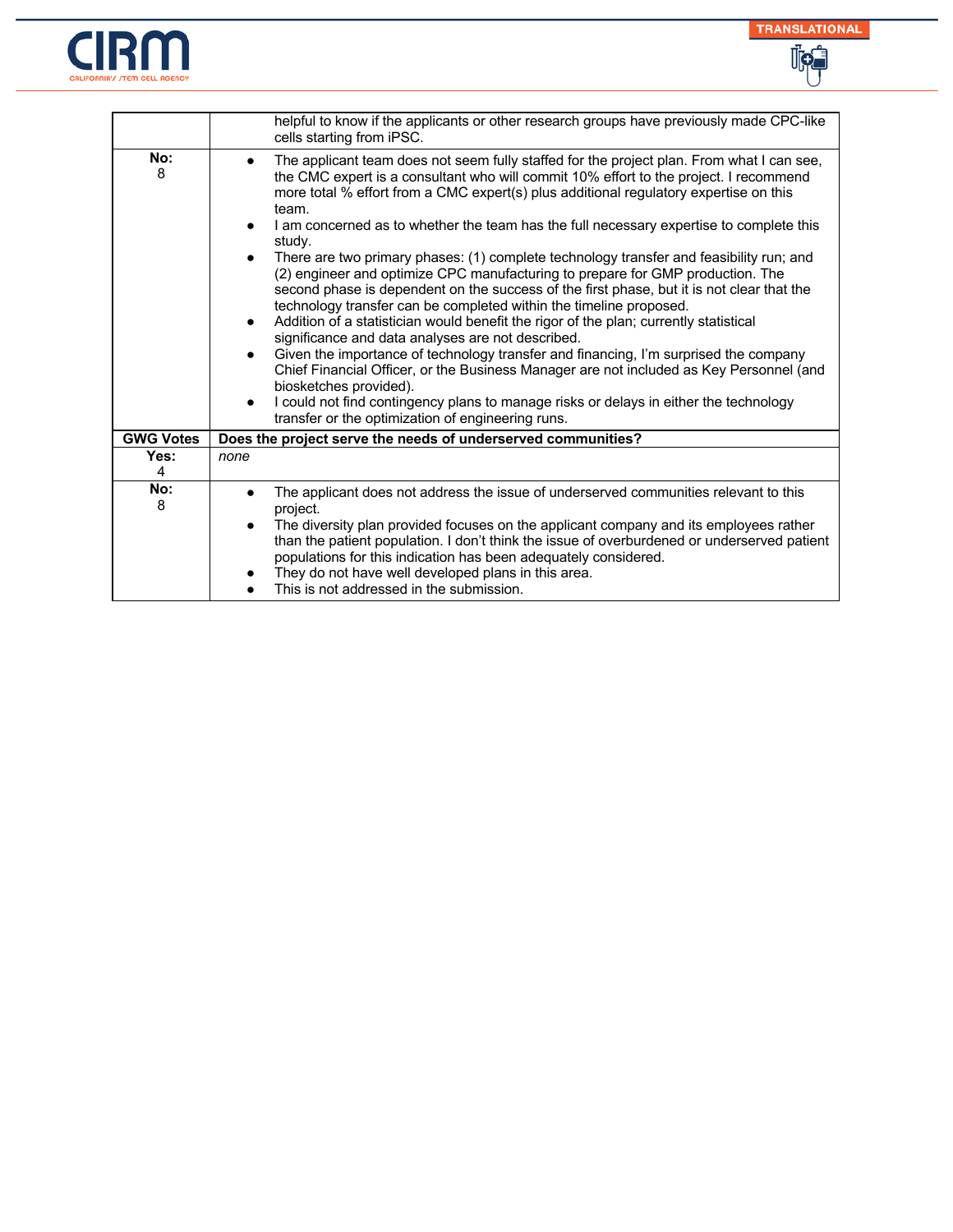



|                  | helpful to know if the applicants or other research groups have previously made CPC-like<br>cells starting from iPSC.                                                                                                                                                                                                                                                                                                                                                                                                                                                                                                                                                                                                                                                                                                                                                                                                                                                                                                                                                                                                                                                                                                                                                        |
|------------------|------------------------------------------------------------------------------------------------------------------------------------------------------------------------------------------------------------------------------------------------------------------------------------------------------------------------------------------------------------------------------------------------------------------------------------------------------------------------------------------------------------------------------------------------------------------------------------------------------------------------------------------------------------------------------------------------------------------------------------------------------------------------------------------------------------------------------------------------------------------------------------------------------------------------------------------------------------------------------------------------------------------------------------------------------------------------------------------------------------------------------------------------------------------------------------------------------------------------------------------------------------------------------|
| No:<br>8         | The applicant team does not seem fully staffed for the project plan. From what I can see,<br>the CMC expert is a consultant who will commit 10% effort to the project. I recommend<br>more total % effort from a CMC expert(s) plus additional regulatory expertise on this<br>team.<br>I am concerned as to whether the team has the full necessary expertise to complete this<br>study.<br>There are two primary phases: (1) complete technology transfer and feasibility run; and<br>(2) engineer and optimize CPC manufacturing to prepare for GMP production. The<br>second phase is dependent on the success of the first phase, but it is not clear that the<br>technology transfer can be completed within the timeline proposed.<br>Addition of a statistician would benefit the rigor of the plan; currently statistical<br>$\bullet$<br>significance and data analyses are not described.<br>Given the importance of technology transfer and financing, I'm surprised the company<br>Chief Financial Officer, or the Business Manager are not included as Key Personnel (and<br>biosketches provided).<br>I could not find contingency plans to manage risks or delays in either the technology<br>$\bullet$<br>transfer or the optimization of engineering runs. |
| <b>GWG Votes</b> | Does the project serve the needs of underserved communities?                                                                                                                                                                                                                                                                                                                                                                                                                                                                                                                                                                                                                                                                                                                                                                                                                                                                                                                                                                                                                                                                                                                                                                                                                 |
| Yes:<br>4        | none                                                                                                                                                                                                                                                                                                                                                                                                                                                                                                                                                                                                                                                                                                                                                                                                                                                                                                                                                                                                                                                                                                                                                                                                                                                                         |
| No:<br>8         | The applicant does not address the issue of underserved communities relevant to this<br>project.<br>The diversity plan provided focuses on the applicant company and its employees rather<br>than the patient population. I don't think the issue of overburdened or underserved patient<br>populations for this indication has been adequately considered.<br>They do not have well developed plans in this area.<br>This is not addressed in the submission.                                                                                                                                                                                                                                                                                                                                                                                                                                                                                                                                                                                                                                                                                                                                                                                                               |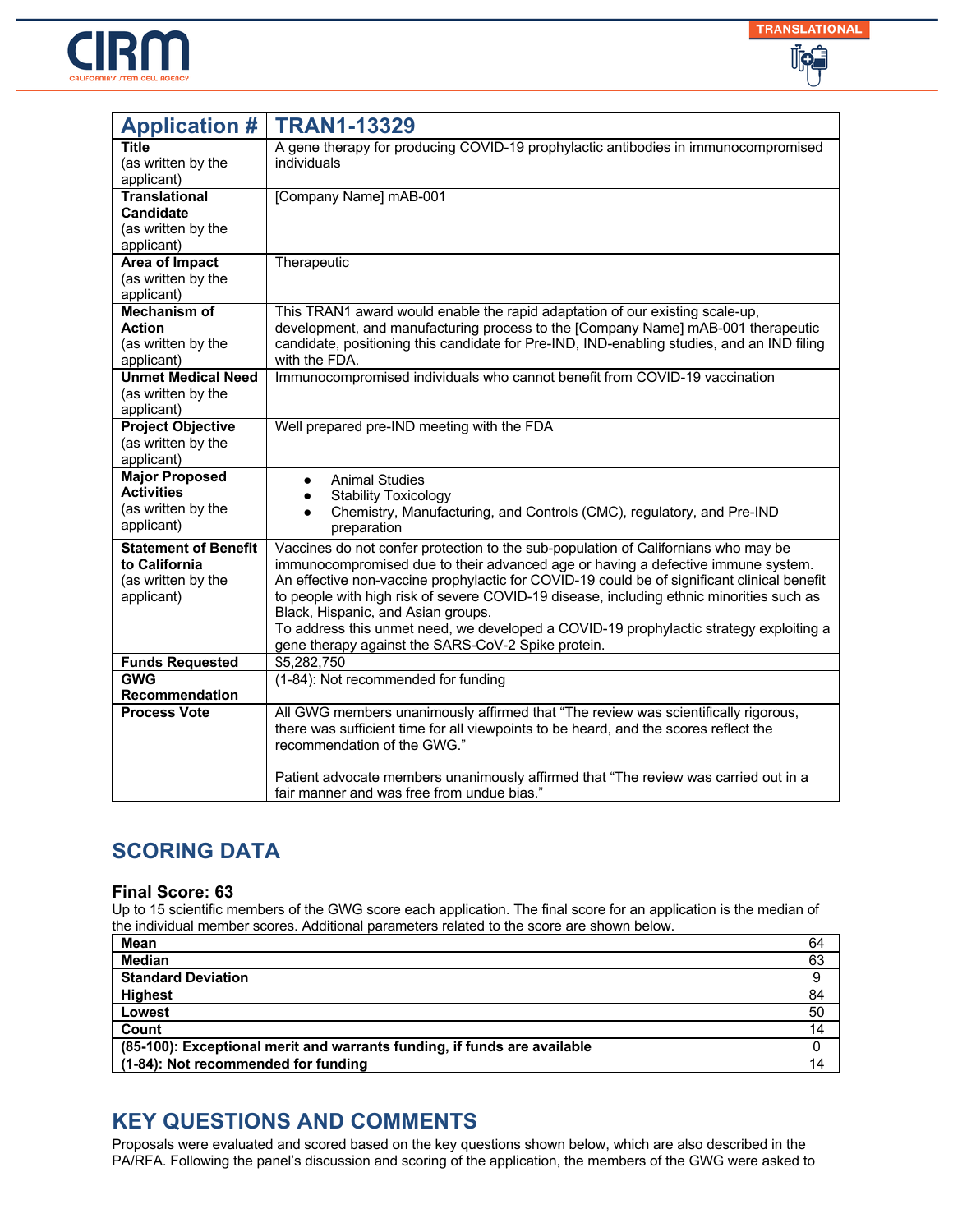



| <b>Application #</b>                                                             | <b>TRAN1-13329</b>                                                                                                                                                                                                                                                                                                                                                                                                                                                                                                                                      |
|----------------------------------------------------------------------------------|---------------------------------------------------------------------------------------------------------------------------------------------------------------------------------------------------------------------------------------------------------------------------------------------------------------------------------------------------------------------------------------------------------------------------------------------------------------------------------------------------------------------------------------------------------|
| Title<br>(as written by the<br>applicant)                                        | A gene therapy for producing COVID-19 prophylactic antibodies in immunocompromised<br>individuals                                                                                                                                                                                                                                                                                                                                                                                                                                                       |
| <b>Translational</b><br><b>Candidate</b><br>(as written by the<br>applicant)     | [Company Name] mAB-001                                                                                                                                                                                                                                                                                                                                                                                                                                                                                                                                  |
| <b>Area of Impact</b><br>(as written by the<br>applicant)                        | Therapeutic                                                                                                                                                                                                                                                                                                                                                                                                                                                                                                                                             |
| Mechanism of<br>Action<br>(as written by the<br>applicant)                       | This TRAN1 award would enable the rapid adaptation of our existing scale-up,<br>development, and manufacturing process to the [Company Name] mAB-001 therapeutic<br>candidate, positioning this candidate for Pre-IND, IND-enabling studies, and an IND filing<br>with the FDA.                                                                                                                                                                                                                                                                         |
| <b>Unmet Medical Need</b><br>(as written by the<br>applicant)                    | Immunocompromised individuals who cannot benefit from COVID-19 vaccination                                                                                                                                                                                                                                                                                                                                                                                                                                                                              |
| <b>Project Objective</b><br>(as written by the<br>applicant)                     | Well prepared pre-IND meeting with the FDA                                                                                                                                                                                                                                                                                                                                                                                                                                                                                                              |
| <b>Major Proposed</b><br><b>Activities</b><br>(as written by the<br>applicant)   | <b>Animal Studies</b><br>$\bullet$<br><b>Stability Toxicology</b><br>$\bullet$<br>Chemistry, Manufacturing, and Controls (CMC), regulatory, and Pre-IND<br>preparation                                                                                                                                                                                                                                                                                                                                                                                  |
| <b>Statement of Benefit</b><br>to California<br>(as written by the<br>applicant) | Vaccines do not confer protection to the sub-population of Californians who may be<br>immunocompromised due to their advanced age or having a defective immune system.<br>An effective non-vaccine prophylactic for COVID-19 could be of significant clinical benefit<br>to people with high risk of severe COVID-19 disease, including ethnic minorities such as<br>Black, Hispanic, and Asian groups.<br>To address this unmet need, we developed a COVID-19 prophylactic strategy exploiting a<br>gene therapy against the SARS-CoV-2 Spike protein. |
| <b>Funds Requested</b>                                                           | \$5,282,750                                                                                                                                                                                                                                                                                                                                                                                                                                                                                                                                             |
| <b>GWG</b>                                                                       | (1-84): Not recommended for funding                                                                                                                                                                                                                                                                                                                                                                                                                                                                                                                     |
| Recommendation<br><b>Process Vote</b>                                            | All GWG members unanimously affirmed that "The review was scientifically rigorous,<br>there was sufficient time for all viewpoints to be heard, and the scores reflect the<br>recommendation of the GWG."<br>Patient advocate members unanimously affirmed that "The review was carried out in a<br>fair manner and was free from undue bias."                                                                                                                                                                                                          |

#### **Final Score: 63**

Up to 15 scientific members of the GWG score each application. The final score for an application is the median of the individual member scores. Additional parameters related to the score are shown below.

| Mean                                                                     | 64 |
|--------------------------------------------------------------------------|----|
| <b>Median</b>                                                            | 63 |
| <b>Standard Deviation</b>                                                | 9  |
| <b>Highest</b>                                                           | 84 |
| Lowest                                                                   | 50 |
| Count                                                                    | 14 |
| (85-100): Exceptional merit and warrants funding, if funds are available |    |
| (1-84): Not recommended for funding                                      | 14 |

## **KEY QUESTIONS AND COMMENTS**

Proposals were evaluated and scored based on the key questions shown below, which are also described in the PA/RFA. Following the panel's discussion and scoring of the application, the members of the GWG were asked to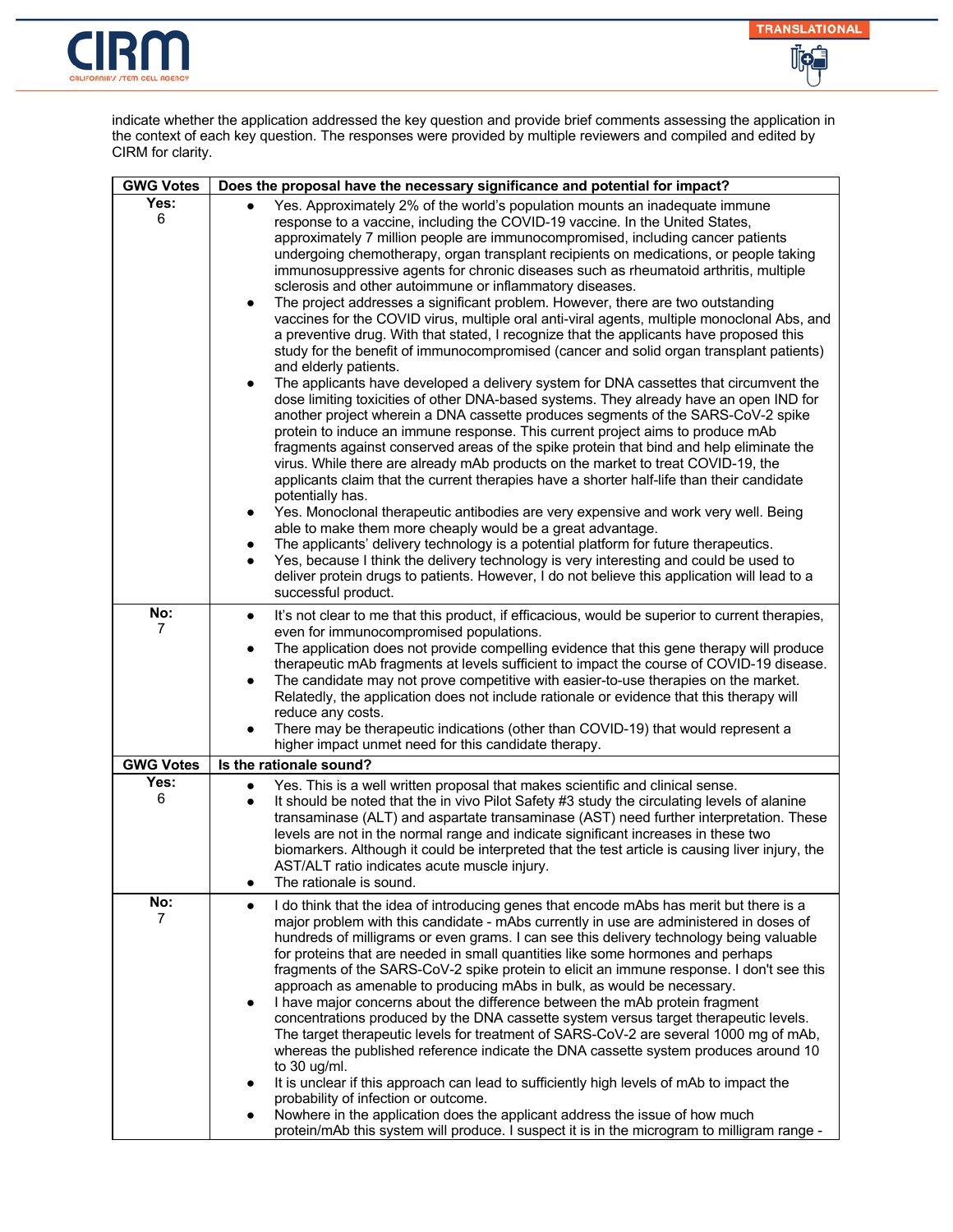



indicate whether the application addressed the key question and provide brief comments assessing the application in the context of each key question. The responses were provided by multiple reviewers and compiled and edited by CIRM for clarity.

| <b>GWG Votes</b>      | Does the proposal have the necessary significance and potential for impact?                                                                                                                                                                                                                                                                                                                                                                                                                                                                                                                                                                                                                                                                                                                                                                                                                                                                                                                                                                                                                                                                                                                                                                                                                                                                                                                                                                                                                                                                                                                                                                                                                                                                                                                                                                                                                                                                                                                                                                  |
|-----------------------|----------------------------------------------------------------------------------------------------------------------------------------------------------------------------------------------------------------------------------------------------------------------------------------------------------------------------------------------------------------------------------------------------------------------------------------------------------------------------------------------------------------------------------------------------------------------------------------------------------------------------------------------------------------------------------------------------------------------------------------------------------------------------------------------------------------------------------------------------------------------------------------------------------------------------------------------------------------------------------------------------------------------------------------------------------------------------------------------------------------------------------------------------------------------------------------------------------------------------------------------------------------------------------------------------------------------------------------------------------------------------------------------------------------------------------------------------------------------------------------------------------------------------------------------------------------------------------------------------------------------------------------------------------------------------------------------------------------------------------------------------------------------------------------------------------------------------------------------------------------------------------------------------------------------------------------------------------------------------------------------------------------------------------------------|
| Yes:<br>6             | Yes. Approximately 2% of the world's population mounts an inadequate immune<br>response to a vaccine, including the COVID-19 vaccine. In the United States,<br>approximately 7 million people are immunocompromised, including cancer patients<br>undergoing chemotherapy, organ transplant recipients on medications, or people taking<br>immunosuppressive agents for chronic diseases such as rheumatoid arthritis, multiple<br>sclerosis and other autoimmune or inflammatory diseases.<br>The project addresses a significant problem. However, there are two outstanding<br>$\bullet$<br>vaccines for the COVID virus, multiple oral anti-viral agents, multiple monoclonal Abs, and<br>a preventive drug. With that stated, I recognize that the applicants have proposed this<br>study for the benefit of immunocompromised (cancer and solid organ transplant patients)<br>and elderly patients.<br>The applicants have developed a delivery system for DNA cassettes that circumvent the<br>$\bullet$<br>dose limiting toxicities of other DNA-based systems. They already have an open IND for<br>another project wherein a DNA cassette produces segments of the SARS-CoV-2 spike<br>protein to induce an immune response. This current project aims to produce mAb<br>fragments against conserved areas of the spike protein that bind and help eliminate the<br>virus. While there are already mAb products on the market to treat COVID-19, the<br>applicants claim that the current therapies have a shorter half-life than their candidate<br>potentially has.<br>Yes. Monoclonal therapeutic antibodies are very expensive and work very well. Being<br>able to make them more cheaply would be a great advantage.<br>The applicants' delivery technology is a potential platform for future therapeutics.<br>Yes, because I think the delivery technology is very interesting and could be used to<br>deliver protein drugs to patients. However, I do not believe this application will lead to a<br>successful product. |
| No:<br>$\overline{7}$ | It's not clear to me that this product, if efficacious, would be superior to current therapies,<br>$\bullet$<br>even for immunocompromised populations.<br>The application does not provide compelling evidence that this gene therapy will produce<br>$\bullet$<br>therapeutic mAb fragments at levels sufficient to impact the course of COVID-19 disease.<br>The candidate may not prove competitive with easier-to-use therapies on the market.<br>$\bullet$<br>Relatedly, the application does not include rationale or evidence that this therapy will<br>reduce any costs.<br>There may be therapeutic indications (other than COVID-19) that would represent a<br>higher impact unmet need for this candidate therapy.                                                                                                                                                                                                                                                                                                                                                                                                                                                                                                                                                                                                                                                                                                                                                                                                                                                                                                                                                                                                                                                                                                                                                                                                                                                                                                               |
| <b>GWG Votes</b>      | Is the rationale sound?                                                                                                                                                                                                                                                                                                                                                                                                                                                                                                                                                                                                                                                                                                                                                                                                                                                                                                                                                                                                                                                                                                                                                                                                                                                                                                                                                                                                                                                                                                                                                                                                                                                                                                                                                                                                                                                                                                                                                                                                                      |
| Yes:<br>6             | Yes. This is a well written proposal that makes scientific and clinical sense.<br>$\bullet$<br>It should be noted that the in vivo Pilot Safety #3 study the circulating levels of alanine<br>transaminase (ALT) and aspartate transaminase (AST) need further interpretation. These<br>levels are not in the normal range and indicate significant increases in these two<br>biomarkers. Although it could be interpreted that the test article is causing liver injury, the<br>AST/ALT ratio indicates acute muscle injury.<br>The rationale is sound.<br>$\bullet$                                                                                                                                                                                                                                                                                                                                                                                                                                                                                                                                                                                                                                                                                                                                                                                                                                                                                                                                                                                                                                                                                                                                                                                                                                                                                                                                                                                                                                                                        |
| No:<br>7              | I do think that the idea of introducing genes that encode mAbs has merit but there is a<br>$\bullet$<br>major problem with this candidate - mAbs currently in use are administered in doses of<br>hundreds of milligrams or even grams. I can see this delivery technology being valuable<br>for proteins that are needed in small quantities like some hormones and perhaps<br>fragments of the SARS-CoV-2 spike protein to elicit an immune response. I don't see this<br>approach as amenable to producing mAbs in bulk, as would be necessary.<br>I have major concerns about the difference between the mAb protein fragment<br>$\bullet$<br>concentrations produced by the DNA cassette system versus target therapeutic levels.<br>The target therapeutic levels for treatment of SARS-CoV-2 are several 1000 mg of mAb,<br>whereas the published reference indicate the DNA cassette system produces around 10<br>to $30 \text{ u}g/ml$ .<br>It is unclear if this approach can lead to sufficiently high levels of mAb to impact the<br>probability of infection or outcome.<br>Nowhere in the application does the applicant address the issue of how much<br>protein/mAb this system will produce. I suspect it is in the microgram to milligram range -                                                                                                                                                                                                                                                                                                                                                                                                                                                                                                                                                                                                                                                                                                                                                                          |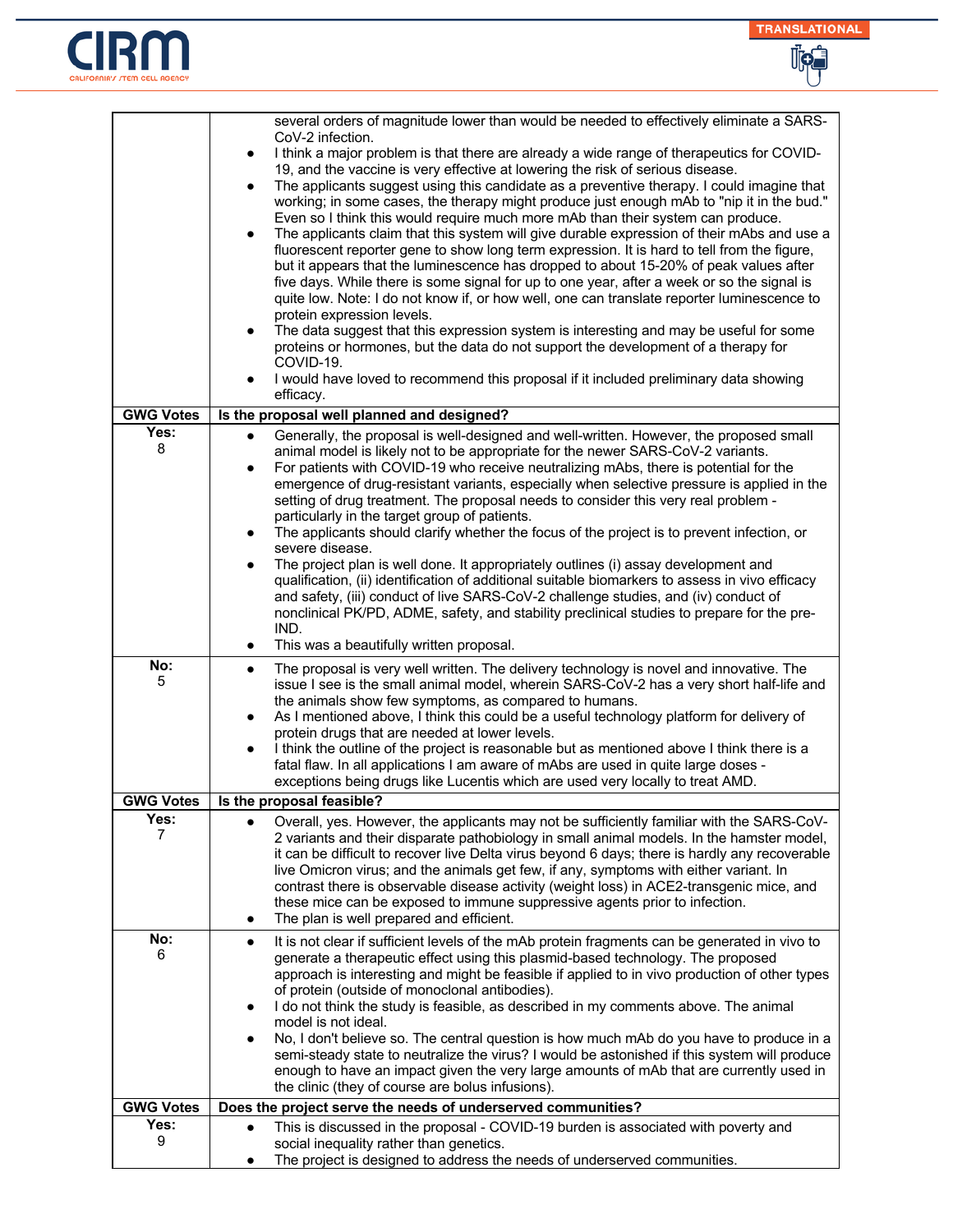



|                          | several orders of magnitude lower than would be needed to effectively eliminate a SARS-                                                                                                                                                                                                                                                                                                                                                                                                                                                                                                                                                                                                                                                                                                                                                                                                                                                                                                                                                                                                                                                                                                                                                                                                                                                             |
|--------------------------|-----------------------------------------------------------------------------------------------------------------------------------------------------------------------------------------------------------------------------------------------------------------------------------------------------------------------------------------------------------------------------------------------------------------------------------------------------------------------------------------------------------------------------------------------------------------------------------------------------------------------------------------------------------------------------------------------------------------------------------------------------------------------------------------------------------------------------------------------------------------------------------------------------------------------------------------------------------------------------------------------------------------------------------------------------------------------------------------------------------------------------------------------------------------------------------------------------------------------------------------------------------------------------------------------------------------------------------------------------|
|                          | CoV-2 infection.<br>I think a major problem is that there are already a wide range of therapeutics for COVID-<br>$\bullet$<br>19, and the vaccine is very effective at lowering the risk of serious disease.<br>The applicants suggest using this candidate as a preventive therapy. I could imagine that<br>$\bullet$<br>working; in some cases, the therapy might produce just enough mAb to "nip it in the bud."<br>Even so I think this would require much more mAb than their system can produce.<br>The applicants claim that this system will give durable expression of their mAbs and use a<br>$\bullet$<br>fluorescent reporter gene to show long term expression. It is hard to tell from the figure,<br>but it appears that the luminescence has dropped to about 15-20% of peak values after<br>five days. While there is some signal for up to one year, after a week or so the signal is<br>quite low. Note: I do not know if, or how well, one can translate reporter luminescence to<br>protein expression levels.<br>The data suggest that this expression system is interesting and may be useful for some<br>$\bullet$<br>proteins or hormones, but the data do not support the development of a therapy for<br>COVID-19.<br>I would have loved to recommend this proposal if it included preliminary data showing<br>$\bullet$ |
|                          | efficacy.                                                                                                                                                                                                                                                                                                                                                                                                                                                                                                                                                                                                                                                                                                                                                                                                                                                                                                                                                                                                                                                                                                                                                                                                                                                                                                                                           |
| <b>GWG Votes</b><br>Yes: | Is the proposal well planned and designed?                                                                                                                                                                                                                                                                                                                                                                                                                                                                                                                                                                                                                                                                                                                                                                                                                                                                                                                                                                                                                                                                                                                                                                                                                                                                                                          |
| 8                        | Generally, the proposal is well-designed and well-written. However, the proposed small<br>animal model is likely not to be appropriate for the newer SARS-CoV-2 variants.<br>For patients with COVID-19 who receive neutralizing mAbs, there is potential for the<br>$\bullet$<br>emergence of drug-resistant variants, especially when selective pressure is applied in the<br>setting of drug treatment. The proposal needs to consider this very real problem -<br>particularly in the target group of patients.<br>The applicants should clarify whether the focus of the project is to prevent infection, or<br>$\bullet$<br>severe disease.<br>The project plan is well done. It appropriately outlines (i) assay development and<br>qualification, (ii) identification of additional suitable biomarkers to assess in vivo efficacy                                                                                                                                                                                                                                                                                                                                                                                                                                                                                                          |
|                          | and safety, (iii) conduct of live SARS-CoV-2 challenge studies, and (iv) conduct of<br>nonclinical PK/PD, ADME, safety, and stability preclinical studies to prepare for the pre-<br>IND.<br>This was a beautifully written proposal.<br>$\bullet$                                                                                                                                                                                                                                                                                                                                                                                                                                                                                                                                                                                                                                                                                                                                                                                                                                                                                                                                                                                                                                                                                                  |
| No:<br>5                 | The proposal is very well written. The delivery technology is novel and innovative. The<br>$\bullet$<br>issue I see is the small animal model, wherein SARS-CoV-2 has a very short half-life and<br>the animals show few symptoms, as compared to humans.<br>As I mentioned above, I think this could be a useful technology platform for delivery of<br>$\bullet$<br>protein drugs that are needed at lower levels.<br>I think the outline of the project is reasonable but as mentioned above I think there is a<br>٠<br>fatal flaw. In all applications I am aware of mAbs are used in quite large doses -<br>exceptions being drugs like Lucentis which are used very locally to treat AMD.                                                                                                                                                                                                                                                                                                                                                                                                                                                                                                                                                                                                                                                     |
| <b>GWG Votes</b>         | Is the proposal feasible?                                                                                                                                                                                                                                                                                                                                                                                                                                                                                                                                                                                                                                                                                                                                                                                                                                                                                                                                                                                                                                                                                                                                                                                                                                                                                                                           |
| Yes:<br>7                | Overall, yes. However, the applicants may not be sufficiently familiar with the SARS-CoV-<br>2 variants and their disparate pathobiology in small animal models. In the hamster model,<br>it can be difficult to recover live Delta virus beyond 6 days; there is hardly any recoverable<br>live Omicron virus; and the animals get few, if any, symptoms with either variant. In<br>contrast there is observable disease activity (weight loss) in ACE2-transgenic mice, and<br>these mice can be exposed to immune suppressive agents prior to infection.<br>The plan is well prepared and efficient.<br>$\bullet$                                                                                                                                                                                                                                                                                                                                                                                                                                                                                                                                                                                                                                                                                                                                |
| No:<br>6                 | It is not clear if sufficient levels of the mAb protein fragments can be generated in vivo to<br>$\bullet$<br>generate a therapeutic effect using this plasmid-based technology. The proposed<br>approach is interesting and might be feasible if applied to in vivo production of other types<br>of protein (outside of monoclonal antibodies).<br>I do not think the study is feasible, as described in my comments above. The animal<br>$\bullet$<br>model is not ideal.<br>No, I don't believe so. The central question is how much mAb do you have to produce in a<br>$\bullet$<br>semi-steady state to neutralize the virus? I would be astonished if this system will produce<br>enough to have an impact given the very large amounts of mAb that are currently used in<br>the clinic (they of course are bolus infusions).                                                                                                                                                                                                                                                                                                                                                                                                                                                                                                                 |
| <b>GWG Votes</b>         | Does the project serve the needs of underserved communities?                                                                                                                                                                                                                                                                                                                                                                                                                                                                                                                                                                                                                                                                                                                                                                                                                                                                                                                                                                                                                                                                                                                                                                                                                                                                                        |
| Yes:<br>9                | This is discussed in the proposal - COVID-19 burden is associated with poverty and<br>$\bullet$<br>social inequality rather than genetics.<br>The project is designed to address the needs of underserved communities.<br>$\bullet$                                                                                                                                                                                                                                                                                                                                                                                                                                                                                                                                                                                                                                                                                                                                                                                                                                                                                                                                                                                                                                                                                                                 |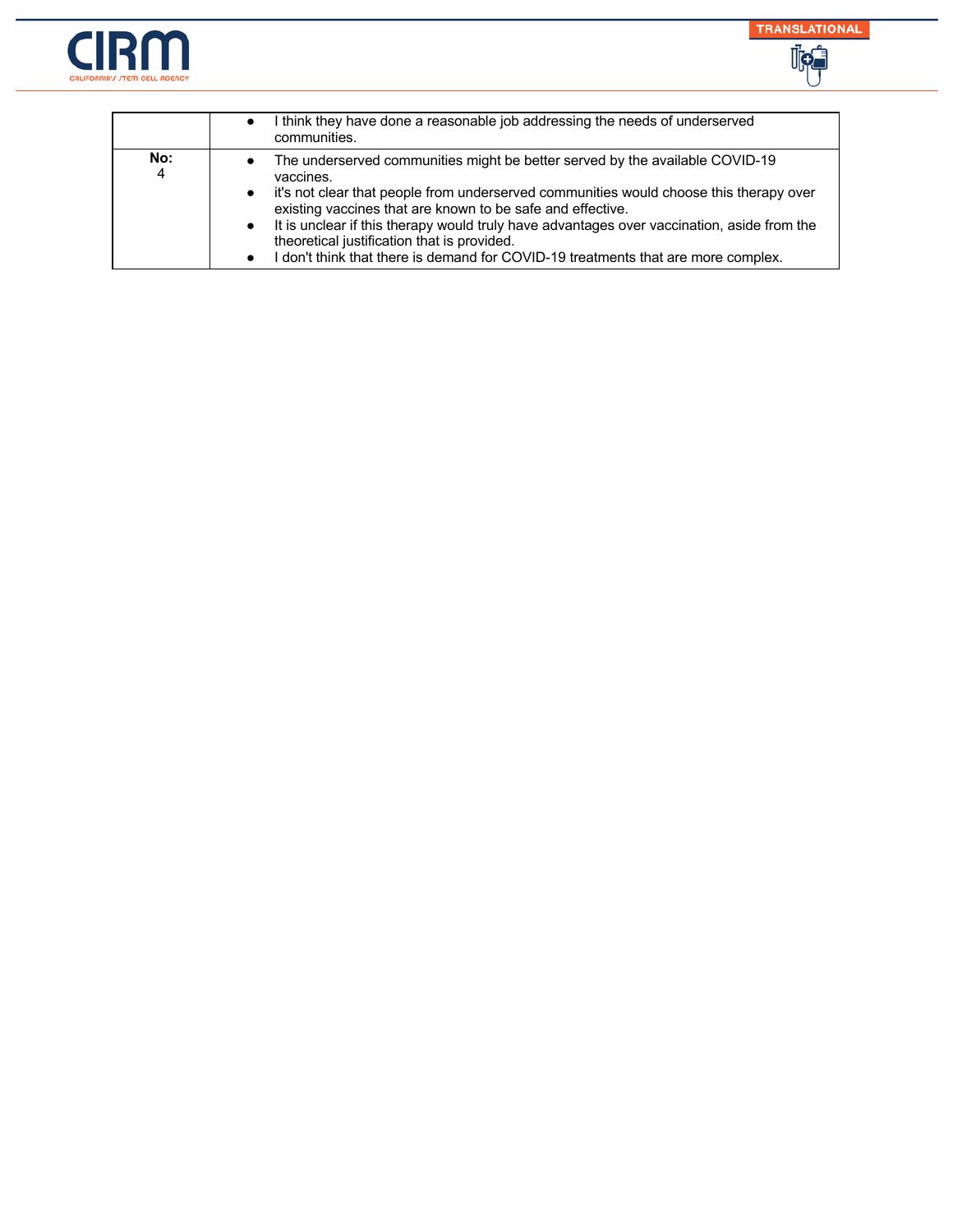



|                       | I think they have done a reasonable job addressing the needs of underserved<br>communities.                                                                                                                                                                                                                                                                                                                                                                                                                 |
|-----------------------|-------------------------------------------------------------------------------------------------------------------------------------------------------------------------------------------------------------------------------------------------------------------------------------------------------------------------------------------------------------------------------------------------------------------------------------------------------------------------------------------------------------|
| No:<br>$\overline{4}$ | The underserved communities might be better served by the available COVID-19<br>vaccines.<br>it's not clear that people from underserved communities would choose this therapy over<br>$\bullet$<br>existing vaccines that are known to be safe and effective.<br>It is unclear if this therapy would truly have advantages over vaccination, aside from the<br>$\bullet$<br>theoretical justification that is provided.<br>don't think that there is demand for COVID-19 treatments that are more complex. |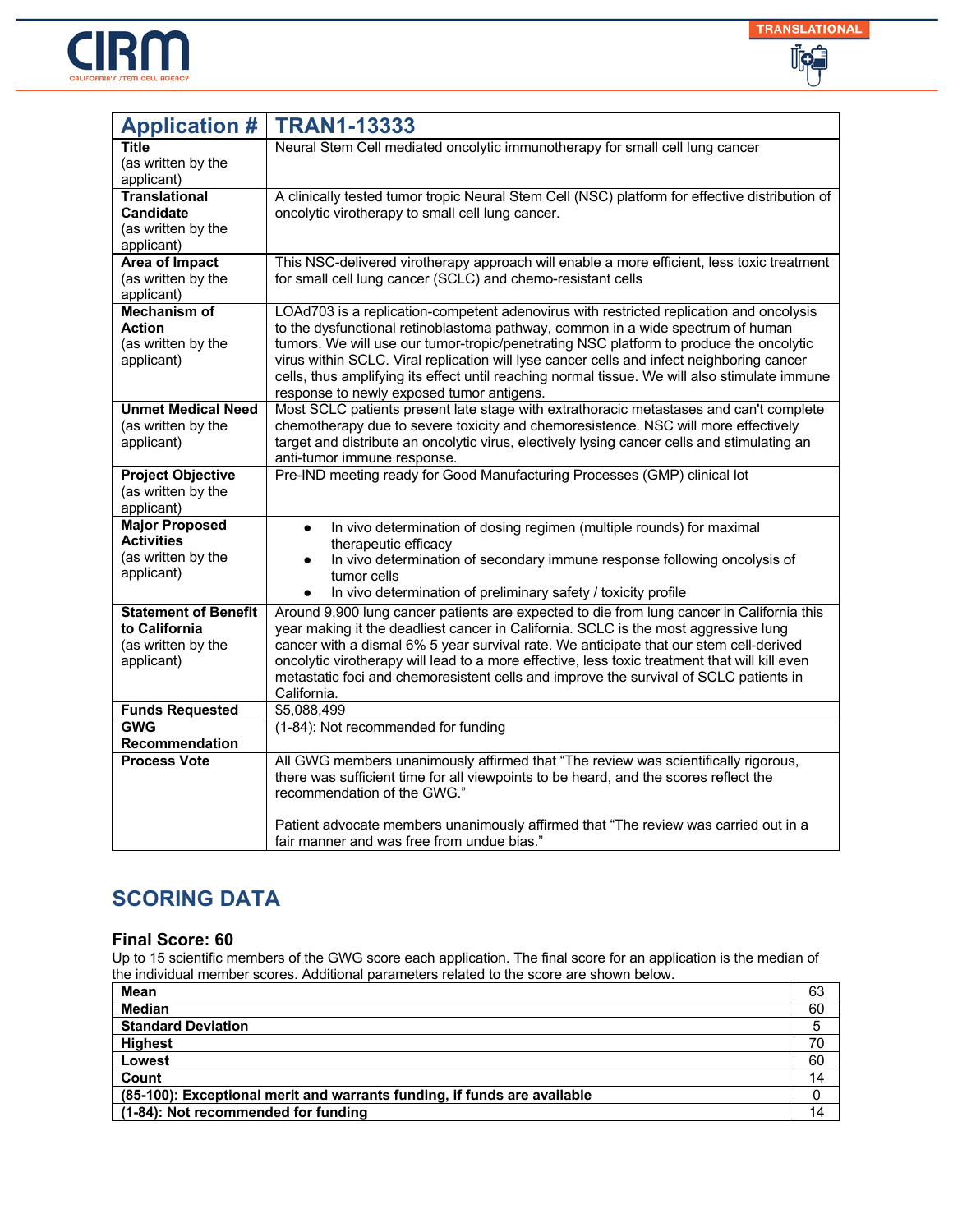



| <b>Application #</b>        | <b>TRAN1-13333</b>                                                                                                                                                                         |
|-----------------------------|--------------------------------------------------------------------------------------------------------------------------------------------------------------------------------------------|
| Title                       | Neural Stem Cell mediated oncolytic immunotherapy for small cell lung cancer                                                                                                               |
| (as written by the          |                                                                                                                                                                                            |
| applicant)                  |                                                                                                                                                                                            |
| <b>Translational</b>        | A clinically tested tumor tropic Neural Stem Cell (NSC) platform for effective distribution of                                                                                             |
| <b>Candidate</b>            | oncolytic virotherapy to small cell lung cancer.                                                                                                                                           |
| (as written by the          |                                                                                                                                                                                            |
| applicant)                  |                                                                                                                                                                                            |
| <b>Area of Impact</b>       | This NSC-delivered virotherapy approach will enable a more efficient, less toxic treatment                                                                                                 |
| (as written by the          | for small cell lung cancer (SCLC) and chemo-resistant cells                                                                                                                                |
| applicant)                  |                                                                                                                                                                                            |
| <b>Mechanism of</b>         | LOAd703 is a replication-competent adenovirus with restricted replication and oncolysis                                                                                                    |
| <b>Action</b>               | to the dysfunctional retinoblastoma pathway, common in a wide spectrum of human                                                                                                            |
| (as written by the          | tumors. We will use our tumor-tropic/penetrating NSC platform to produce the oncolytic                                                                                                     |
| applicant)                  | virus within SCLC. Viral replication will lyse cancer cells and infect neighboring cancer<br>cells, thus amplifying its effect until reaching normal tissue. We will also stimulate immune |
|                             | response to newly exposed tumor antigens.                                                                                                                                                  |
| <b>Unmet Medical Need</b>   | Most SCLC patients present late stage with extrathoracic metastases and can't complete                                                                                                     |
| (as written by the          | chemotherapy due to severe toxicity and chemoresistence. NSC will more effectively                                                                                                         |
| applicant)                  | target and distribute an oncolytic virus, electively lysing cancer cells and stimulating an                                                                                                |
|                             | anti-tumor immune response.                                                                                                                                                                |
| <b>Project Objective</b>    | Pre-IND meeting ready for Good Manufacturing Processes (GMP) clinical lot                                                                                                                  |
| (as written by the          |                                                                                                                                                                                            |
| applicant)                  |                                                                                                                                                                                            |
| <b>Major Proposed</b>       | In vivo determination of dosing regimen (multiple rounds) for maximal<br>$\bullet$                                                                                                         |
| <b>Activities</b>           | therapeutic efficacy                                                                                                                                                                       |
| (as written by the          | In vivo determination of secondary immune response following oncolysis of                                                                                                                  |
| applicant)                  | tumor cells                                                                                                                                                                                |
|                             | In vivo determination of preliminary safety / toxicity profile<br>$\bullet$                                                                                                                |
| <b>Statement of Benefit</b> | Around 9,900 lung cancer patients are expected to die from lung cancer in California this                                                                                                  |
| to California               | year making it the deadliest cancer in California. SCLC is the most aggressive lung                                                                                                        |
| (as written by the          | cancer with a dismal 6% 5 year survival rate. We anticipate that our stem cell-derived                                                                                                     |
| applicant)                  | oncolytic virotherapy will lead to a more effective, less toxic treatment that will kill even                                                                                              |
|                             | metastatic foci and chemoresistent cells and improve the survival of SCLC patients in                                                                                                      |
|                             | California.                                                                                                                                                                                |
| <b>Funds Requested</b>      | \$5,088,499                                                                                                                                                                                |
| <b>GWG</b>                  | (1-84): Not recommended for funding                                                                                                                                                        |
| <b>Recommendation</b>       |                                                                                                                                                                                            |
| <b>Process Vote</b>         | All GWG members unanimously affirmed that "The review was scientifically rigorous,                                                                                                         |
|                             | there was sufficient time for all viewpoints to be heard, and the scores reflect the                                                                                                       |
|                             | recommendation of the GWG."                                                                                                                                                                |
|                             |                                                                                                                                                                                            |
|                             | Patient advocate members unanimously affirmed that "The review was carried out in a                                                                                                        |
|                             | fair manner and was free from undue bias."                                                                                                                                                 |

#### **Final Score: 60**

| Mean                                                                     | 63 |
|--------------------------------------------------------------------------|----|
| <b>Median</b>                                                            | 60 |
| <b>Standard Deviation</b>                                                |    |
| <b>Highest</b>                                                           | 70 |
| Lowest                                                                   | 60 |
| Count                                                                    | 14 |
| (85-100): Exceptional merit and warrants funding, if funds are available |    |
| (1-84): Not recommended for funding                                      | 14 |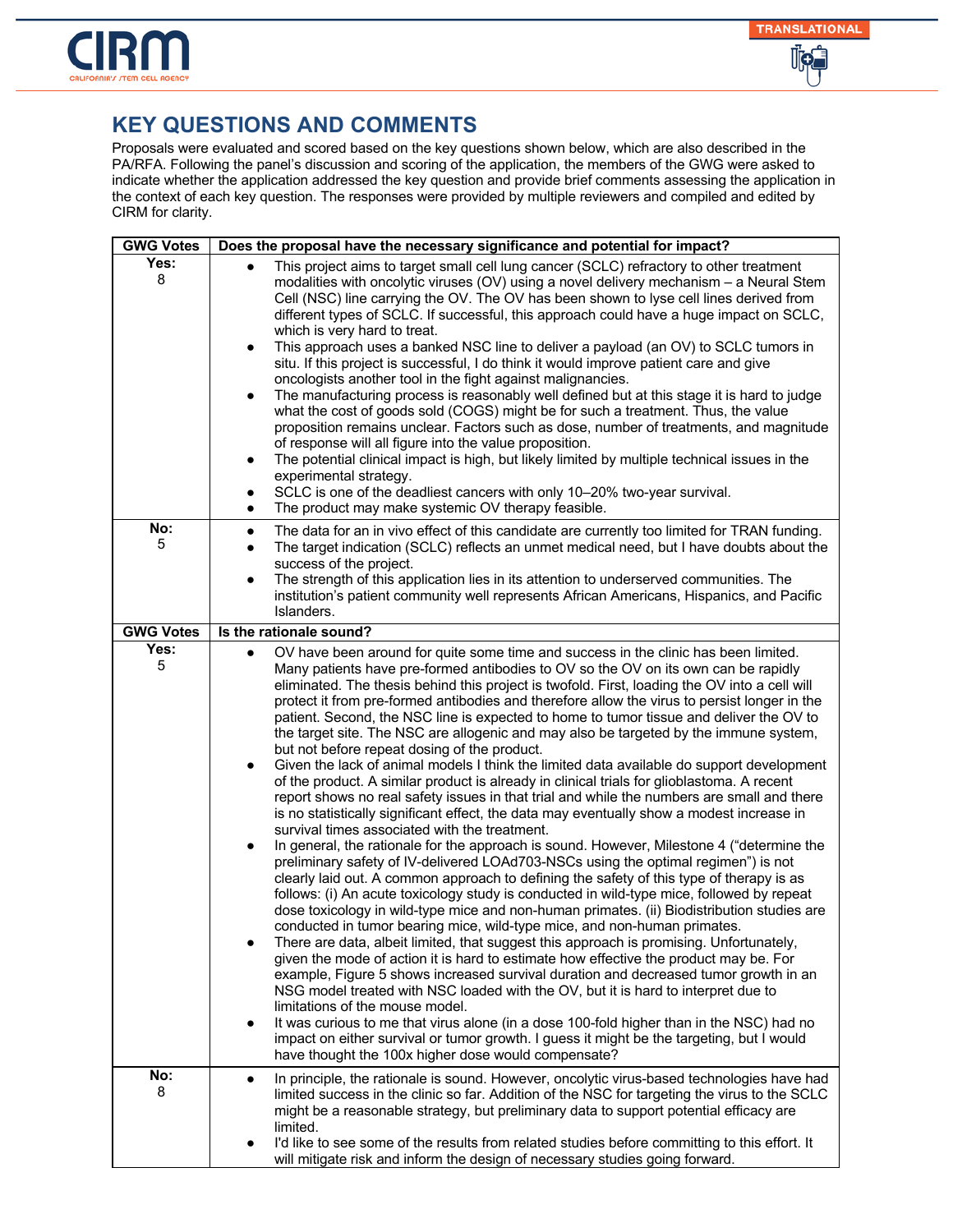

| <b>GWG Votes</b> | Does the proposal have the necessary significance and potential for impact?                                                                                                                                                                                                                                                                                                                                                                                                                                                                                                                                                                                                                                                                                                                                                                                                                                                                                                                                                                                                                                                                                                                                                                                                                                                                                                                                                                                                                                                                                                                                                                                                                                                                                                                                                                                                                                                                                                                                                                                                                                                                                                                                                                                                               |
|------------------|-------------------------------------------------------------------------------------------------------------------------------------------------------------------------------------------------------------------------------------------------------------------------------------------------------------------------------------------------------------------------------------------------------------------------------------------------------------------------------------------------------------------------------------------------------------------------------------------------------------------------------------------------------------------------------------------------------------------------------------------------------------------------------------------------------------------------------------------------------------------------------------------------------------------------------------------------------------------------------------------------------------------------------------------------------------------------------------------------------------------------------------------------------------------------------------------------------------------------------------------------------------------------------------------------------------------------------------------------------------------------------------------------------------------------------------------------------------------------------------------------------------------------------------------------------------------------------------------------------------------------------------------------------------------------------------------------------------------------------------------------------------------------------------------------------------------------------------------------------------------------------------------------------------------------------------------------------------------------------------------------------------------------------------------------------------------------------------------------------------------------------------------------------------------------------------------------------------------------------------------------------------------------------------------|
| Yes:<br>8        | This project aims to target small cell lung cancer (SCLC) refractory to other treatment<br>modalities with oncolytic viruses (OV) using a novel delivery mechanism - a Neural Stem<br>Cell (NSC) line carrying the OV. The OV has been shown to lyse cell lines derived from<br>different types of SCLC. If successful, this approach could have a huge impact on SCLC,<br>which is very hard to treat.<br>This approach uses a banked NSC line to deliver a payload (an OV) to SCLC tumors in<br>$\bullet$<br>situ. If this project is successful, I do think it would improve patient care and give<br>oncologists another tool in the fight against malignancies.<br>The manufacturing process is reasonably well defined but at this stage it is hard to judge<br>$\bullet$<br>what the cost of goods sold (COGS) might be for such a treatment. Thus, the value<br>proposition remains unclear. Factors such as dose, number of treatments, and magnitude<br>of response will all figure into the value proposition.<br>The potential clinical impact is high, but likely limited by multiple technical issues in the<br>$\bullet$<br>experimental strategy.<br>SCLC is one of the deadliest cancers with only 10-20% two-year survival.<br>٠<br>The product may make systemic OV therapy feasible.<br>$\bullet$                                                                                                                                                                                                                                                                                                                                                                                                                                                                                                                                                                                                                                                                                                                                                                                                                                                                                                                                                                     |
| No:<br>5         | The data for an in vivo effect of this candidate are currently too limited for TRAN funding.<br>$\bullet$<br>The target indication (SCLC) reflects an unmet medical need, but I have doubts about the<br>$\bullet$<br>success of the project.<br>The strength of this application lies in its attention to underserved communities. The<br>$\bullet$<br>institution's patient community well represents African Americans, Hispanics, and Pacific<br>Islanders.                                                                                                                                                                                                                                                                                                                                                                                                                                                                                                                                                                                                                                                                                                                                                                                                                                                                                                                                                                                                                                                                                                                                                                                                                                                                                                                                                                                                                                                                                                                                                                                                                                                                                                                                                                                                                           |
| <b>GWG Votes</b> | Is the rationale sound?                                                                                                                                                                                                                                                                                                                                                                                                                                                                                                                                                                                                                                                                                                                                                                                                                                                                                                                                                                                                                                                                                                                                                                                                                                                                                                                                                                                                                                                                                                                                                                                                                                                                                                                                                                                                                                                                                                                                                                                                                                                                                                                                                                                                                                                                   |
| Yes:<br>5        | OV have been around for quite some time and success in the clinic has been limited.<br>$\bullet$<br>Many patients have pre-formed antibodies to OV so the OV on its own can be rapidly<br>eliminated. The thesis behind this project is twofold. First, loading the OV into a cell will<br>protect it from pre-formed antibodies and therefore allow the virus to persist longer in the<br>patient. Second, the NSC line is expected to home to tumor tissue and deliver the OV to<br>the target site. The NSC are allogenic and may also be targeted by the immune system,<br>but not before repeat dosing of the product.<br>Given the lack of animal models I think the limited data available do support development<br>$\bullet$<br>of the product. A similar product is already in clinical trials for glioblastoma. A recent<br>report shows no real safety issues in that trial and while the numbers are small and there<br>is no statistically significant effect, the data may eventually show a modest increase in<br>survival times associated with the treatment.<br>In general, the rationale for the approach is sound. However, Milestone 4 ("determine the<br>preliminary safety of IV-delivered LOAd703-NSCs using the optimal regimen") is not<br>clearly laid out. A common approach to defining the safety of this type of therapy is as<br>follows: (i) An acute toxicology study is conducted in wild-type mice, followed by repeat<br>dose toxicology in wild-type mice and non-human primates. (ii) Biodistribution studies are<br>conducted in tumor bearing mice, wild-type mice, and non-human primates.<br>There are data, albeit limited, that suggest this approach is promising. Unfortunately,<br>given the mode of action it is hard to estimate how effective the product may be. For<br>example, Figure 5 shows increased survival duration and decreased tumor growth in an<br>NSG model treated with NSC loaded with the OV, but it is hard to interpret due to<br>limitations of the mouse model.<br>It was curious to me that virus alone (in a dose 100-fold higher than in the NSC) had no<br>impact on either survival or tumor growth. I guess it might be the targeting, but I would<br>have thought the 100x higher dose would compensate? |
| No:<br>8         | In principle, the rationale is sound. However, oncolytic virus-based technologies have had<br>$\bullet$<br>limited success in the clinic so far. Addition of the NSC for targeting the virus to the SCLC<br>might be a reasonable strategy, but preliminary data to support potential efficacy are<br>limited.<br>I'd like to see some of the results from related studies before committing to this effort. It<br>will mitigate risk and inform the design of necessary studies going forward.                                                                                                                                                                                                                                                                                                                                                                                                                                                                                                                                                                                                                                                                                                                                                                                                                                                                                                                                                                                                                                                                                                                                                                                                                                                                                                                                                                                                                                                                                                                                                                                                                                                                                                                                                                                           |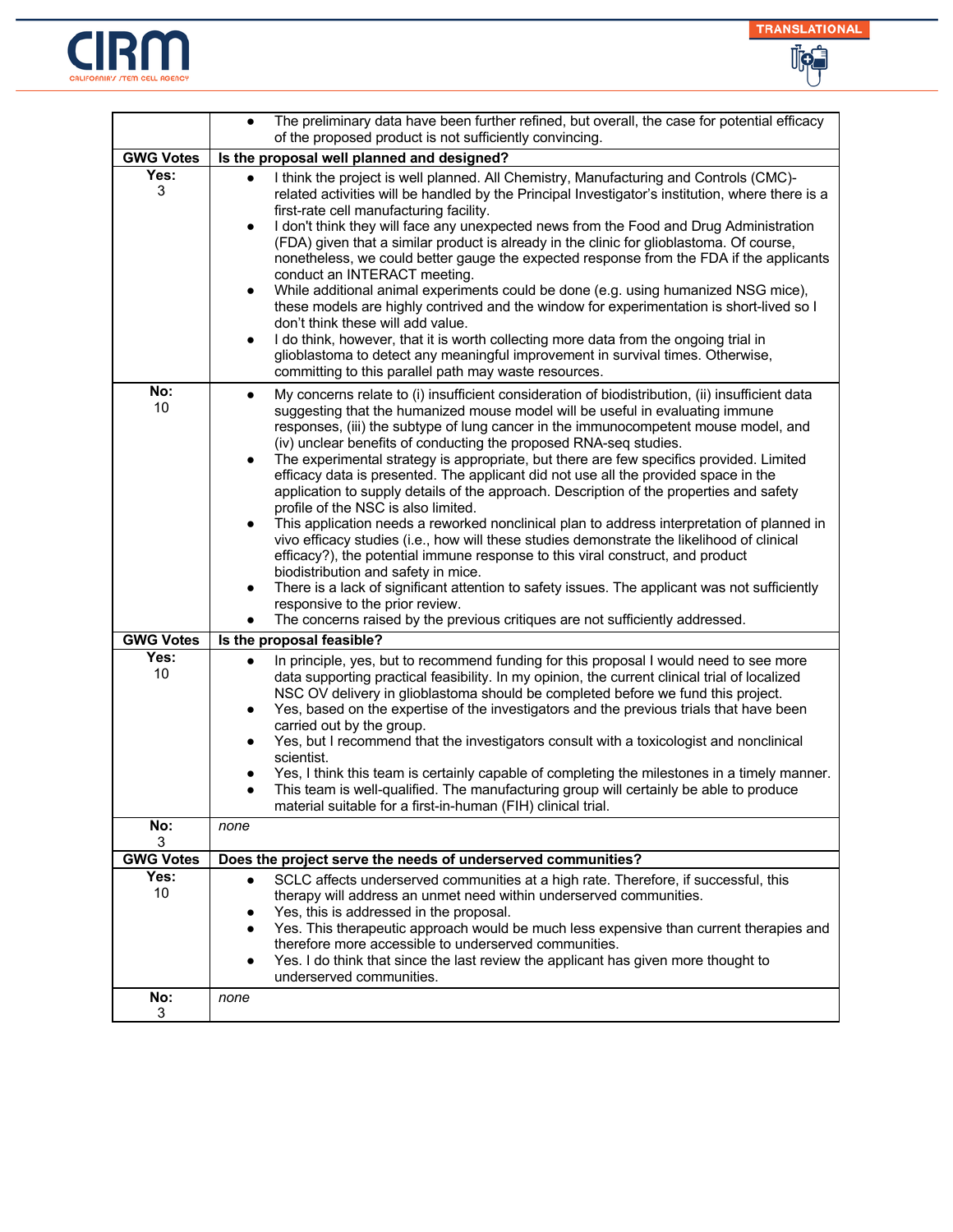



|                  | The preliminary data have been further refined, but overall, the case for potential efficacy<br>of the proposed product is not sufficiently convincing.                                                                                                                                                                                                                                                                                                                                                                                                                                                                                                                                                                                                                                                                                                                                                                                                                                                                                                                                                                                                                                                                                           |
|------------------|---------------------------------------------------------------------------------------------------------------------------------------------------------------------------------------------------------------------------------------------------------------------------------------------------------------------------------------------------------------------------------------------------------------------------------------------------------------------------------------------------------------------------------------------------------------------------------------------------------------------------------------------------------------------------------------------------------------------------------------------------------------------------------------------------------------------------------------------------------------------------------------------------------------------------------------------------------------------------------------------------------------------------------------------------------------------------------------------------------------------------------------------------------------------------------------------------------------------------------------------------|
| <b>GWG Votes</b> | Is the proposal well planned and designed?                                                                                                                                                                                                                                                                                                                                                                                                                                                                                                                                                                                                                                                                                                                                                                                                                                                                                                                                                                                                                                                                                                                                                                                                        |
| Yes:<br>3        | I think the project is well planned. All Chemistry, Manufacturing and Controls (CMC)-<br>related activities will be handled by the Principal Investigator's institution, where there is a<br>first-rate cell manufacturing facility.<br>I don't think they will face any unexpected news from the Food and Drug Administration<br>$\bullet$<br>(FDA) given that a similar product is already in the clinic for glioblastoma. Of course,<br>nonetheless, we could better gauge the expected response from the FDA if the applicants<br>conduct an INTERACT meeting.<br>While additional animal experiments could be done (e.g. using humanized NSG mice),<br>٠<br>these models are highly contrived and the window for experimentation is short-lived so I<br>don't think these will add value.<br>I do think, however, that it is worth collecting more data from the ongoing trial in<br>٠<br>glioblastoma to detect any meaningful improvement in survival times. Otherwise,<br>committing to this parallel path may waste resources.                                                                                                                                                                                                           |
| No:<br>10        | My concerns relate to (i) insufficient consideration of biodistribution, (ii) insufficient data<br>$\bullet$<br>suggesting that the humanized mouse model will be useful in evaluating immune<br>responses, (iii) the subtype of lung cancer in the immunocompetent mouse model, and<br>(iv) unclear benefits of conducting the proposed RNA-seq studies.<br>The experimental strategy is appropriate, but there are few specifics provided. Limited<br>$\bullet$<br>efficacy data is presented. The applicant did not use all the provided space in the<br>application to supply details of the approach. Description of the properties and safety<br>profile of the NSC is also limited.<br>This application needs a reworked nonclinical plan to address interpretation of planned in<br>vivo efficacy studies (i.e., how will these studies demonstrate the likelihood of clinical<br>efficacy?), the potential immune response to this viral construct, and product<br>biodistribution and safety in mice.<br>There is a lack of significant attention to safety issues. The applicant was not sufficiently<br>responsive to the prior review.<br>The concerns raised by the previous critiques are not sufficiently addressed.<br>$\bullet$ |
| <b>GWG Votes</b> | Is the proposal feasible?                                                                                                                                                                                                                                                                                                                                                                                                                                                                                                                                                                                                                                                                                                                                                                                                                                                                                                                                                                                                                                                                                                                                                                                                                         |
| Yes:<br>10       | In principle, yes, but to recommend funding for this proposal I would need to see more<br>$\bullet$<br>data supporting practical feasibility. In my opinion, the current clinical trial of localized<br>NSC OV delivery in glioblastoma should be completed before we fund this project.<br>Yes, based on the expertise of the investigators and the previous trials that have been<br>carried out by the group.<br>Yes, but I recommend that the investigators consult with a toxicologist and nonclinical<br>٠<br>scientist.<br>Yes, I think this team is certainly capable of completing the milestones in a timely manner.<br>This team is well-qualified. The manufacturing group will certainly be able to produce<br>$\bullet$<br>material suitable for a first-in-human (FIH) clinical trial.                                                                                                                                                                                                                                                                                                                                                                                                                                             |
| No:<br>3         | none                                                                                                                                                                                                                                                                                                                                                                                                                                                                                                                                                                                                                                                                                                                                                                                                                                                                                                                                                                                                                                                                                                                                                                                                                                              |
| <b>GWG Votes</b> | Does the project serve the needs of underserved communities?                                                                                                                                                                                                                                                                                                                                                                                                                                                                                                                                                                                                                                                                                                                                                                                                                                                                                                                                                                                                                                                                                                                                                                                      |
| Yes:<br>10       | SCLC affects underserved communities at a high rate. Therefore, if successful, this<br>$\bullet$<br>therapy will address an unmet need within underserved communities.<br>Yes, this is addressed in the proposal.<br>Yes. This therapeutic approach would be much less expensive than current therapies and<br>therefore more accessible to underserved communities.<br>Yes. I do think that since the last review the applicant has given more thought to<br>underserved communities.                                                                                                                                                                                                                                                                                                                                                                                                                                                                                                                                                                                                                                                                                                                                                            |
| No:<br>3         | none                                                                                                                                                                                                                                                                                                                                                                                                                                                                                                                                                                                                                                                                                                                                                                                                                                                                                                                                                                                                                                                                                                                                                                                                                                              |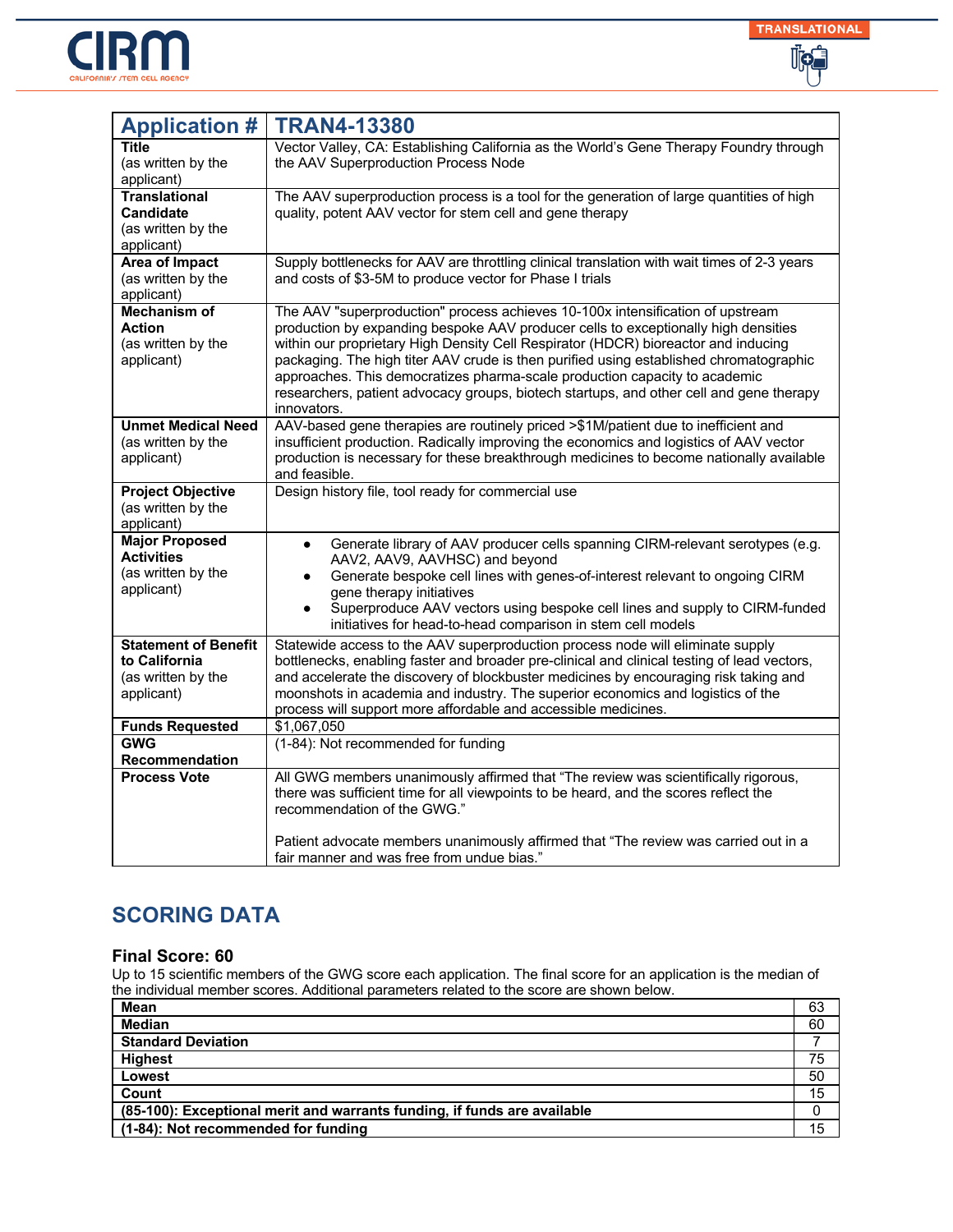



| <b>Application #</b>                                                             | <b>TRAN4-13380</b>                                                                                                                                                                                                                                                                                                                                                                                                                                                                                                                           |
|----------------------------------------------------------------------------------|----------------------------------------------------------------------------------------------------------------------------------------------------------------------------------------------------------------------------------------------------------------------------------------------------------------------------------------------------------------------------------------------------------------------------------------------------------------------------------------------------------------------------------------------|
| Title<br>(as written by the<br>applicant)                                        | Vector Valley, CA: Establishing California as the World's Gene Therapy Foundry through<br>the AAV Superproduction Process Node                                                                                                                                                                                                                                                                                                                                                                                                               |
| <b>Translational</b><br><b>Candidate</b><br>(as written by the<br>applicant)     | The AAV superproduction process is a tool for the generation of large quantities of high<br>quality, potent AAV vector for stem cell and gene therapy                                                                                                                                                                                                                                                                                                                                                                                        |
| <b>Area of Impact</b><br>(as written by the<br>applicant)                        | Supply bottlenecks for AAV are throttling clinical translation with wait times of 2-3 years<br>and costs of \$3-5M to produce vector for Phase I trials                                                                                                                                                                                                                                                                                                                                                                                      |
| <b>Mechanism of</b><br><b>Action</b><br>(as written by the<br>applicant)         | The AAV "superproduction" process achieves 10-100x intensification of upstream<br>production by expanding bespoke AAV producer cells to exceptionally high densities<br>within our proprietary High Density Cell Respirator (HDCR) bioreactor and inducing<br>packaging. The high titer AAV crude is then purified using established chromatographic<br>approaches. This democratizes pharma-scale production capacity to academic<br>researchers, patient advocacy groups, biotech startups, and other cell and gene therapy<br>innovators. |
| <b>Unmet Medical Need</b><br>(as written by the<br>applicant)                    | AAV-based gene therapies are routinely priced >\$1M/patient due to inefficient and<br>insufficient production. Radically improving the economics and logistics of AAV vector<br>production is necessary for these breakthrough medicines to become nationally available<br>and feasible.                                                                                                                                                                                                                                                     |
| <b>Project Objective</b><br>(as written by the<br>applicant)                     | Design history file, tool ready for commercial use                                                                                                                                                                                                                                                                                                                                                                                                                                                                                           |
| <b>Major Proposed</b><br><b>Activities</b><br>(as written by the<br>applicant)   | Generate library of AAV producer cells spanning CIRM-relevant serotypes (e.g.<br>$\bullet$<br>AAV2, AAV9, AAVHSC) and beyond<br>Generate bespoke cell lines with genes-of-interest relevant to ongoing CIRM<br>$\bullet$<br>gene therapy initiatives<br>Superproduce AAV vectors using bespoke cell lines and supply to CIRM-funded<br>$\bullet$<br>initiatives for head-to-head comparison in stem cell models                                                                                                                              |
| <b>Statement of Benefit</b><br>to California<br>(as written by the<br>applicant) | Statewide access to the AAV superproduction process node will eliminate supply<br>bottlenecks, enabling faster and broader pre-clinical and clinical testing of lead vectors,<br>and accelerate the discovery of blockbuster medicines by encouraging risk taking and<br>moonshots in academia and industry. The superior economics and logistics of the<br>process will support more affordable and accessible medicines.                                                                                                                   |
| <b>Funds Requested</b>                                                           | \$1,067,050                                                                                                                                                                                                                                                                                                                                                                                                                                                                                                                                  |
| <b>GWG</b><br><b>Recommendation</b>                                              | (1-84): Not recommended for funding                                                                                                                                                                                                                                                                                                                                                                                                                                                                                                          |
| <b>Process Vote</b>                                                              | All GWG members unanimously affirmed that "The review was scientifically rigorous,<br>there was sufficient time for all viewpoints to be heard, and the scores reflect the<br>recommendation of the GWG."                                                                                                                                                                                                                                                                                                                                    |
|                                                                                  | Patient advocate members unanimously affirmed that "The review was carried out in a<br>fair manner and was free from undue bias."                                                                                                                                                                                                                                                                                                                                                                                                            |

### **Final Score: 60**

| Mean                                                                     | 63 |
|--------------------------------------------------------------------------|----|
| <b>Median</b>                                                            | 60 |
| <b>Standard Deviation</b>                                                |    |
| <b>Highest</b>                                                           | 75 |
| Lowest                                                                   | 50 |
| Count                                                                    | 15 |
| (85-100): Exceptional merit and warrants funding, if funds are available |    |
| (1-84): Not recommended for funding                                      | 15 |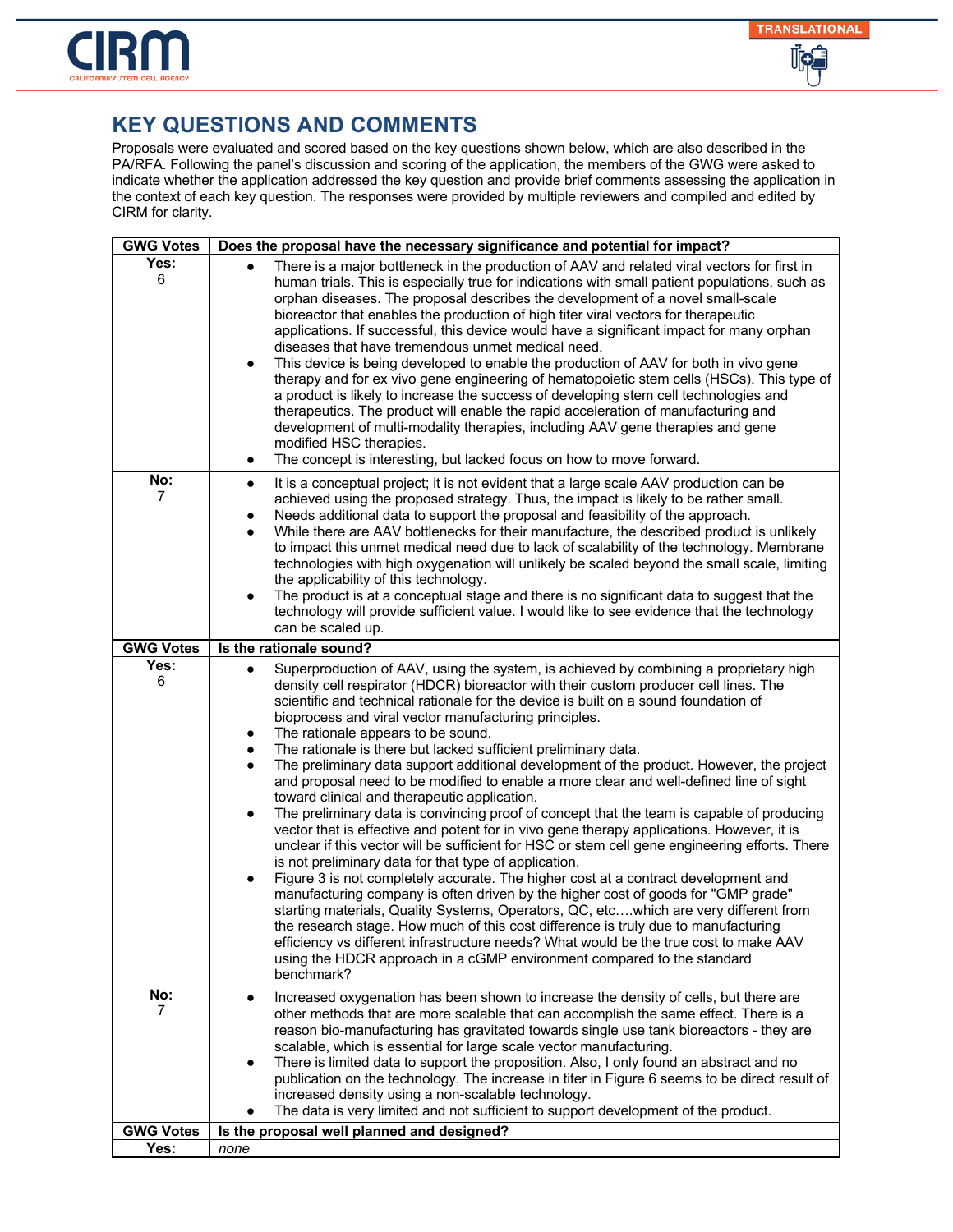

| <b>GWG Votes</b> | Does the proposal have the necessary significance and potential for impact?                                                                                                                                                                                                                                                                                                                                                                                                                                                                                                                                                                                                                                                                                                                                                                                                                                                                                                                                                                                                                                                                                                                                                                                                                                                                                                                                                                                                                                                                                                                                                         |
|------------------|-------------------------------------------------------------------------------------------------------------------------------------------------------------------------------------------------------------------------------------------------------------------------------------------------------------------------------------------------------------------------------------------------------------------------------------------------------------------------------------------------------------------------------------------------------------------------------------------------------------------------------------------------------------------------------------------------------------------------------------------------------------------------------------------------------------------------------------------------------------------------------------------------------------------------------------------------------------------------------------------------------------------------------------------------------------------------------------------------------------------------------------------------------------------------------------------------------------------------------------------------------------------------------------------------------------------------------------------------------------------------------------------------------------------------------------------------------------------------------------------------------------------------------------------------------------------------------------------------------------------------------------|
| Yes:<br>6        | There is a major bottleneck in the production of AAV and related viral vectors for first in<br>human trials. This is especially true for indications with small patient populations, such as<br>orphan diseases. The proposal describes the development of a novel small-scale<br>bioreactor that enables the production of high titer viral vectors for therapeutic<br>applications. If successful, this device would have a significant impact for many orphan<br>diseases that have tremendous unmet medical need.<br>This device is being developed to enable the production of AAV for both in vivo gene<br>$\bullet$<br>therapy and for ex vivo gene engineering of hematopoietic stem cells (HSCs). This type of<br>a product is likely to increase the success of developing stem cell technologies and<br>therapeutics. The product will enable the rapid acceleration of manufacturing and<br>development of multi-modality therapies, including AAV gene therapies and gene<br>modified HSC therapies.<br>The concept is interesting, but lacked focus on how to move forward.<br>$\bullet$                                                                                                                                                                                                                                                                                                                                                                                                                                                                                                                              |
| No:<br>7         | It is a conceptual project; it is not evident that a large scale AAV production can be<br>$\bullet$<br>achieved using the proposed strategy. Thus, the impact is likely to be rather small.<br>Needs additional data to support the proposal and feasibility of the approach.<br>٠<br>While there are AAV bottlenecks for their manufacture, the described product is unlikely<br>$\bullet$<br>to impact this unmet medical need due to lack of scalability of the technology. Membrane<br>technologies with high oxygenation will unlikely be scaled beyond the small scale, limiting<br>the applicability of this technology.<br>The product is at a conceptual stage and there is no significant data to suggest that the<br>$\bullet$<br>technology will provide sufficient value. I would like to see evidence that the technology<br>can be scaled up.                                                                                                                                                                                                                                                                                                                                                                                                                                                                                                                                                                                                                                                                                                                                                                        |
| <b>GWG Votes</b> | Is the rationale sound?                                                                                                                                                                                                                                                                                                                                                                                                                                                                                                                                                                                                                                                                                                                                                                                                                                                                                                                                                                                                                                                                                                                                                                                                                                                                                                                                                                                                                                                                                                                                                                                                             |
| Yes:<br>6        | Superproduction of AAV, using the system, is achieved by combining a proprietary high<br>$\bullet$<br>density cell respirator (HDCR) bioreactor with their custom producer cell lines. The<br>scientific and technical rationale for the device is built on a sound foundation of<br>bioprocess and viral vector manufacturing principles.<br>The rationale appears to be sound.<br>The rationale is there but lacked sufficient preliminary data.<br>$\bullet$<br>The preliminary data support additional development of the product. However, the project<br>$\bullet$<br>and proposal need to be modified to enable a more clear and well-defined line of sight<br>toward clinical and therapeutic application.<br>The preliminary data is convincing proof of concept that the team is capable of producing<br>$\bullet$<br>vector that is effective and potent for in vivo gene therapy applications. However, it is<br>unclear if this vector will be sufficient for HSC or stem cell gene engineering efforts. There<br>is not preliminary data for that type of application.<br>Figure 3 is not completely accurate. The higher cost at a contract development and<br>٠<br>manufacturing company is often driven by the higher cost of goods for "GMP grade"<br>starting materials, Quality Systems, Operators, QC, etcwhich are very different from<br>the research stage. How much of this cost difference is truly due to manufacturing<br>efficiency vs different infrastructure needs? What would be the true cost to make AAV<br>using the HDCR approach in a cGMP environment compared to the standard<br>benchmark? |
| No:<br>7         | Increased oxygenation has been shown to increase the density of cells, but there are<br>$\bullet$<br>other methods that are more scalable that can accomplish the same effect. There is a<br>reason bio-manufacturing has gravitated towards single use tank bioreactors - they are<br>scalable, which is essential for large scale vector manufacturing.<br>There is limited data to support the proposition. Also, I only found an abstract and no<br>$\bullet$<br>publication on the technology. The increase in titer in Figure 6 seems to be direct result of<br>increased density using a non-scalable technology.<br>The data is very limited and not sufficient to support development of the product.                                                                                                                                                                                                                                                                                                                                                                                                                                                                                                                                                                                                                                                                                                                                                                                                                                                                                                                      |
| <b>GWG Votes</b> | Is the proposal well planned and designed?                                                                                                                                                                                                                                                                                                                                                                                                                                                                                                                                                                                                                                                                                                                                                                                                                                                                                                                                                                                                                                                                                                                                                                                                                                                                                                                                                                                                                                                                                                                                                                                          |
| Yes:             | none                                                                                                                                                                                                                                                                                                                                                                                                                                                                                                                                                                                                                                                                                                                                                                                                                                                                                                                                                                                                                                                                                                                                                                                                                                                                                                                                                                                                                                                                                                                                                                                                                                |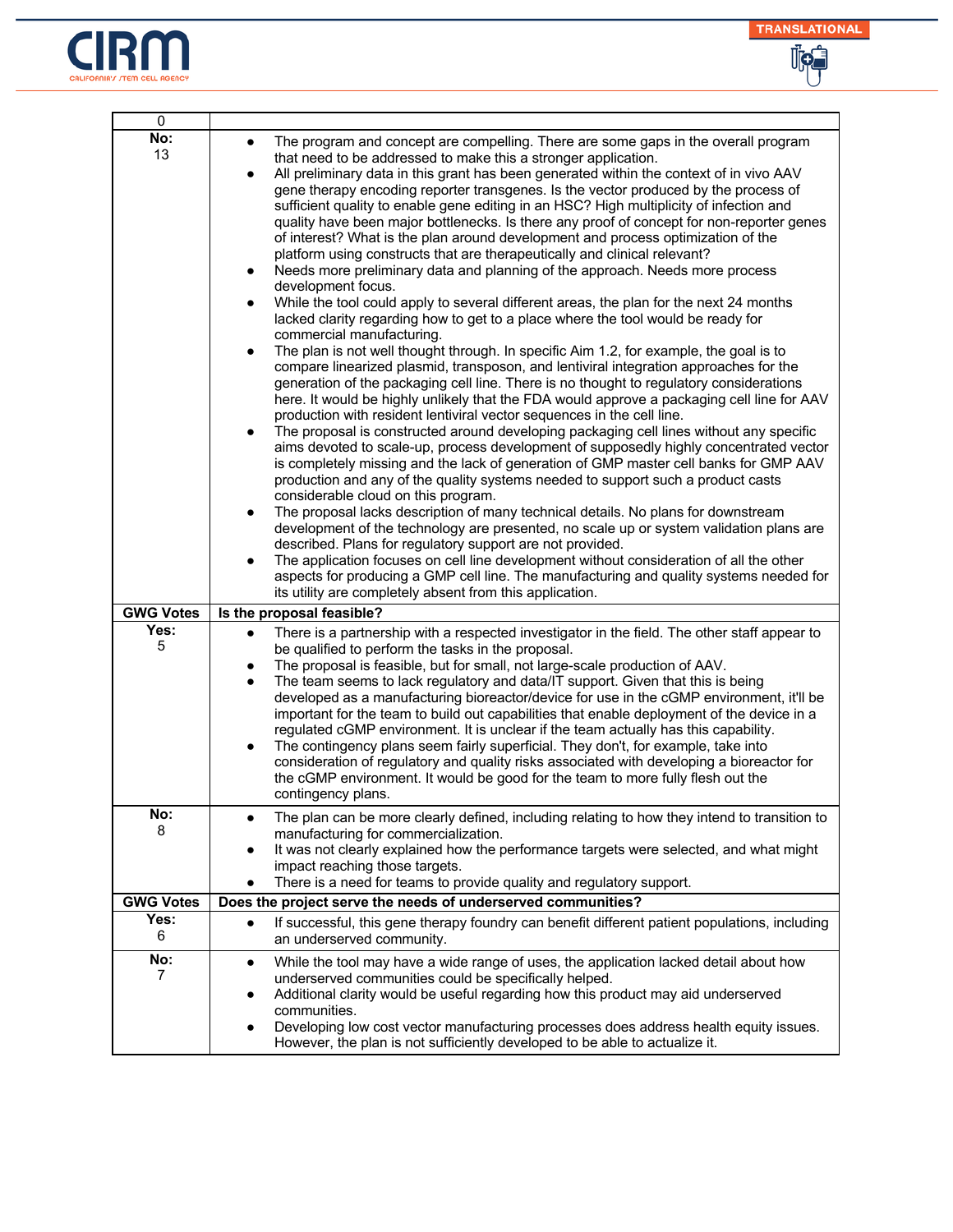



| 0                |                                                                                                                                                                                                                                                                                                                                                                                                                                                                                                                                                                                                                                                                                                                                                                                                                                                                                                                                                                                                                                                                                                                                                                                                                                                                                                                                                                                                                                                                                                                                                                                                                                                                                                                                                                                                                                                                                                                                                                                                                                                                                                                                                                                                                                                                                                                                                                                                                                                      |
|------------------|------------------------------------------------------------------------------------------------------------------------------------------------------------------------------------------------------------------------------------------------------------------------------------------------------------------------------------------------------------------------------------------------------------------------------------------------------------------------------------------------------------------------------------------------------------------------------------------------------------------------------------------------------------------------------------------------------------------------------------------------------------------------------------------------------------------------------------------------------------------------------------------------------------------------------------------------------------------------------------------------------------------------------------------------------------------------------------------------------------------------------------------------------------------------------------------------------------------------------------------------------------------------------------------------------------------------------------------------------------------------------------------------------------------------------------------------------------------------------------------------------------------------------------------------------------------------------------------------------------------------------------------------------------------------------------------------------------------------------------------------------------------------------------------------------------------------------------------------------------------------------------------------------------------------------------------------------------------------------------------------------------------------------------------------------------------------------------------------------------------------------------------------------------------------------------------------------------------------------------------------------------------------------------------------------------------------------------------------------------------------------------------------------------------------------------------------------|
| No:<br>13        | The program and concept are compelling. There are some gaps in the overall program<br>$\bullet$<br>that need to be addressed to make this a stronger application.<br>All preliminary data in this grant has been generated within the context of in vivo AAV<br>$\bullet$<br>gene therapy encoding reporter transgenes. Is the vector produced by the process of<br>sufficient quality to enable gene editing in an HSC? High multiplicity of infection and<br>quality have been major bottlenecks. Is there any proof of concept for non-reporter genes<br>of interest? What is the plan around development and process optimization of the<br>platform using constructs that are therapeutically and clinical relevant?<br>Needs more preliminary data and planning of the approach. Needs more process<br>development focus.<br>While the tool could apply to several different areas, the plan for the next 24 months<br>$\bullet$<br>lacked clarity regarding how to get to a place where the tool would be ready for<br>commercial manufacturing.<br>The plan is not well thought through. In specific Aim 1.2, for example, the goal is to<br>$\bullet$<br>compare linearized plasmid, transposon, and lentiviral integration approaches for the<br>generation of the packaging cell line. There is no thought to regulatory considerations<br>here. It would be highly unlikely that the FDA would approve a packaging cell line for AAV<br>production with resident lentiviral vector sequences in the cell line.<br>The proposal is constructed around developing packaging cell lines without any specific<br>٠<br>aims devoted to scale-up, process development of supposedly highly concentrated vector<br>is completely missing and the lack of generation of GMP master cell banks for GMP AAV<br>production and any of the quality systems needed to support such a product casts<br>considerable cloud on this program.<br>The proposal lacks description of many technical details. No plans for downstream<br>$\bullet$<br>development of the technology are presented, no scale up or system validation plans are<br>described. Plans for regulatory support are not provided.<br>The application focuses on cell line development without consideration of all the other<br>aspects for producing a GMP cell line. The manufacturing and quality systems needed for<br>its utility are completely absent from this application. |
| <b>GWG Votes</b> | Is the proposal feasible?                                                                                                                                                                                                                                                                                                                                                                                                                                                                                                                                                                                                                                                                                                                                                                                                                                                                                                                                                                                                                                                                                                                                                                                                                                                                                                                                                                                                                                                                                                                                                                                                                                                                                                                                                                                                                                                                                                                                                                                                                                                                                                                                                                                                                                                                                                                                                                                                                            |
| Yes:<br>5        | There is a partnership with a respected investigator in the field. The other staff appear to<br>$\bullet$<br>be qualified to perform the tasks in the proposal.<br>The proposal is feasible, but for small, not large-scale production of AAV.<br>The team seems to lack regulatory and data/IT support. Given that this is being<br>developed as a manufacturing bioreactor/device for use in the cGMP environment, it'll be<br>important for the team to build out capabilities that enable deployment of the device in a<br>regulated cGMP environment. It is unclear if the team actually has this capability.<br>The contingency plans seem fairly superficial. They don't, for example, take into<br>$\bullet$<br>consideration of regulatory and quality risks associated with developing a bioreactor for<br>the cGMP environment. It would be good for the team to more fully flesh out the<br>contingency plans.                                                                                                                                                                                                                                                                                                                                                                                                                                                                                                                                                                                                                                                                                                                                                                                                                                                                                                                                                                                                                                                                                                                                                                                                                                                                                                                                                                                                                                                                                                                           |
| No:<br>8         | The plan can be more clearly defined, including relating to how they intend to transition to<br>manufacturing for commercialization.<br>It was not clearly explained how the performance targets were selected, and what might<br>impact reaching those targets.<br>There is a need for teams to provide quality and regulatory support.                                                                                                                                                                                                                                                                                                                                                                                                                                                                                                                                                                                                                                                                                                                                                                                                                                                                                                                                                                                                                                                                                                                                                                                                                                                                                                                                                                                                                                                                                                                                                                                                                                                                                                                                                                                                                                                                                                                                                                                                                                                                                                             |
| <b>GWG Votes</b> | Does the project serve the needs of underserved communities?                                                                                                                                                                                                                                                                                                                                                                                                                                                                                                                                                                                                                                                                                                                                                                                                                                                                                                                                                                                                                                                                                                                                                                                                                                                                                                                                                                                                                                                                                                                                                                                                                                                                                                                                                                                                                                                                                                                                                                                                                                                                                                                                                                                                                                                                                                                                                                                         |
| Yes:<br>6        | If successful, this gene therapy foundry can benefit different patient populations, including<br>$\bullet$<br>an underserved community.                                                                                                                                                                                                                                                                                                                                                                                                                                                                                                                                                                                                                                                                                                                                                                                                                                                                                                                                                                                                                                                                                                                                                                                                                                                                                                                                                                                                                                                                                                                                                                                                                                                                                                                                                                                                                                                                                                                                                                                                                                                                                                                                                                                                                                                                                                              |
| No:<br>7         | While the tool may have a wide range of uses, the application lacked detail about how<br>$\bullet$<br>underserved communities could be specifically helped.<br>Additional clarity would be useful regarding how this product may aid underserved<br>communities.<br>Developing low cost vector manufacturing processes does address health equity issues.<br>However, the plan is not sufficiently developed to be able to actualize it.                                                                                                                                                                                                                                                                                                                                                                                                                                                                                                                                                                                                                                                                                                                                                                                                                                                                                                                                                                                                                                                                                                                                                                                                                                                                                                                                                                                                                                                                                                                                                                                                                                                                                                                                                                                                                                                                                                                                                                                                             |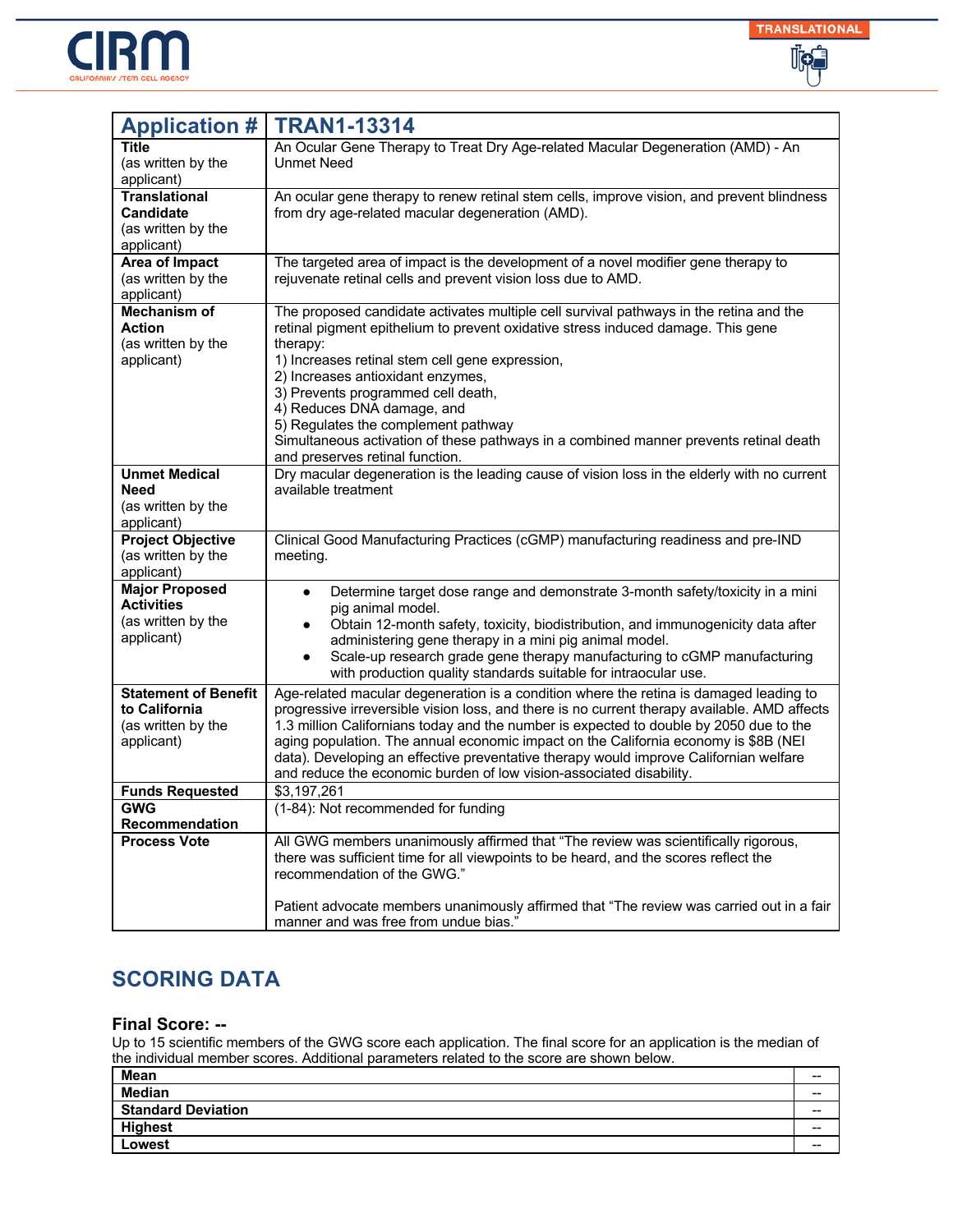



| <b>Application #</b>             | <b>TRAN1-13314</b>                                                                                                                                                           |
|----------------------------------|------------------------------------------------------------------------------------------------------------------------------------------------------------------------------|
| Title                            | An Ocular Gene Therapy to Treat Dry Age-related Macular Degeneration (AMD) - An                                                                                              |
| (as written by the               | <b>Unmet Need</b>                                                                                                                                                            |
| applicant)                       |                                                                                                                                                                              |
| <b>Translational</b>             | An ocular gene therapy to renew retinal stem cells, improve vision, and prevent blindness                                                                                    |
| <b>Candidate</b>                 | from dry age-related macular degeneration (AMD).                                                                                                                             |
| (as written by the<br>applicant) |                                                                                                                                                                              |
| Area of Impact                   | The targeted area of impact is the development of a novel modifier gene therapy to                                                                                           |
| (as written by the               | rejuvenate retinal cells and prevent vision loss due to AMD.                                                                                                                 |
| applicant)                       |                                                                                                                                                                              |
| <b>Mechanism of</b>              | The proposed candidate activates multiple cell survival pathways in the retina and the                                                                                       |
| <b>Action</b>                    | retinal pigment epithelium to prevent oxidative stress induced damage. This gene                                                                                             |
| (as written by the               | therapy:                                                                                                                                                                     |
| applicant)                       | 1) Increases retinal stem cell gene expression,                                                                                                                              |
|                                  | 2) Increases antioxidant enzymes,                                                                                                                                            |
|                                  | 3) Prevents programmed cell death,<br>4) Reduces DNA damage, and                                                                                                             |
|                                  | 5) Regulates the complement pathway                                                                                                                                          |
|                                  | Simultaneous activation of these pathways in a combined manner prevents retinal death                                                                                        |
|                                  | and preserves retinal function.                                                                                                                                              |
| <b>Unmet Medical</b>             | Dry macular degeneration is the leading cause of vision loss in the elderly with no current                                                                                  |
| Need                             | available treatment                                                                                                                                                          |
| (as written by the               |                                                                                                                                                                              |
| applicant)                       |                                                                                                                                                                              |
| <b>Project Objective</b>         | Clinical Good Manufacturing Practices (cGMP) manufacturing readiness and pre-IND                                                                                             |
| (as written by the<br>applicant) | meeting.                                                                                                                                                                     |
| <b>Major Proposed</b>            |                                                                                                                                                                              |
| <b>Activities</b>                | Determine target dose range and demonstrate 3-month safety/toxicity in a mini<br>$\bullet$<br>pig animal model.                                                              |
| (as written by the               | Obtain 12-month safety, toxicity, biodistribution, and immunogenicity data after<br>$\bullet$                                                                                |
| applicant)                       | administering gene therapy in a mini pig animal model.                                                                                                                       |
|                                  | Scale-up research grade gene therapy manufacturing to cGMP manufacturing                                                                                                     |
|                                  | with production quality standards suitable for intraocular use.                                                                                                              |
| <b>Statement of Benefit</b>      | Age-related macular degeneration is a condition where the retina is damaged leading to                                                                                       |
| to California                    | progressive irreversible vision loss, and there is no current therapy available. AMD affects                                                                                 |
| (as written by the               | 1.3 million Californians today and the number is expected to double by 2050 due to the                                                                                       |
| applicant)                       | aging population. The annual economic impact on the California economy is \$8B (NEI<br>data). Developing an effective preventative therapy would improve Californian welfare |
|                                  | and reduce the economic burden of low vision-associated disability.                                                                                                          |
| <b>Funds Requested</b>           | \$3,197,261                                                                                                                                                                  |
| <b>GWG</b>                       | (1-84): Not recommended for funding                                                                                                                                          |
| Recommendation                   |                                                                                                                                                                              |
| <b>Process Vote</b>              | All GWG members unanimously affirmed that "The review was scientifically rigorous,                                                                                           |
|                                  | there was sufficient time for all viewpoints to be heard, and the scores reflect the                                                                                         |
|                                  | recommendation of the GWG."                                                                                                                                                  |
|                                  | Patient advocate members unanimously affirmed that "The review was carried out in a fair                                                                                     |
|                                  | manner and was free from undue bias."                                                                                                                                        |

#### **Final Score: --**

| Mean                      | $- -$ |
|---------------------------|-------|
| <b>Median</b>             | $- -$ |
| <b>Standard Deviation</b> | $- -$ |
| <b>Highest</b>            | $- -$ |
| Lowest                    | $- -$ |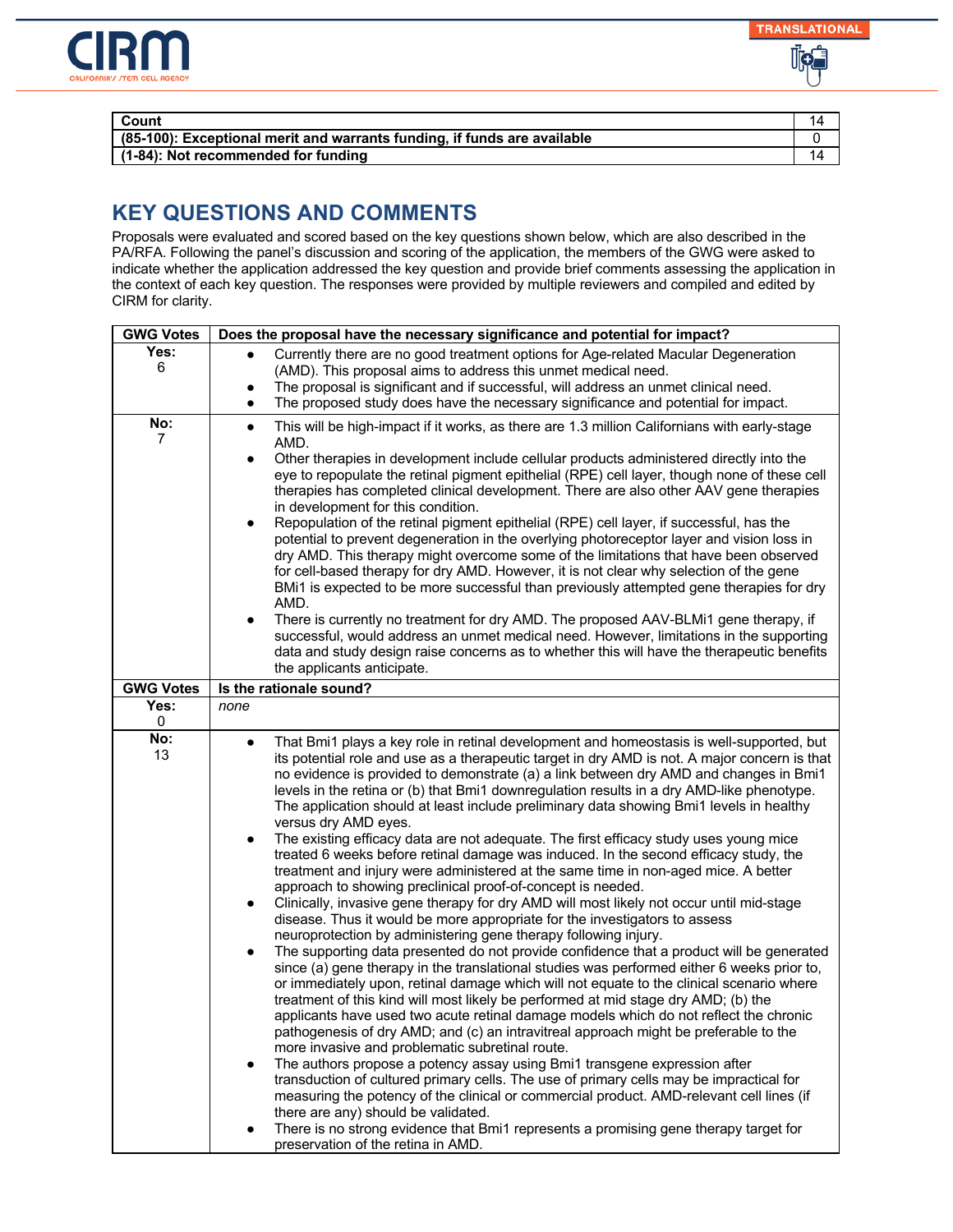

| Count                                                                       |  |
|-----------------------------------------------------------------------------|--|
| $(85-100)$ : Exceptional merit and warrants funding, if funds are available |  |
| (1-84): Not recommended for funding                                         |  |

| <b>GWG Votes</b> | Does the proposal have the necessary significance and potential for impact?                                                                                                                                                                                                                                                                                                                                                                                                                                                                                                                                                                                                                                                                                                                                                                                                                                                                                                                                                                                                                                                                                                                                                                                                                                                                                                                                                                                                                                                                                                                                                                                                                                                                                                                                                                                                                                                                                                                                                                                                                                                                                                           |
|------------------|---------------------------------------------------------------------------------------------------------------------------------------------------------------------------------------------------------------------------------------------------------------------------------------------------------------------------------------------------------------------------------------------------------------------------------------------------------------------------------------------------------------------------------------------------------------------------------------------------------------------------------------------------------------------------------------------------------------------------------------------------------------------------------------------------------------------------------------------------------------------------------------------------------------------------------------------------------------------------------------------------------------------------------------------------------------------------------------------------------------------------------------------------------------------------------------------------------------------------------------------------------------------------------------------------------------------------------------------------------------------------------------------------------------------------------------------------------------------------------------------------------------------------------------------------------------------------------------------------------------------------------------------------------------------------------------------------------------------------------------------------------------------------------------------------------------------------------------------------------------------------------------------------------------------------------------------------------------------------------------------------------------------------------------------------------------------------------------------------------------------------------------------------------------------------------------|
| Yes:             | Currently there are no good treatment options for Age-related Macular Degeneration                                                                                                                                                                                                                                                                                                                                                                                                                                                                                                                                                                                                                                                                                                                                                                                                                                                                                                                                                                                                                                                                                                                                                                                                                                                                                                                                                                                                                                                                                                                                                                                                                                                                                                                                                                                                                                                                                                                                                                                                                                                                                                    |
| 6                | (AMD). This proposal aims to address this unmet medical need.                                                                                                                                                                                                                                                                                                                                                                                                                                                                                                                                                                                                                                                                                                                                                                                                                                                                                                                                                                                                                                                                                                                                                                                                                                                                                                                                                                                                                                                                                                                                                                                                                                                                                                                                                                                                                                                                                                                                                                                                                                                                                                                         |
|                  | The proposal is significant and if successful, will address an unmet clinical need.                                                                                                                                                                                                                                                                                                                                                                                                                                                                                                                                                                                                                                                                                                                                                                                                                                                                                                                                                                                                                                                                                                                                                                                                                                                                                                                                                                                                                                                                                                                                                                                                                                                                                                                                                                                                                                                                                                                                                                                                                                                                                                   |
|                  | The proposed study does have the necessary significance and potential for impact.<br>$\bullet$                                                                                                                                                                                                                                                                                                                                                                                                                                                                                                                                                                                                                                                                                                                                                                                                                                                                                                                                                                                                                                                                                                                                                                                                                                                                                                                                                                                                                                                                                                                                                                                                                                                                                                                                                                                                                                                                                                                                                                                                                                                                                        |
| No:<br>7         | This will be high-impact if it works, as there are 1.3 million Californians with early-stage<br>$\bullet$<br>AMD.<br>Other therapies in development include cellular products administered directly into the<br>$\bullet$<br>eye to repopulate the retinal pigment epithelial (RPE) cell layer, though none of these cell<br>therapies has completed clinical development. There are also other AAV gene therapies<br>in development for this condition.<br>Repopulation of the retinal pigment epithelial (RPE) cell layer, if successful, has the<br>$\bullet$<br>potential to prevent degeneration in the overlying photoreceptor layer and vision loss in<br>dry AMD. This therapy might overcome some of the limitations that have been observed<br>for cell-based therapy for dry AMD. However, it is not clear why selection of the gene<br>BMi1 is expected to be more successful than previously attempted gene therapies for dry<br>AMD.<br>There is currently no treatment for dry AMD. The proposed AAV-BLMi1 gene therapy, if<br>$\bullet$<br>successful, would address an unmet medical need. However, limitations in the supporting<br>data and study design raise concerns as to whether this will have the therapeutic benefits<br>the applicants anticipate.                                                                                                                                                                                                                                                                                                                                                                                                                                                                                                                                                                                                                                                                                                                                                                                                                                                                                                        |
| <b>GWG Votes</b> | Is the rationale sound?                                                                                                                                                                                                                                                                                                                                                                                                                                                                                                                                                                                                                                                                                                                                                                                                                                                                                                                                                                                                                                                                                                                                                                                                                                                                                                                                                                                                                                                                                                                                                                                                                                                                                                                                                                                                                                                                                                                                                                                                                                                                                                                                                               |
| Yes:             | none                                                                                                                                                                                                                                                                                                                                                                                                                                                                                                                                                                                                                                                                                                                                                                                                                                                                                                                                                                                                                                                                                                                                                                                                                                                                                                                                                                                                                                                                                                                                                                                                                                                                                                                                                                                                                                                                                                                                                                                                                                                                                                                                                                                  |
|                  |                                                                                                                                                                                                                                                                                                                                                                                                                                                                                                                                                                                                                                                                                                                                                                                                                                                                                                                                                                                                                                                                                                                                                                                                                                                                                                                                                                                                                                                                                                                                                                                                                                                                                                                                                                                                                                                                                                                                                                                                                                                                                                                                                                                       |
| 0<br>No:<br>13   | That Bmi1 plays a key role in retinal development and homeostasis is well-supported, but<br>$\bullet$<br>its potential role and use as a therapeutic target in dry AMD is not. A major concern is that<br>no evidence is provided to demonstrate (a) a link between dry AMD and changes in Bmi1<br>levels in the retina or (b) that Bmi1 downregulation results in a dry AMD-like phenotype.<br>The application should at least include preliminary data showing Bmi1 levels in healthy<br>versus dry AMD eyes.<br>The existing efficacy data are not adequate. The first efficacy study uses young mice<br>$\bullet$<br>treated 6 weeks before retinal damage was induced. In the second efficacy study, the<br>treatment and injury were administered at the same time in non-aged mice. A better<br>approach to showing preclinical proof-of-concept is needed.<br>Clinically, invasive gene therapy for dry AMD will most likely not occur until mid-stage<br>disease. Thus it would be more appropriate for the investigators to assess<br>neuroprotection by administering gene therapy following injury.<br>The supporting data presented do not provide confidence that a product will be generated<br>$\bullet$<br>since (a) gene therapy in the translational studies was performed either 6 weeks prior to,<br>or immediately upon, retinal damage which will not equate to the clinical scenario where<br>treatment of this kind will most likely be performed at mid stage dry AMD; (b) the<br>applicants have used two acute retinal damage models which do not reflect the chronic<br>pathogenesis of dry AMD; and (c) an intravitreal approach might be preferable to the<br>more invasive and problematic subretinal route.<br>The authors propose a potency assay using Bmi1 transgene expression after<br>transduction of cultured primary cells. The use of primary cells may be impractical for<br>measuring the potency of the clinical or commercial product. AMD-relevant cell lines (if<br>there are any) should be validated.<br>There is no strong evidence that Bmi1 represents a promising gene therapy target for<br>preservation of the retina in AMD. |